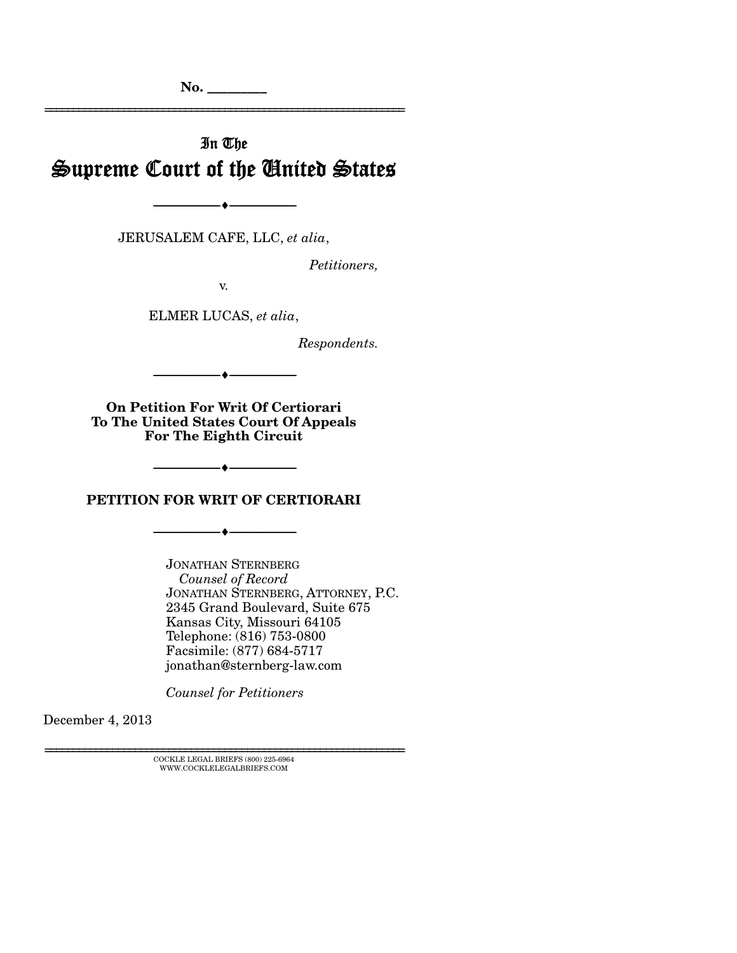**No. \_\_\_\_\_\_\_\_\_** 

# In The Supreme Court of the United States

================================================================

JERUSALEM CAFE, LLC, *et alia*,

 $- \bullet -$ 

*Petitioners,* 

v.

ELMER LUCAS, *et alia*,

*Respondents.* 

--------------------------------- ---------------------------------

**On Petition For Writ Of Certiorari To The United States Court Of Appeals For The Eighth Circuit** 

**PETITION FOR WRIT OF CERTIORARI** 

--------------------------------- ---------------------------------

 $- \bullet -$ 

JONATHAN STERNBERG  *Counsel of Record*  JONATHAN STERNBERG, ATTORNEY, P.C. 2345 Grand Boulevard, Suite 675 Kansas City, Missouri 64105 Telephone: (816) 753-0800 Facsimile: (877) 684-5717 jonathan@sternberg-law.com

*Counsel for Petitioners* 

December 4, 2013

 ${\rm COCKLE}$ LEGAL BRIEFS (800) 225-6964 WWW.COCKLELEGALBRIEFS.COM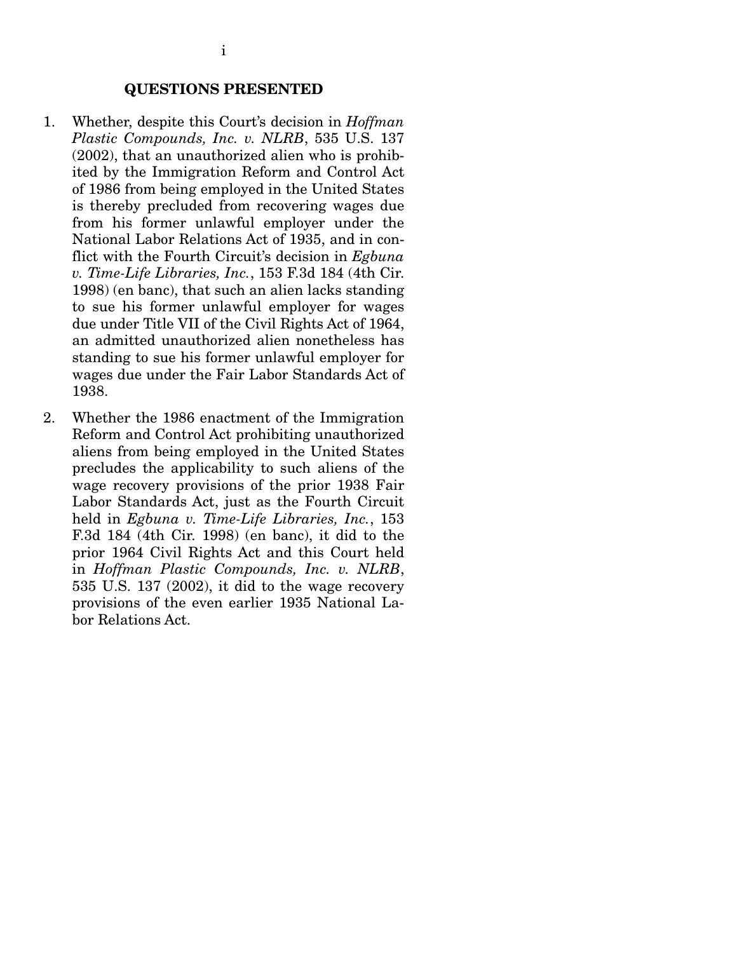#### **QUESTIONS PRESENTED**

- 1. Whether, despite this Court's decision in *Hoffman Plastic Compounds, Inc. v. NLRB*, 535 U.S. 137 (2002), that an unauthorized alien who is prohibited by the Immigration Reform and Control Act of 1986 from being employed in the United States is thereby precluded from recovering wages due from his former unlawful employer under the National Labor Relations Act of 1935, and in conflict with the Fourth Circuit's decision in *Egbuna v. Time-Life Libraries, Inc.*, 153 F.3d 184 (4th Cir. 1998) (en banc), that such an alien lacks standing to sue his former unlawful employer for wages due under Title VII of the Civil Rights Act of 1964, an admitted unauthorized alien nonetheless has standing to sue his former unlawful employer for wages due under the Fair Labor Standards Act of 1938.
- 2. Whether the 1986 enactment of the Immigration Reform and Control Act prohibiting unauthorized aliens from being employed in the United States precludes the applicability to such aliens of the wage recovery provisions of the prior 1938 Fair Labor Standards Act, just as the Fourth Circuit held in *Egbuna v. Time-Life Libraries, Inc.*, 153 F.3d 184 (4th Cir. 1998) (en banc), it did to the prior 1964 Civil Rights Act and this Court held in *Hoffman Plastic Compounds, Inc. v. NLRB*, 535 U.S. 137 (2002), it did to the wage recovery provisions of the even earlier 1935 National Labor Relations Act.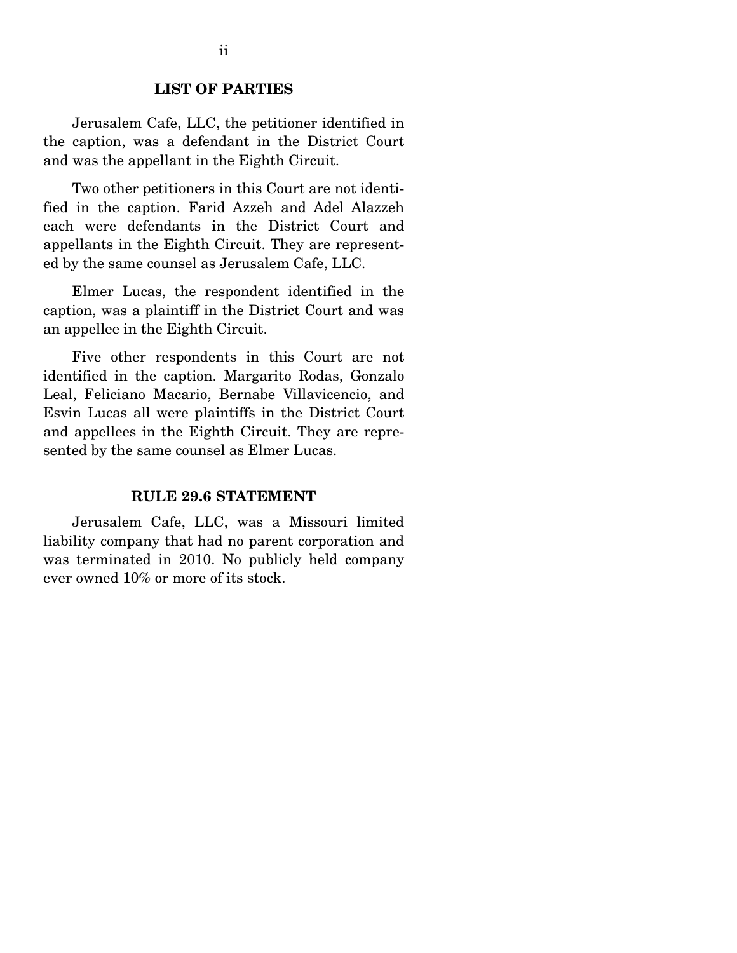### **LIST OF PARTIES**

 Jerusalem Cafe, LLC, the petitioner identified in the caption, was a defendant in the District Court and was the appellant in the Eighth Circuit.

 Two other petitioners in this Court are not identified in the caption. Farid Azzeh and Adel Alazzeh each were defendants in the District Court and appellants in the Eighth Circuit. They are represented by the same counsel as Jerusalem Cafe, LLC.

 Elmer Lucas, the respondent identified in the caption, was a plaintiff in the District Court and was an appellee in the Eighth Circuit.

 Five other respondents in this Court are not identified in the caption. Margarito Rodas, Gonzalo Leal, Feliciano Macario, Bernabe Villavicencio, and Esvin Lucas all were plaintiffs in the District Court and appellees in the Eighth Circuit. They are represented by the same counsel as Elmer Lucas.

#### **RULE 29.6 STATEMENT**

 Jerusalem Cafe, LLC, was a Missouri limited liability company that had no parent corporation and was terminated in 2010. No publicly held company ever owned 10% or more of its stock.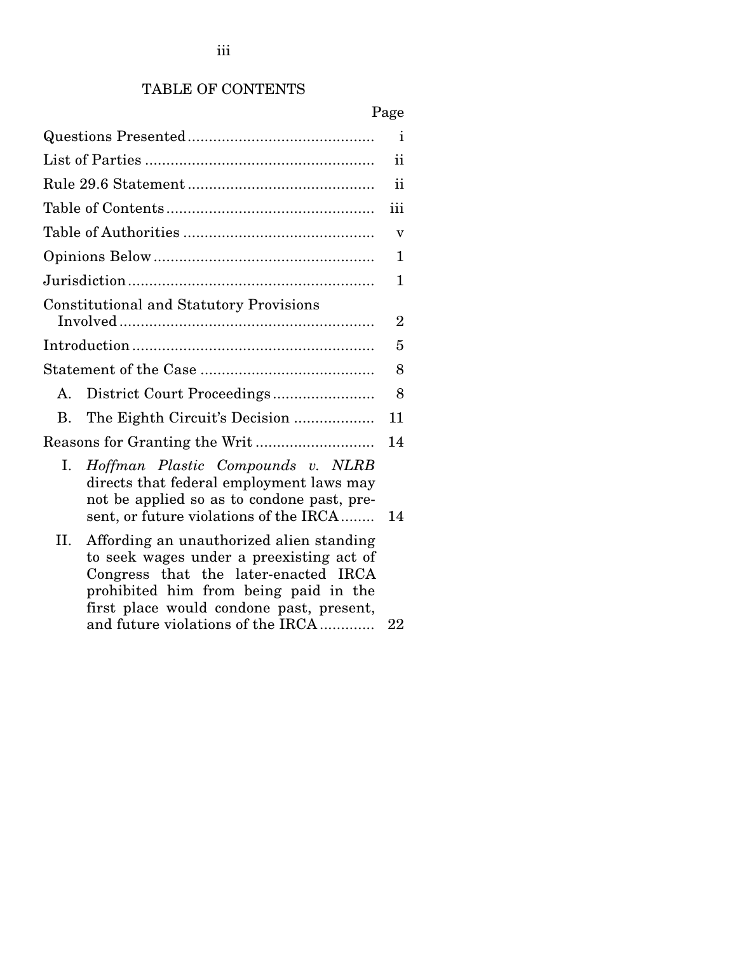# TABLE OF CONTENTS

|                                                                                                                                                                                                                                                              | Page           |
|--------------------------------------------------------------------------------------------------------------------------------------------------------------------------------------------------------------------------------------------------------------|----------------|
|                                                                                                                                                                                                                                                              | i              |
|                                                                                                                                                                                                                                                              | ii             |
|                                                                                                                                                                                                                                                              | ii             |
|                                                                                                                                                                                                                                                              | iii            |
|                                                                                                                                                                                                                                                              | v              |
|                                                                                                                                                                                                                                                              | 1              |
|                                                                                                                                                                                                                                                              | 1              |
| <b>Constitutional and Statutory Provisions</b>                                                                                                                                                                                                               |                |
|                                                                                                                                                                                                                                                              | $\overline{2}$ |
|                                                                                                                                                                                                                                                              | 5              |
|                                                                                                                                                                                                                                                              | 8              |
| District Court Proceedings<br>A.                                                                                                                                                                                                                             | 8              |
| The Eighth Circuit's Decision<br>В.                                                                                                                                                                                                                          | 11             |
|                                                                                                                                                                                                                                                              | 14             |
| Ι.<br>Hoffman Plastic Compounds v. NLRB<br>directs that federal employment laws may<br>not be applied so as to condone past, pre-<br>sent, or future violations of the IRCA                                                                                  | 14             |
| Affording an unauthorized alien standing<br>Н.<br>to seek wages under a preexisting act of<br>Congress that the later-enacted IRCA<br>prohibited him from being paid in the<br>first place would condone past, present,<br>and future violations of the IRCA | 22             |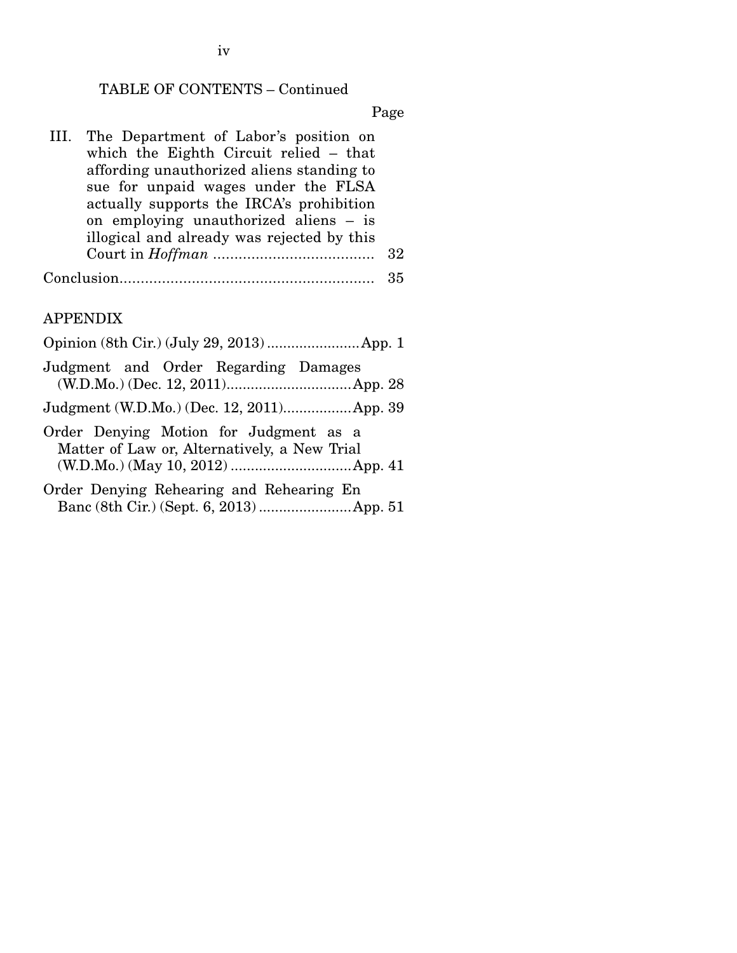# TABLE OF CONTENTS – Continued

Page

|            | III. The Department of Labor's position on |     |
|------------|--------------------------------------------|-----|
|            | which the Eighth Circuit relied – that     |     |
|            | affording unauthorized aliens standing to  |     |
|            | sue for unpaid wages under the FLSA        |     |
|            | actually supports the IRCA's prohibition   |     |
|            | on employing unauthorized aliens – is      |     |
|            | illogical and already was rejected by this |     |
|            |                                            | -32 |
| Conclusion |                                            | 35  |

### APPENDIX

| Judgment and Order Regarding Damages                                                   |  |  |  |  |  |
|----------------------------------------------------------------------------------------|--|--|--|--|--|
| Judgment (W.D.Mo.) (Dec. 12, 2011) App. 39                                             |  |  |  |  |  |
| Order Denying Motion for Judgment as a<br>Matter of Law or, Alternatively, a New Trial |  |  |  |  |  |
| Order Denying Rehearing and Rehearing En<br>Banc (8th Cir.) (Sept. 6, 2013)  App. 51   |  |  |  |  |  |

iv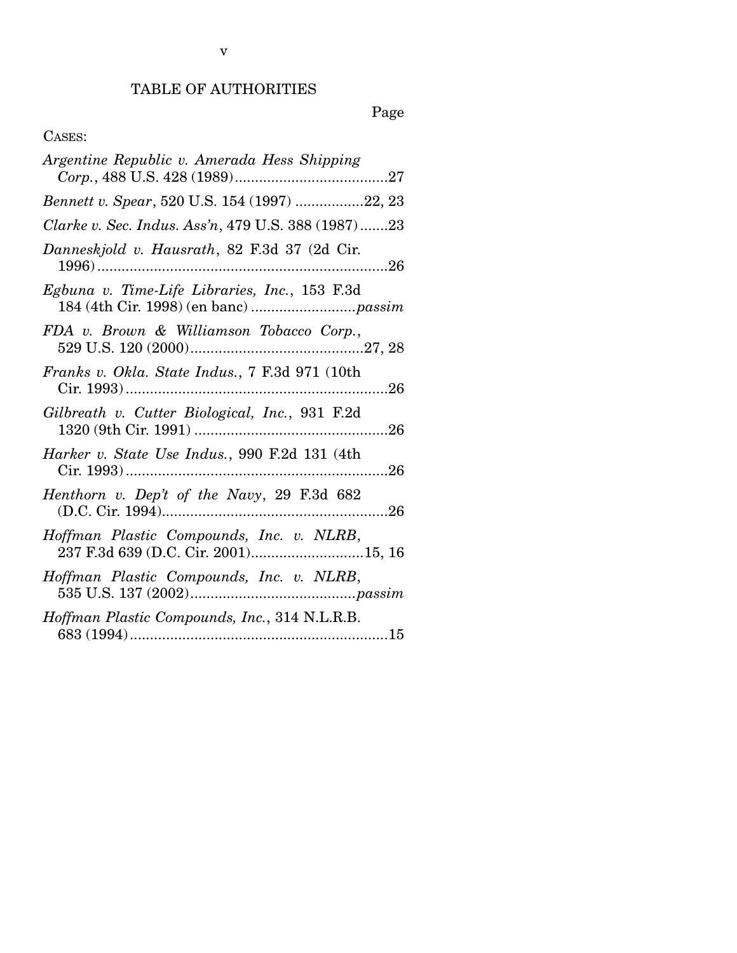# TABLE OF AUTHORITIES

Page

# CASES:

| Argentine Republic v. Amerada Hess Shipping                                     |
|---------------------------------------------------------------------------------|
| Bennett v. Spear, 520 U.S. 154 (1997) 22, 23                                    |
| Clarke v. Sec. Indus. Ass'n, 479 U.S. 388 (1987)23                              |
| Danneskjold v. Hausrath, 82 F.3d 37 (2d Cir.                                    |
| Egbuna v. Time-Life Libraries, Inc., 153 F.3d                                   |
| FDA v. Brown & Williamson Tobacco Corp.,                                        |
| Franks v. Okla. State Indus., 7 F.3d 971 (10th                                  |
| Gilbreath v. Cutter Biological, Inc., 931 F.2d                                  |
| Harker v. State Use Indus., 990 F.2d 131 (4th                                   |
| Henthorn v. Dep't of the Navy, 29 F.3d 682                                      |
| Hoffman Plastic Compounds, Inc. v. NLRB,<br>237 F.3d 639 (D.C. Cir. 2001)15, 16 |
| Hoffman Plastic Compounds, Inc. v. NLRB,                                        |
| Hoffman Plastic Compounds, Inc., 314 N.L.R.B.                                   |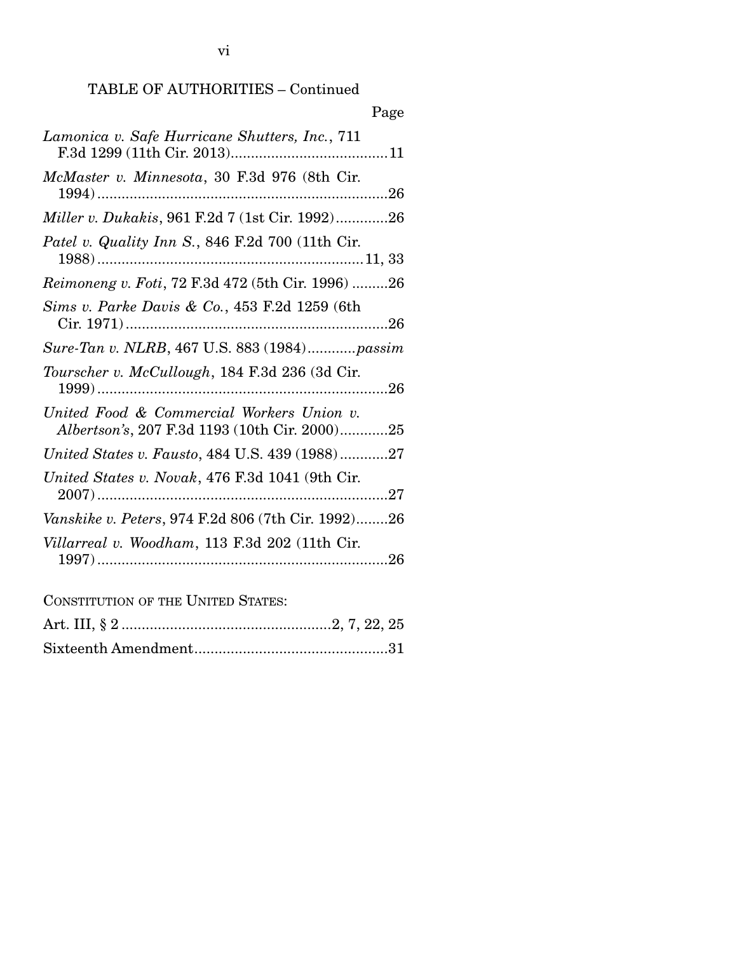# TABLE OF AUTHORITIES – Continued

| Page                                                                                       |
|--------------------------------------------------------------------------------------------|
| Lamonica v. Safe Hurricane Shutters, Inc., 711                                             |
| McMaster v. Minnesota, 30 F.3d 976 (8th Cir.                                               |
| Miller v. Dukakis, 961 F.2d 7 (1st Cir. 1992)26                                            |
| Patel v. Quality Inn S., 846 F.2d 700 (11th Cir.                                           |
| Reimoneng v. Foti, 72 F.3d 472 (5th Cir. 1996) 26                                          |
| Sims v. Parke Davis & Co., 453 F.2d 1259 (6th                                              |
| Sure-Tan v. NLRB, 467 U.S. 883 (1984)passim                                                |
| Tourscher v. McCullough, 184 F.3d 236 (3d Cir.                                             |
| United Food & Commercial Workers Union v.<br>Albertson's, 207 F.3d 1193 (10th Cir. 2000)25 |
| United States v. Fausto, 484 U.S. 439 (1988)27                                             |
| United States v. Novak, 476 F.3d 1041 (9th Cir.                                            |
| Vanskike v. Peters, 974 F.2d 806 (7th Cir. 1992)26                                         |
| Villarreal v. Woodham, 113 F.3d 202 (11th Cir.                                             |
| <b>CONSTITUTION OF THE UNITED STATES:</b>                                                  |
|                                                                                            |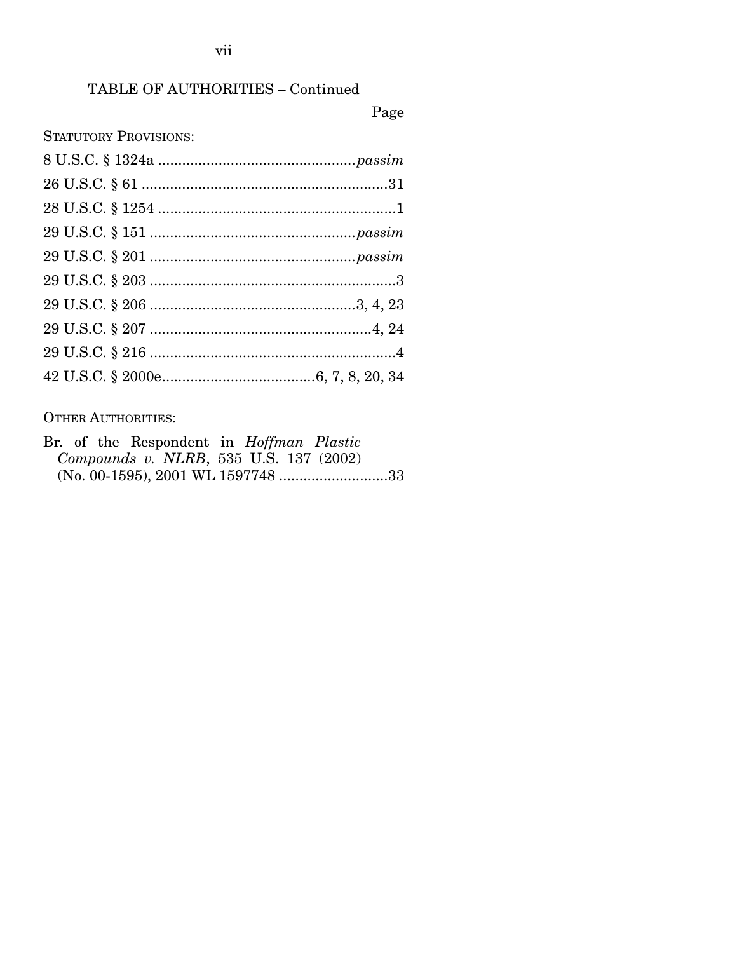# TABLE OF AUTHORITIES – Continued

# Page

STATUTORY PROVISIONS:

# OTHER AUTHORITIES:

|  |  |  |  | Br. of the Respondent in <i>Hoffman Plastic</i> |  |
|--|--|--|--|-------------------------------------------------|--|
|  |  |  |  | Compounds v. NLRB, 535 U.S. 137 (2002)          |  |
|  |  |  |  |                                                 |  |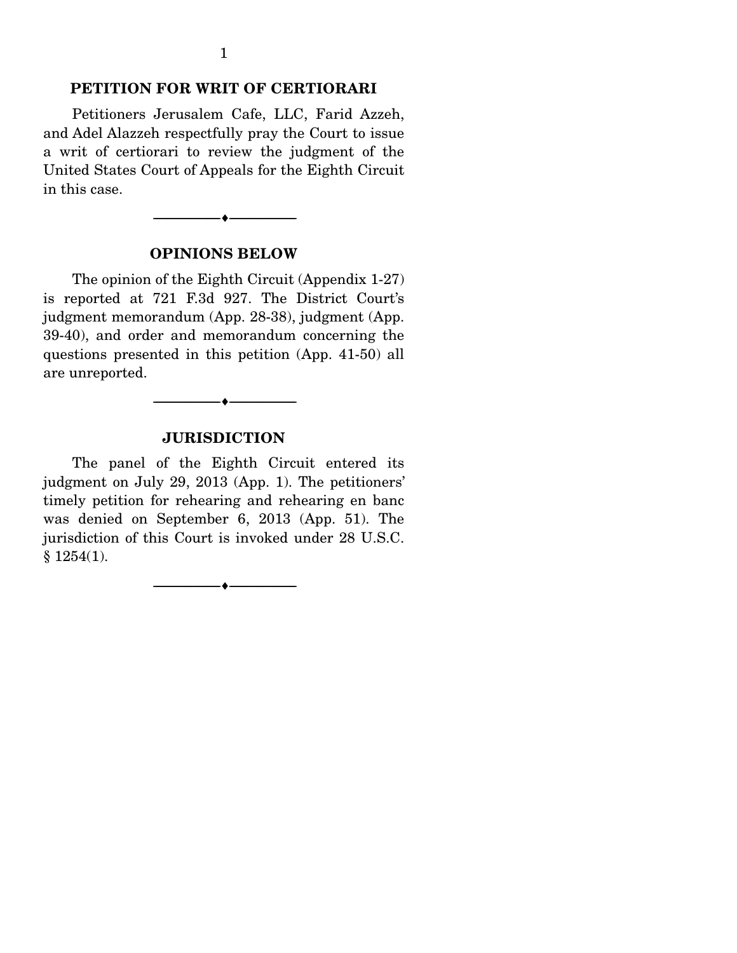### **PETITION FOR WRIT OF CERTIORARI**

 Petitioners Jerusalem Cafe, LLC, Farid Azzeh, and Adel Alazzeh respectfully pray the Court to issue a writ of certiorari to review the judgment of the United States Court of Appeals for the Eighth Circuit in this case.

### **OPINIONS BELOW**

--------------------------------- ---------------------------------

 The opinion of the Eighth Circuit (Appendix 1-27) is reported at 721 F.3d 927. The District Court's judgment memorandum (App. 28-38), judgment (App. 39-40), and order and memorandum concerning the questions presented in this petition (App. 41-50) all are unreported.

### **JURISDICTION**

--------------------------------- ---------------------------------

 The panel of the Eighth Circuit entered its judgment on July 29, 2013 (App. 1). The petitioners' timely petition for rehearing and rehearing en banc was denied on September 6, 2013 (App. 51). The jurisdiction of this Court is invoked under 28 U.S.C. § 1254(1).

--------------------------------- ---------------------------------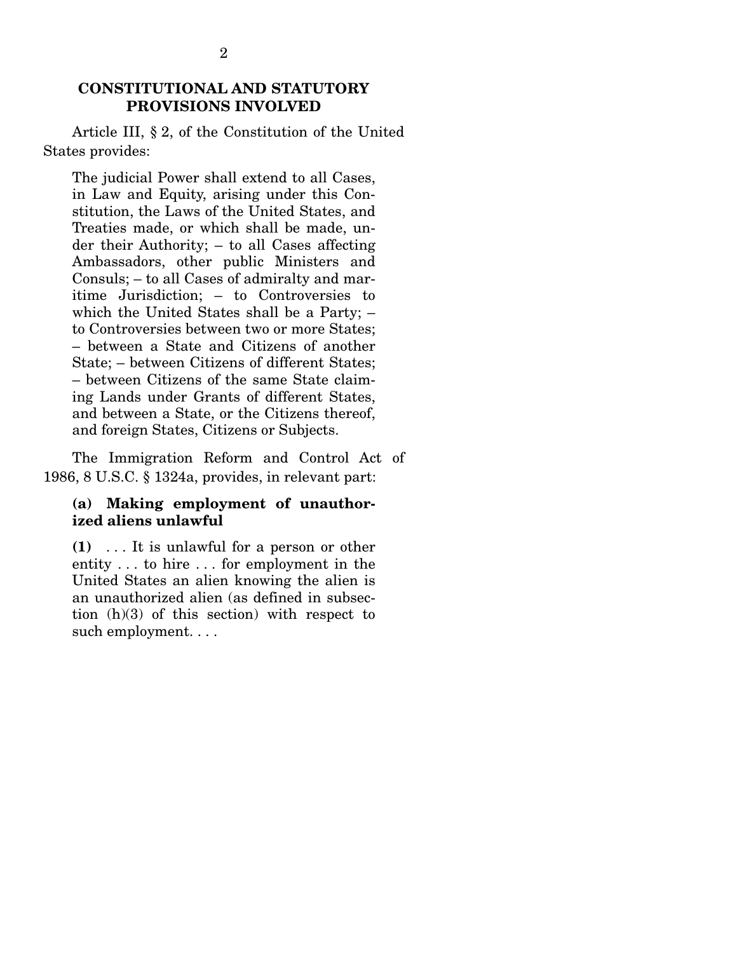### **CONSTITUTIONAL AND STATUTORY PROVISIONS INVOLVED**

 Article III, § 2, of the Constitution of the United States provides:

The judicial Power shall extend to all Cases, in Law and Equity, arising under this Constitution, the Laws of the United States, and Treaties made, or which shall be made, under their Authority; – to all Cases affecting Ambassadors, other public Ministers and Consuls; – to all Cases of admiralty and maritime Jurisdiction; – to Controversies to which the United States shall be a Party; – to Controversies between two or more States; – between a State and Citizens of another State; – between Citizens of different States; – between Citizens of the same State claiming Lands under Grants of different States, and between a State, or the Citizens thereof, and foreign States, Citizens or Subjects.

 The Immigration Reform and Control Act of 1986, 8 U.S.C. § 1324a, provides, in relevant part:

#### **(a) Making employment of unauthorized aliens unlawful**

**(1)** . . . It is unlawful for a person or other entity . . . to hire . . . for employment in the United States an alien knowing the alien is an unauthorized alien (as defined in subsection (h)(3) of this section) with respect to such employment. . . .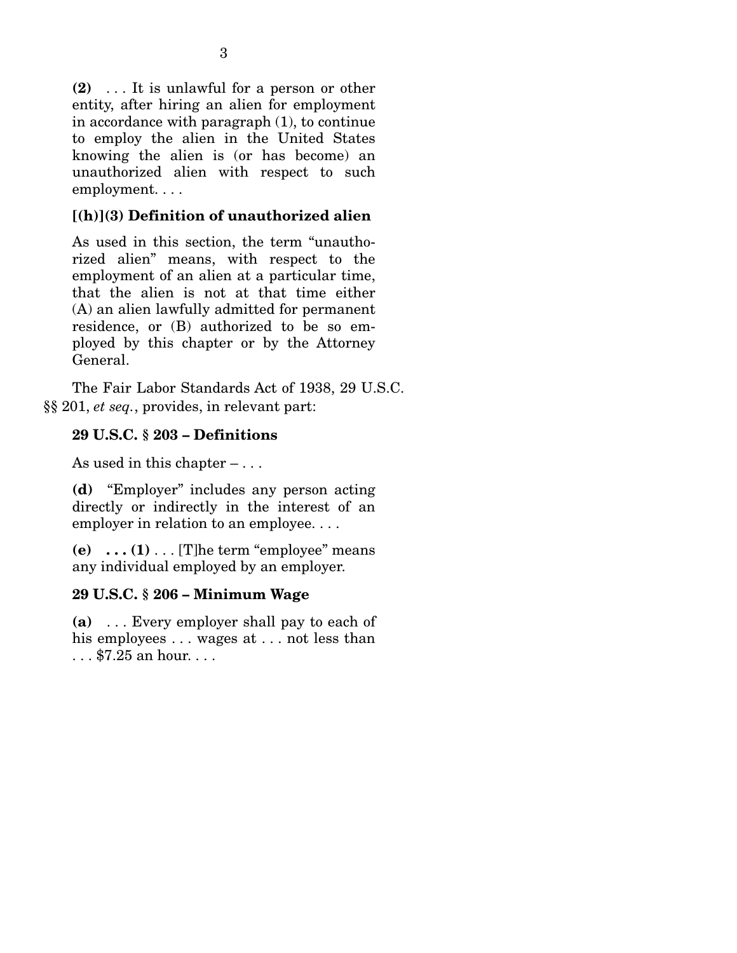**(2)** . . . It is unlawful for a person or other entity, after hiring an alien for employment in accordance with paragraph (1), to continue to employ the alien in the United States knowing the alien is (or has become) an unauthorized alien with respect to such employment. . . .

# **[(h)](3) Definition of unauthorized alien**

As used in this section, the term "unauthorized alien" means, with respect to the employment of an alien at a particular time, that the alien is not at that time either (A) an alien lawfully admitted for permanent residence, or (B) authorized to be so employed by this chapter or by the Attorney General.

 The Fair Labor Standards Act of 1938, 29 U.S.C. §§ 201, *et seq.*, provides, in relevant part:

# **29 U.S.C. § 203 – Definitions**

As used in this chapter  $-\ldots$ 

**(d)** "Employer" includes any person acting directly or indirectly in the interest of an employer in relation to an employee. . . .

**(e)**  $\ldots$  (1)  $\ldots$  [T]he term "employee" means any individual employed by an employer.

# **29 U.S.C. § 206 – Minimum Wage**

**(a)** . . . Every employer shall pay to each of his employees . . . wages at . . . not less than . . . \$7.25 an hour. . . .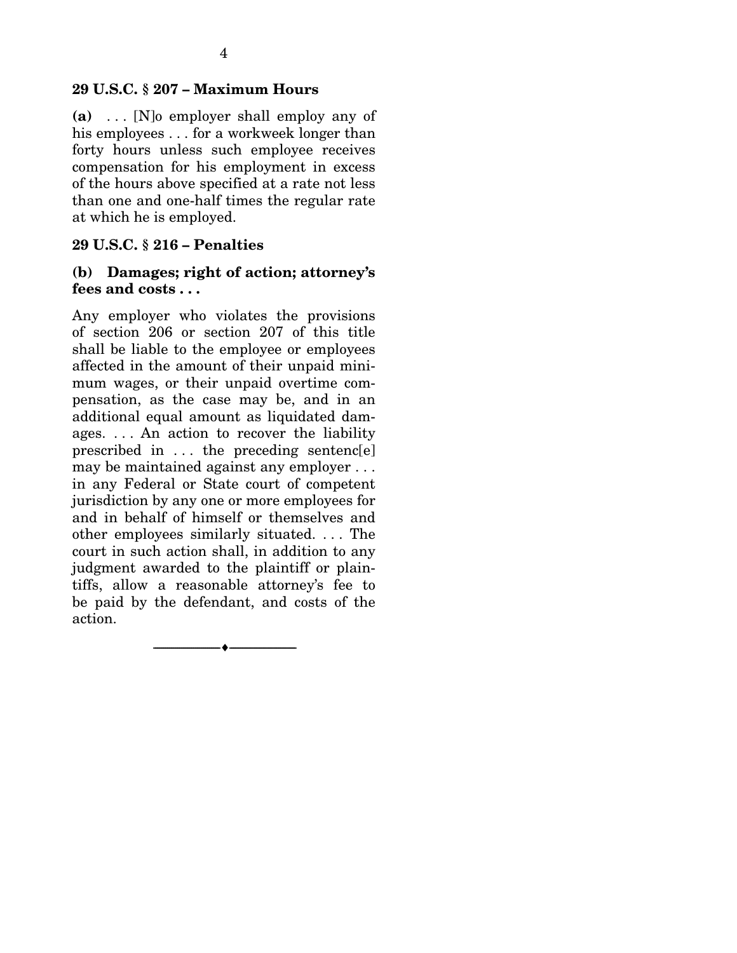**(a)** . . . [N]o employer shall employ any of his employees . . . for a workweek longer than forty hours unless such employee receives compensation for his employment in excess of the hours above specified at a rate not less than one and one-half times the regular rate at which he is employed.

# **29 U.S.C. § 216 – Penalties**

# **(b) Damages; right of action; attorney's fees and costs . . .**

Any employer who violates the provisions of section 206 or section 207 of this title shall be liable to the employee or employees affected in the amount of their unpaid minimum wages, or their unpaid overtime compensation, as the case may be, and in an additional equal amount as liquidated damages. . . . An action to recover the liability prescribed in . . . the preceding sentenc[e] may be maintained against any employer . . . in any Federal or State court of competent jurisdiction by any one or more employees for and in behalf of himself or themselves and other employees similarly situated. . . . The court in such action shall, in addition to any judgment awarded to the plaintiff or plaintiffs, allow a reasonable attorney's fee to be paid by the defendant, and costs of the action.

--------------------------------- ---------------------------------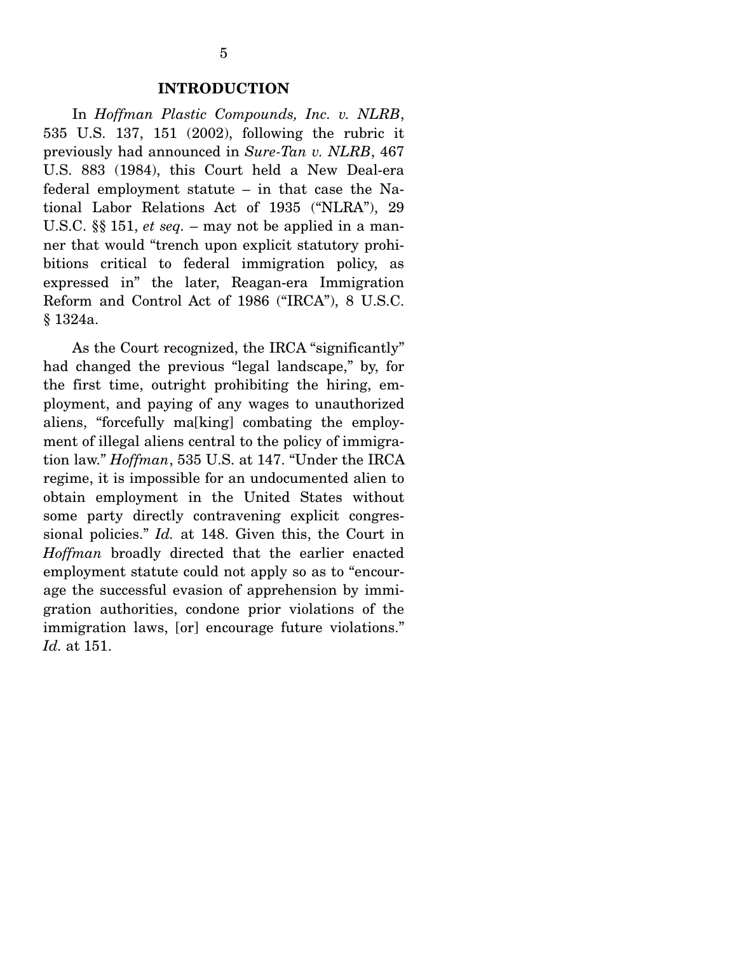#### **INTRODUCTION**

 In *Hoffman Plastic Compounds, Inc. v. NLRB*, 535 U.S. 137, 151 (2002), following the rubric it previously had announced in *Sure-Tan v. NLRB*, 467 U.S. 883 (1984), this Court held a New Deal-era federal employment statute – in that case the National Labor Relations Act of 1935 ("NLRA"), 29 U.S.C. §§ 151, *et seq.* – may not be applied in a manner that would "trench upon explicit statutory prohibitions critical to federal immigration policy, as expressed in" the later, Reagan-era Immigration Reform and Control Act of 1986 ("IRCA"), 8 U.S.C. § 1324a.

 As the Court recognized, the IRCA "significantly" had changed the previous "legal landscape," by, for the first time, outright prohibiting the hiring, employment, and paying of any wages to unauthorized aliens, "forcefully ma[king] combating the employment of illegal aliens central to the policy of immigration law." *Hoffman*, 535 U.S. at 147. "Under the IRCA regime, it is impossible for an undocumented alien to obtain employment in the United States without some party directly contravening explicit congressional policies." *Id.* at 148. Given this, the Court in *Hoffman* broadly directed that the earlier enacted employment statute could not apply so as to "encourage the successful evasion of apprehension by immigration authorities, condone prior violations of the immigration laws, [or] encourage future violations." *Id.* at 151.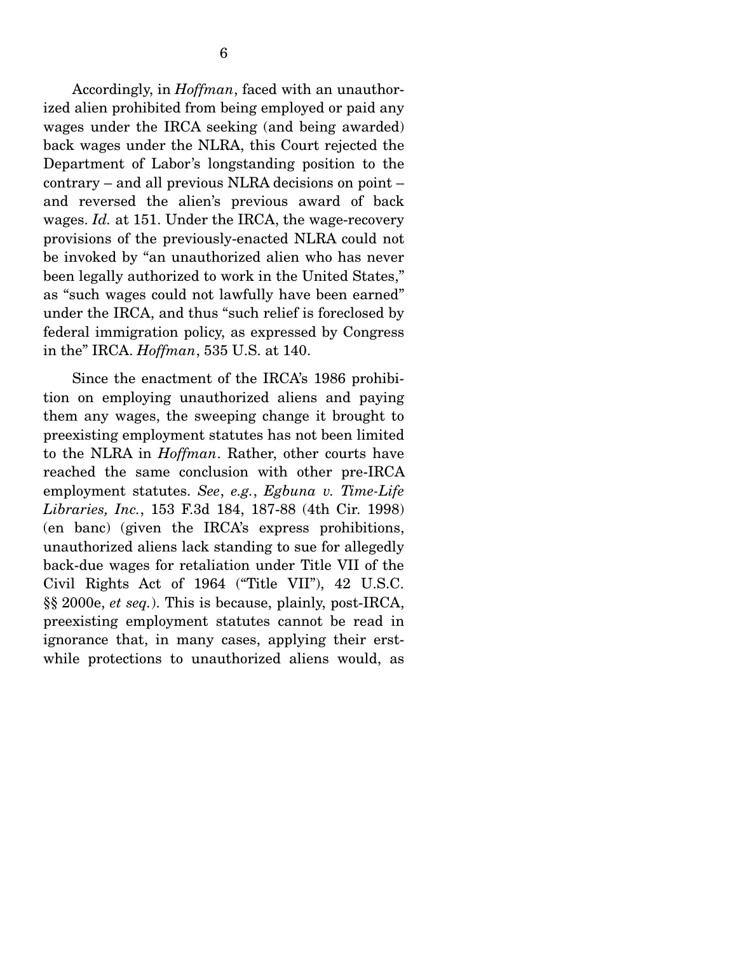Accordingly, in *Hoffman*, faced with an unauthorized alien prohibited from being employed or paid any wages under the IRCA seeking (and being awarded) back wages under the NLRA, this Court rejected the Department of Labor's longstanding position to the contrary – and all previous NLRA decisions on point – and reversed the alien's previous award of back wages. *Id.* at 151. Under the IRCA, the wage-recovery provisions of the previously-enacted NLRA could not be invoked by "an unauthorized alien who has never been legally authorized to work in the United States," as "such wages could not lawfully have been earned" under the IRCA, and thus "such relief is foreclosed by federal immigration policy, as expressed by Congress in the" IRCA. *Hoffman*, 535 U.S. at 140.

 Since the enactment of the IRCA's 1986 prohibition on employing unauthorized aliens and paying them any wages, the sweeping change it brought to preexisting employment statutes has not been limited to the NLRA in *Hoffman*. Rather, other courts have reached the same conclusion with other pre-IRCA employment statutes. *See*, *e.g.*, *Egbuna v. Time-Life Libraries, Inc.*, 153 F.3d 184, 187-88 (4th Cir. 1998) (en banc) (given the IRCA's express prohibitions, unauthorized aliens lack standing to sue for allegedly back-due wages for retaliation under Title VII of the Civil Rights Act of 1964 ("Title VII"), 42 U.S.C. §§ 2000e, *et seq.*). This is because, plainly, post-IRCA, preexisting employment statutes cannot be read in ignorance that, in many cases, applying their erstwhile protections to unauthorized aliens would, as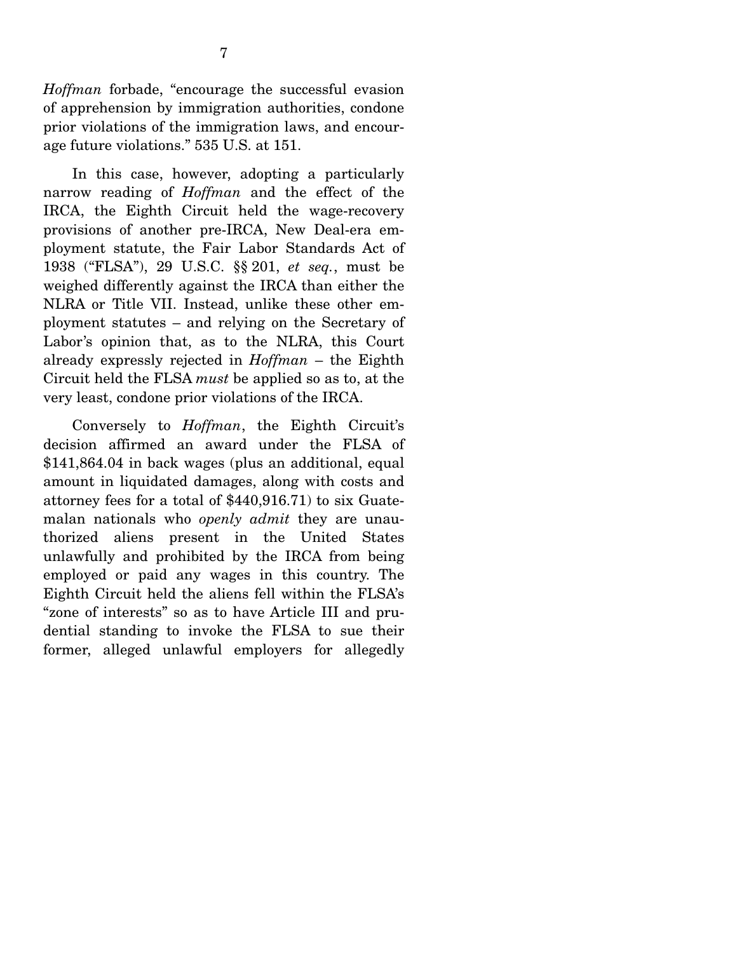*Hoffman* forbade, "encourage the successful evasion of apprehension by immigration authorities, condone prior violations of the immigration laws, and encourage future violations." 535 U.S. at 151.

 In this case, however, adopting a particularly narrow reading of *Hoffman* and the effect of the IRCA, the Eighth Circuit held the wage-recovery provisions of another pre-IRCA, New Deal-era employment statute, the Fair Labor Standards Act of 1938 ("FLSA"), 29 U.S.C. §§ 201, *et seq.*, must be weighed differently against the IRCA than either the NLRA or Title VII. Instead, unlike these other employment statutes – and relying on the Secretary of Labor's opinion that, as to the NLRA, this Court already expressly rejected in *Hoffman* – the Eighth Circuit held the FLSA *must* be applied so as to, at the very least, condone prior violations of the IRCA.

 Conversely to *Hoffman*, the Eighth Circuit's decision affirmed an award under the FLSA of \$141,864.04 in back wages (plus an additional, equal amount in liquidated damages, along with costs and attorney fees for a total of \$440,916.71) to six Guatemalan nationals who *openly admit* they are unauthorized aliens present in the United States unlawfully and prohibited by the IRCA from being employed or paid any wages in this country. The Eighth Circuit held the aliens fell within the FLSA's "zone of interests" so as to have Article III and prudential standing to invoke the FLSA to sue their former, alleged unlawful employers for allegedly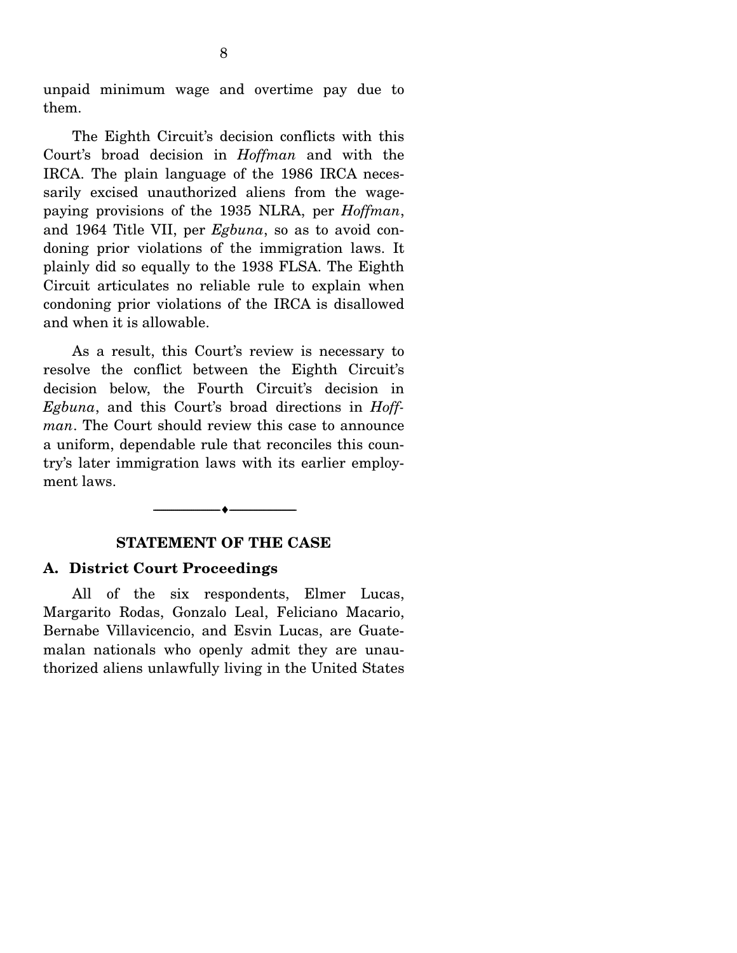unpaid minimum wage and overtime pay due to them.

 The Eighth Circuit's decision conflicts with this Court's broad decision in *Hoffman* and with the IRCA. The plain language of the 1986 IRCA necessarily excised unauthorized aliens from the wagepaying provisions of the 1935 NLRA, per *Hoffman*, and 1964 Title VII, per *Egbuna*, so as to avoid condoning prior violations of the immigration laws. It plainly did so equally to the 1938 FLSA. The Eighth Circuit articulates no reliable rule to explain when condoning prior violations of the IRCA is disallowed and when it is allowable.

 As a result, this Court's review is necessary to resolve the conflict between the Eighth Circuit's decision below, the Fourth Circuit's decision in *Egbuna*, and this Court's broad directions in *Hoffman*. The Court should review this case to announce a uniform, dependable rule that reconciles this country's later immigration laws with its earlier employment laws.

#### **STATEMENT OF THE CASE**

--------------------------------- ---------------------------------

#### **A. District Court Proceedings**

 All of the six respondents, Elmer Lucas, Margarito Rodas, Gonzalo Leal, Feliciano Macario, Bernabe Villavicencio, and Esvin Lucas, are Guatemalan nationals who openly admit they are unauthorized aliens unlawfully living in the United States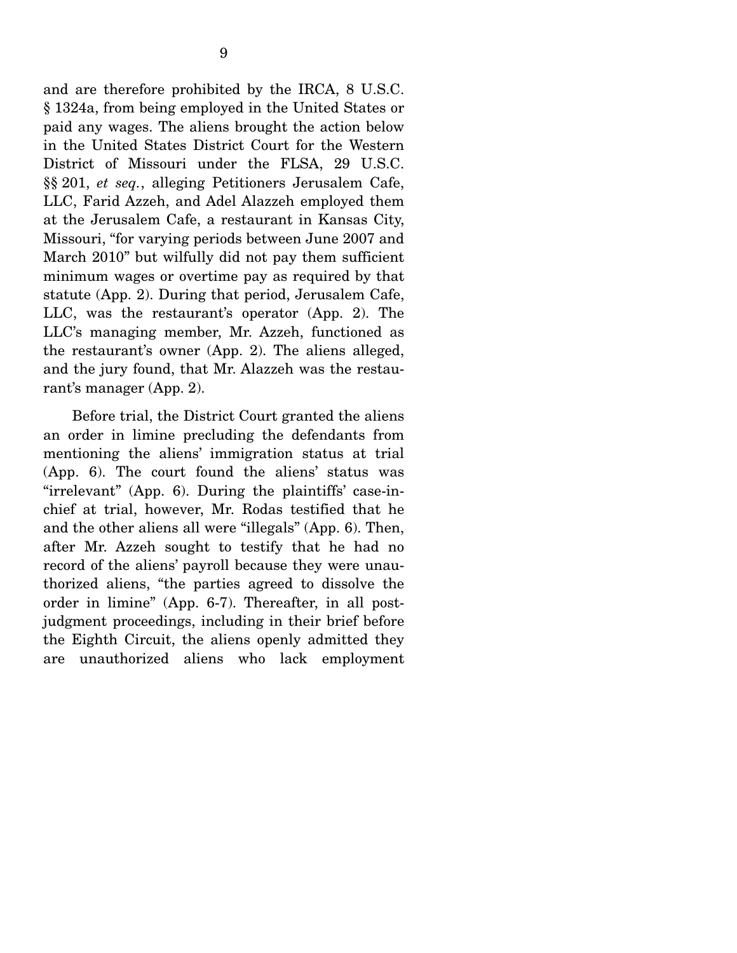and are therefore prohibited by the IRCA, 8 U.S.C. § 1324a, from being employed in the United States or paid any wages. The aliens brought the action below in the United States District Court for the Western District of Missouri under the FLSA, 29 U.S.C. §§ 201, *et seq.*, alleging Petitioners Jerusalem Cafe, LLC, Farid Azzeh, and Adel Alazzeh employed them at the Jerusalem Cafe, a restaurant in Kansas City, Missouri, "for varying periods between June 2007 and March 2010" but wilfully did not pay them sufficient minimum wages or overtime pay as required by that statute (App. 2). During that period, Jerusalem Cafe, LLC, was the restaurant's operator (App. 2). The LLC's managing member, Mr. Azzeh, functioned as the restaurant's owner (App. 2). The aliens alleged, and the jury found, that Mr. Alazzeh was the restaurant's manager (App. 2).

 Before trial, the District Court granted the aliens an order in limine precluding the defendants from mentioning the aliens' immigration status at trial (App. 6). The court found the aliens' status was "irrelevant" (App. 6). During the plaintiffs' case-inchief at trial, however, Mr. Rodas testified that he and the other aliens all were "illegals" (App. 6). Then, after Mr. Azzeh sought to testify that he had no record of the aliens' payroll because they were unauthorized aliens, "the parties agreed to dissolve the order in limine" (App. 6-7). Thereafter, in all postjudgment proceedings, including in their brief before the Eighth Circuit, the aliens openly admitted they are unauthorized aliens who lack employment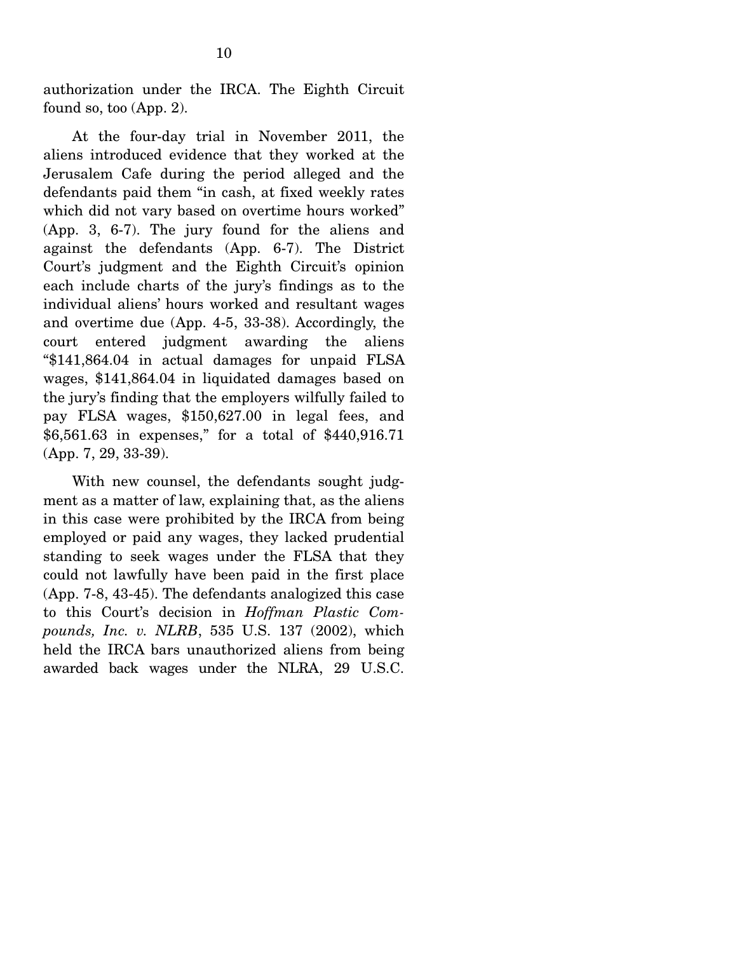authorization under the IRCA. The Eighth Circuit found so, too (App. 2).

 At the four-day trial in November 2011, the aliens introduced evidence that they worked at the Jerusalem Cafe during the period alleged and the defendants paid them "in cash, at fixed weekly rates which did not vary based on overtime hours worked" (App. 3, 6-7). The jury found for the aliens and against the defendants (App. 6-7). The District Court's judgment and the Eighth Circuit's opinion each include charts of the jury's findings as to the individual aliens' hours worked and resultant wages and overtime due (App. 4-5, 33-38). Accordingly, the court entered judgment awarding the aliens "\$141,864.04 in actual damages for unpaid FLSA wages, \$141,864.04 in liquidated damages based on the jury's finding that the employers wilfully failed to pay FLSA wages, \$150,627.00 in legal fees, and \$6,561.63 in expenses," for a total of \$440,916.71 (App. 7, 29, 33-39).

 With new counsel, the defendants sought judgment as a matter of law, explaining that, as the aliens in this case were prohibited by the IRCA from being employed or paid any wages, they lacked prudential standing to seek wages under the FLSA that they could not lawfully have been paid in the first place (App. 7-8, 43-45). The defendants analogized this case to this Court's decision in *Hoffman Plastic Compounds, Inc. v. NLRB*, 535 U.S. 137 (2002), which held the IRCA bars unauthorized aliens from being awarded back wages under the NLRA, 29 U.S.C.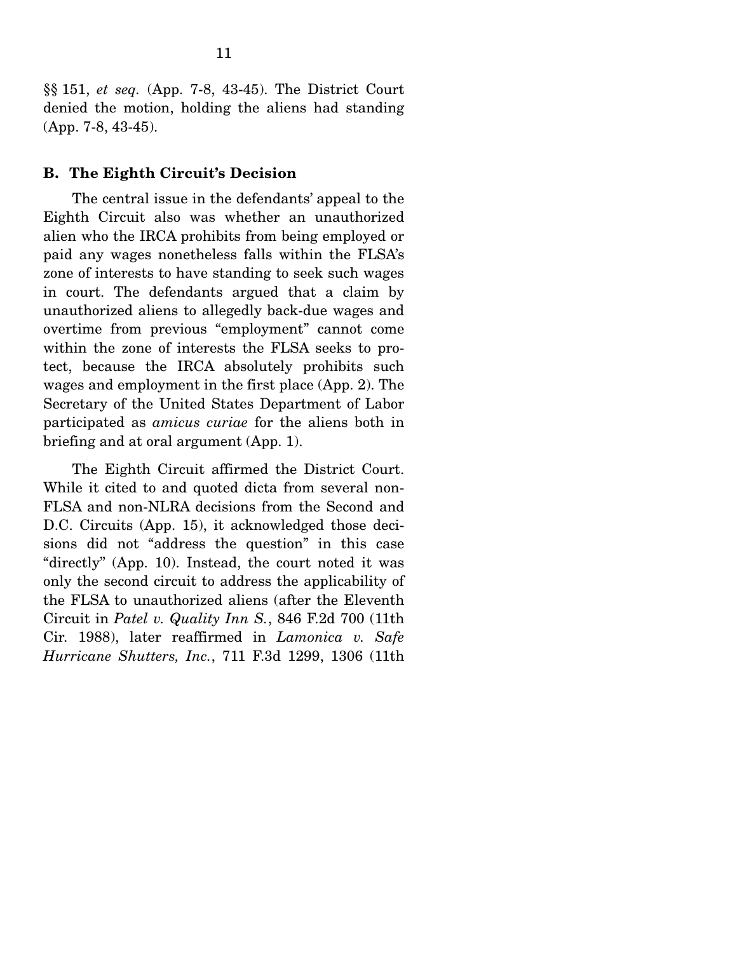§§ 151, *et seq.* (App. 7-8, 43-45). The District Court denied the motion, holding the aliens had standing (App. 7-8, 43-45).

#### **B. The Eighth Circuit's Decision**

 The central issue in the defendants' appeal to the Eighth Circuit also was whether an unauthorized alien who the IRCA prohibits from being employed or paid any wages nonetheless falls within the FLSA's zone of interests to have standing to seek such wages in court. The defendants argued that a claim by unauthorized aliens to allegedly back-due wages and overtime from previous "employment" cannot come within the zone of interests the FLSA seeks to protect, because the IRCA absolutely prohibits such wages and employment in the first place (App. 2). The Secretary of the United States Department of Labor participated as *amicus curiae* for the aliens both in briefing and at oral argument (App. 1).

 The Eighth Circuit affirmed the District Court. While it cited to and quoted dicta from several non-FLSA and non-NLRA decisions from the Second and D.C. Circuits (App. 15), it acknowledged those decisions did not "address the question" in this case "directly" (App. 10). Instead, the court noted it was only the second circuit to address the applicability of the FLSA to unauthorized aliens (after the Eleventh Circuit in *Patel v. Quality Inn S.*, 846 F.2d 700 (11th Cir. 1988), later reaffirmed in *Lamonica v. Safe Hurricane Shutters, Inc.*, 711 F.3d 1299, 1306 (11th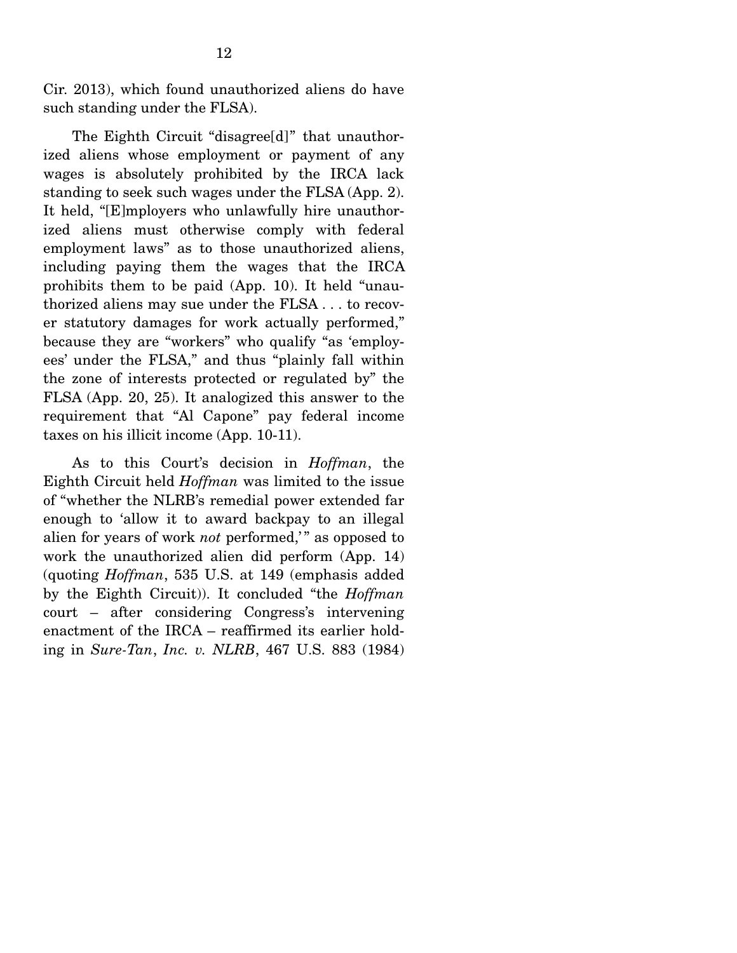Cir. 2013), which found unauthorized aliens do have such standing under the FLSA).

 The Eighth Circuit "disagree[d]" that unauthorized aliens whose employment or payment of any wages is absolutely prohibited by the IRCA lack standing to seek such wages under the FLSA (App. 2). It held, "[E]mployers who unlawfully hire unauthorized aliens must otherwise comply with federal employment laws" as to those unauthorized aliens, including paying them the wages that the IRCA prohibits them to be paid (App. 10). It held "unauthorized aliens may sue under the FLSA . . . to recover statutory damages for work actually performed," because they are "workers" who qualify "as 'employees' under the FLSA," and thus "plainly fall within the zone of interests protected or regulated by" the FLSA (App. 20, 25). It analogized this answer to the requirement that "Al Capone" pay federal income taxes on his illicit income (App. 10-11).

 As to this Court's decision in *Hoffman*, the Eighth Circuit held *Hoffman* was limited to the issue of "whether the NLRB's remedial power extended far enough to 'allow it to award backpay to an illegal alien for years of work *not* performed," as opposed to work the unauthorized alien did perform (App. 14) (quoting *Hoffman*, 535 U.S. at 149 (emphasis added by the Eighth Circuit)). It concluded "the *Hoffman* court – after considering Congress's intervening enactment of the IRCA – reaffirmed its earlier holding in *Sure-Tan*, *Inc. v. NLRB*, 467 U.S. 883 (1984)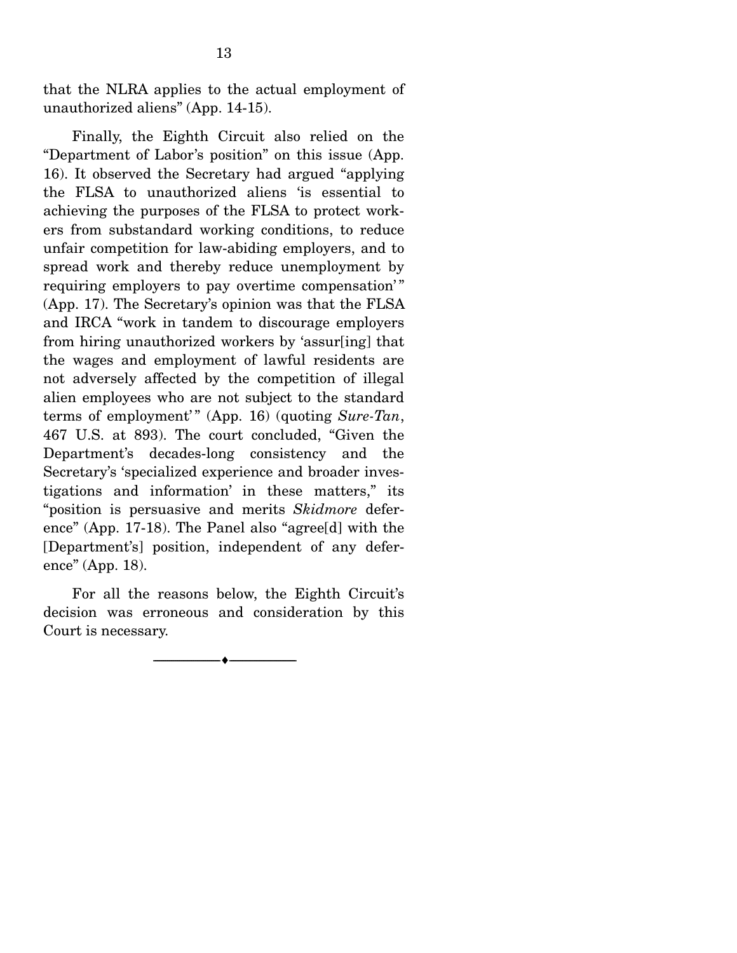that the NLRA applies to the actual employment of unauthorized aliens" (App. 14-15).

 Finally, the Eighth Circuit also relied on the "Department of Labor's position" on this issue (App. 16). It observed the Secretary had argued "applying the FLSA to unauthorized aliens 'is essential to achieving the purposes of the FLSA to protect workers from substandard working conditions, to reduce unfair competition for law-abiding employers, and to spread work and thereby reduce unemployment by requiring employers to pay overtime compensation'" (App. 17). The Secretary's opinion was that the FLSA and IRCA "work in tandem to discourage employers from hiring unauthorized workers by 'assur[ing] that the wages and employment of lawful residents are not adversely affected by the competition of illegal alien employees who are not subject to the standard terms of employment'" (App. 16) (quoting *Sure-Tan*, 467 U.S. at 893). The court concluded, "Given the Department's decades-long consistency and the Secretary's 'specialized experience and broader investigations and information' in these matters," its "position is persuasive and merits *Skidmore* deference" (App. 17-18). The Panel also "agree[d] with the [Department's] position, independent of any deference" (App. 18).

 For all the reasons below, the Eighth Circuit's decision was erroneous and consideration by this Court is necessary.

--------------------------------- ---------------------------------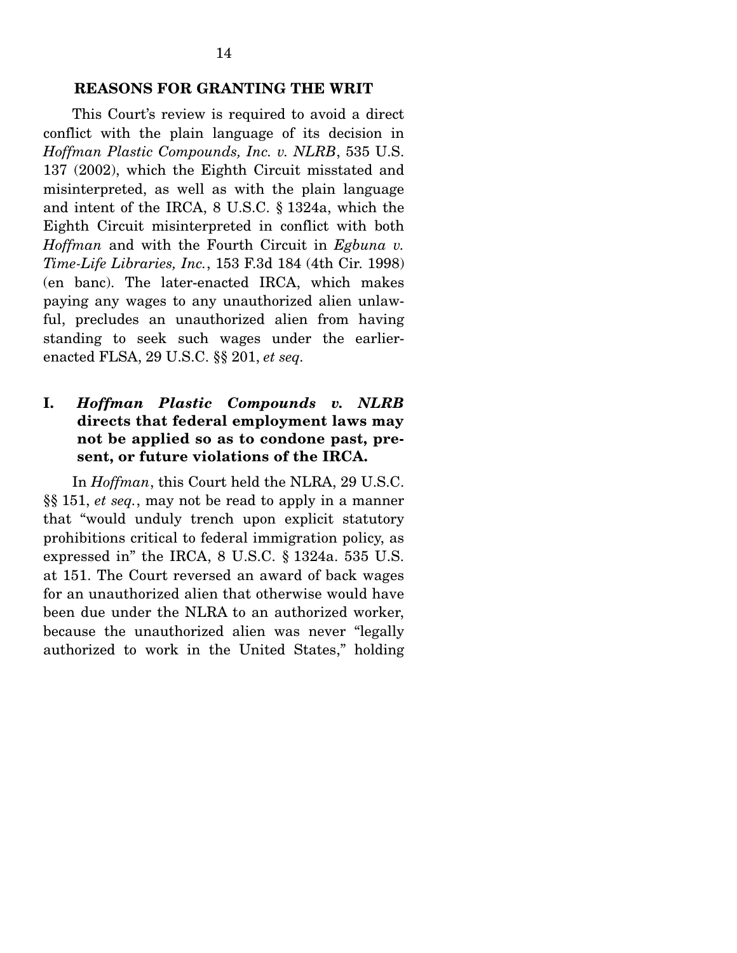14

 This Court's review is required to avoid a direct conflict with the plain language of its decision in *Hoffman Plastic Compounds, Inc. v. NLRB*, 535 U.S. 137 (2002), which the Eighth Circuit misstated and misinterpreted, as well as with the plain language and intent of the IRCA, 8 U.S.C. § 1324a, which the Eighth Circuit misinterpreted in conflict with both *Hoffman* and with the Fourth Circuit in *Egbuna v. Time-Life Libraries, Inc.*, 153 F.3d 184 (4th Cir. 1998) (en banc). The later-enacted IRCA, which makes paying any wages to any unauthorized alien unlawful, precludes an unauthorized alien from having standing to seek such wages under the earlierenacted FLSA, 29 U.S.C. §§ 201, *et seq.*

## **I.** *Hoffman Plastic Compounds v. NLRB* **directs that federal employment laws may not be applied so as to condone past, present, or future violations of the IRCA.**

 In *Hoffman*, this Court held the NLRA, 29 U.S.C. §§ 151, *et seq.*, may not be read to apply in a manner that "would unduly trench upon explicit statutory prohibitions critical to federal immigration policy, as expressed in" the IRCA, 8 U.S.C. § 1324a. 535 U.S. at 151. The Court reversed an award of back wages for an unauthorized alien that otherwise would have been due under the NLRA to an authorized worker, because the unauthorized alien was never "legally authorized to work in the United States," holding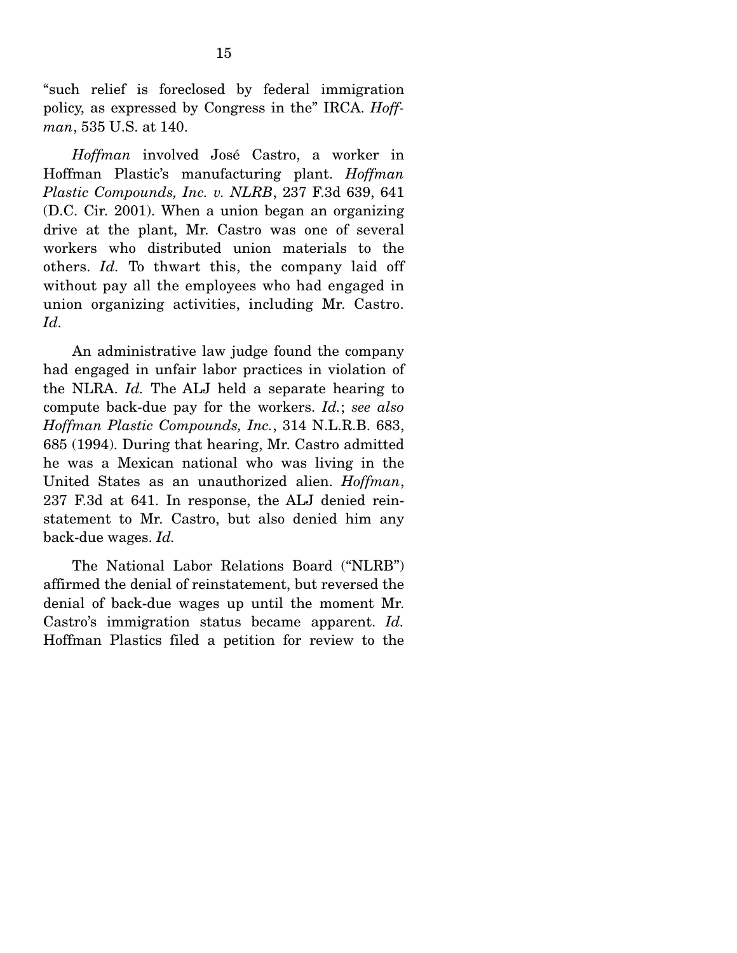"such relief is foreclosed by federal immigration policy, as expressed by Congress in the" IRCA. *Hoffman*, 535 U.S. at 140.

*Hoffman* involved José Castro, a worker in Hoffman Plastic's manufacturing plant. *Hoffman Plastic Compounds, Inc. v. NLRB*, 237 F.3d 639, 641 (D.C. Cir. 2001). When a union began an organizing drive at the plant, Mr. Castro was one of several workers who distributed union materials to the others. *Id.* To thwart this, the company laid off without pay all the employees who had engaged in union organizing activities, including Mr. Castro. *Id.*

 An administrative law judge found the company had engaged in unfair labor practices in violation of the NLRA. *Id.* The ALJ held a separate hearing to compute back-due pay for the workers. *Id.*; *see also Hoffman Plastic Compounds, Inc.*, 314 N.L.R.B. 683, 685 (1994). During that hearing, Mr. Castro admitted he was a Mexican national who was living in the United States as an unauthorized alien. *Hoffman*, 237 F.3d at 641. In response, the ALJ denied reinstatement to Mr. Castro, but also denied him any back-due wages. *Id.*

 The National Labor Relations Board ("NLRB") affirmed the denial of reinstatement, but reversed the denial of back-due wages up until the moment Mr. Castro's immigration status became apparent. *Id.* Hoffman Plastics filed a petition for review to the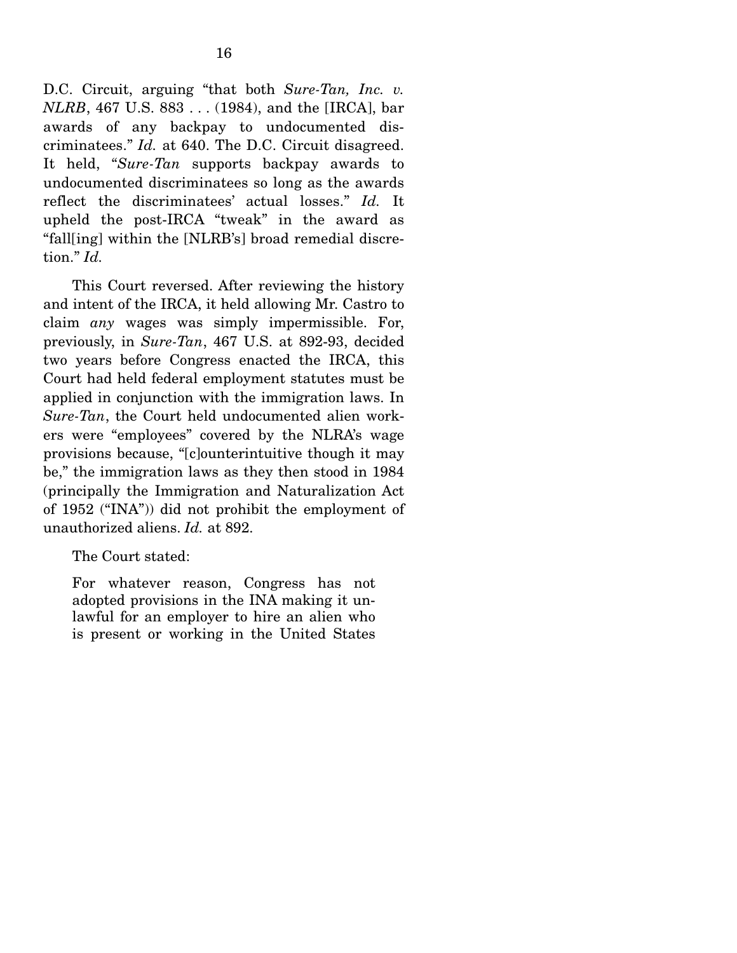D.C. Circuit, arguing "that both *Sure-Tan, Inc. v. NLRB*, 467 U.S. 883 . . . (1984), and the [IRCA], bar awards of any backpay to undocumented discriminatees." *Id.* at 640. The D.C. Circuit disagreed. It held, "*Sure-Tan* supports backpay awards to undocumented discriminatees so long as the awards reflect the discriminatees' actual losses." *Id.* It upheld the post-IRCA "tweak" in the award as "fall[ing] within the [NLRB's] broad remedial discretion." *Id.*

 This Court reversed. After reviewing the history and intent of the IRCA, it held allowing Mr. Castro to claim *any* wages was simply impermissible. For, previously, in *Sure-Tan*, 467 U.S. at 892-93, decided two years before Congress enacted the IRCA, this Court had held federal employment statutes must be applied in conjunction with the immigration laws. In *Sure-Tan*, the Court held undocumented alien workers were "employees" covered by the NLRA's wage provisions because, "[c]ounterintuitive though it may be," the immigration laws as they then stood in 1984 (principally the Immigration and Naturalization Act of 1952 ("INA")) did not prohibit the employment of unauthorized aliens. *Id.* at 892.

The Court stated:

For whatever reason, Congress has not adopted provisions in the INA making it unlawful for an employer to hire an alien who is present or working in the United States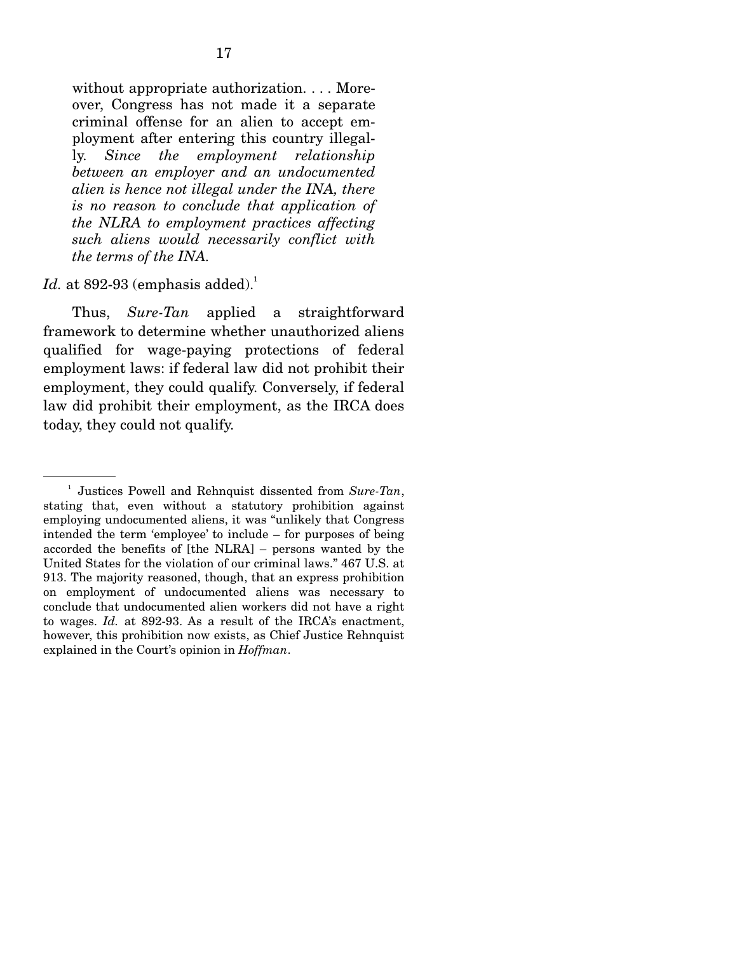without appropriate authorization. . . . Moreover, Congress has not made it a separate criminal offense for an alien to accept employment after entering this country illegally. *Since the employment relationship between an employer and an undocumented alien is hence not illegal under the INA, there is no reason to conclude that application of the NLRA to employment practices affecting such aliens would necessarily conflict with the terms of the INA.*

### $Id.$  at 892-93 (emphasis added).<sup>1</sup>

 Thus, *Sure-Tan* applied a straightforward framework to determine whether unauthorized aliens qualified for wage-paying protections of federal employment laws: if federal law did not prohibit their employment, they could qualify. Conversely, if federal law did prohibit their employment, as the IRCA does today, they could not qualify.

<sup>&</sup>lt;sup>1</sup> Justices Powell and Rehnquist dissented from *Sure-Tan*, stating that, even without a statutory prohibition against employing undocumented aliens, it was "unlikely that Congress intended the term 'employee' to include – for purposes of being accorded the benefits of [the NLRA] – persons wanted by the United States for the violation of our criminal laws." 467 U.S. at 913. The majority reasoned, though, that an express prohibition on employment of undocumented aliens was necessary to conclude that undocumented alien workers did not have a right to wages. *Id.* at 892-93. As a result of the IRCA's enactment, however, this prohibition now exists, as Chief Justice Rehnquist explained in the Court's opinion in *Hoffman*.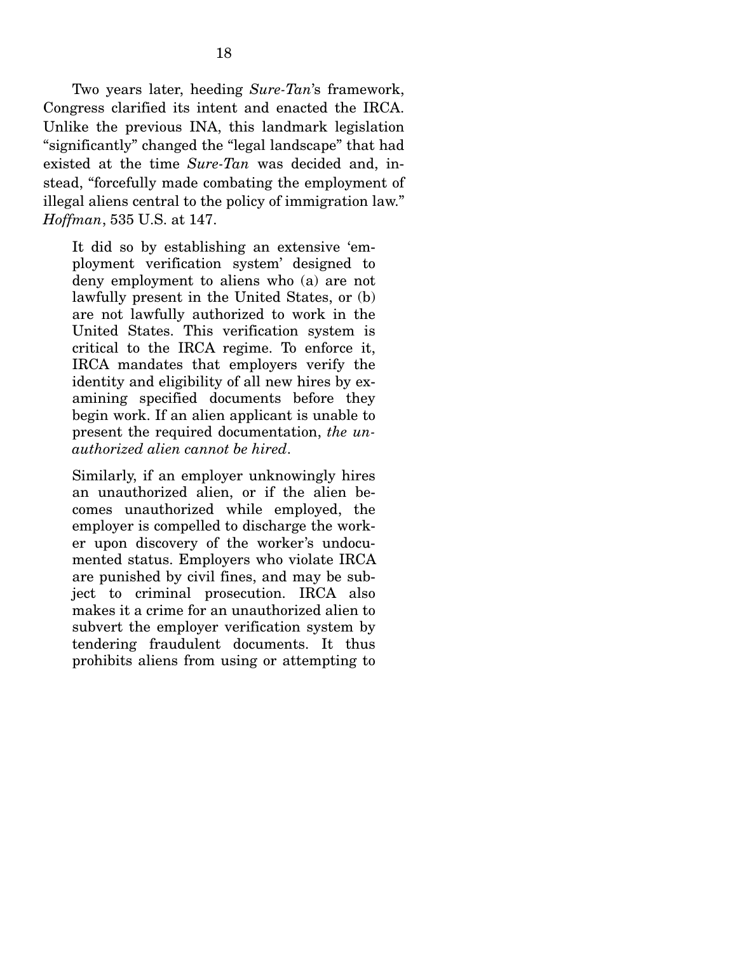Two years later, heeding *Sure-Tan*'s framework, Congress clarified its intent and enacted the IRCA. Unlike the previous INA, this landmark legislation "significantly" changed the "legal landscape" that had existed at the time *Sure-Tan* was decided and, instead, "forcefully made combating the employment of illegal aliens central to the policy of immigration law." *Hoffman*, 535 U.S. at 147.

It did so by establishing an extensive 'employment verification system' designed to deny employment to aliens who (a) are not lawfully present in the United States, or (b) are not lawfully authorized to work in the United States. This verification system is critical to the IRCA regime. To enforce it, IRCA mandates that employers verify the identity and eligibility of all new hires by examining specified documents before they begin work. If an alien applicant is unable to present the required documentation, *the unauthorized alien cannot be hired*.

Similarly, if an employer unknowingly hires an unauthorized alien, or if the alien becomes unauthorized while employed, the employer is compelled to discharge the worker upon discovery of the worker's undocumented status. Employers who violate IRCA are punished by civil fines, and may be subject to criminal prosecution. IRCA also makes it a crime for an unauthorized alien to subvert the employer verification system by tendering fraudulent documents. It thus prohibits aliens from using or attempting to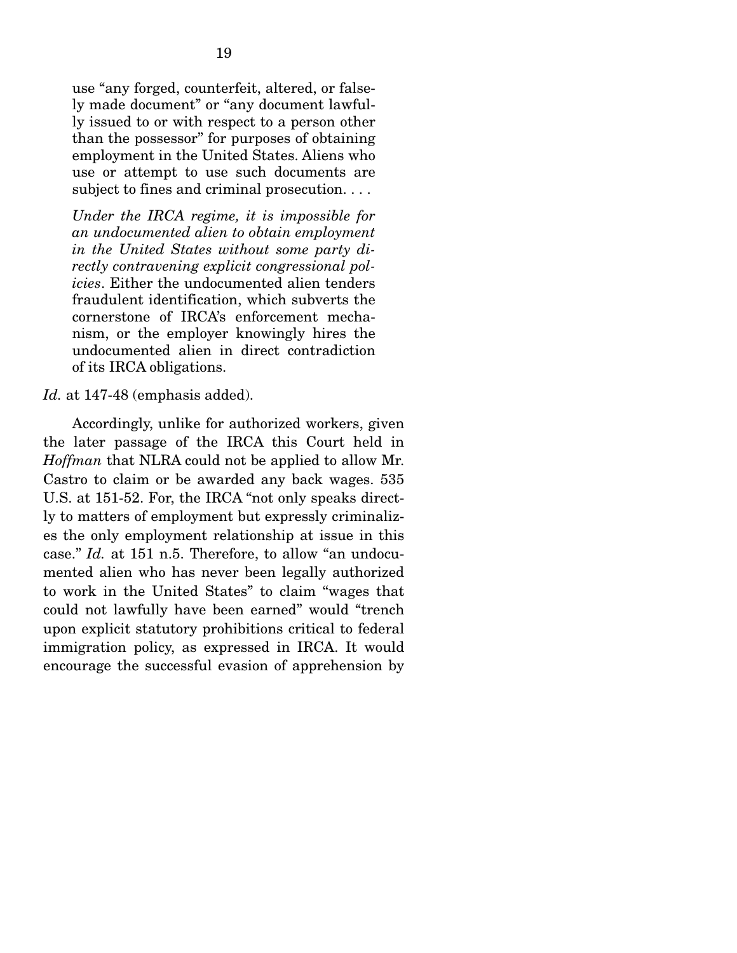use "any forged, counterfeit, altered, or falsely made document" or "any document lawfully issued to or with respect to a person other than the possessor" for purposes of obtaining employment in the United States. Aliens who use or attempt to use such documents are subject to fines and criminal prosecution. . . .

*Under the IRCA regime, it is impossible for an undocumented alien to obtain employment in the United States without some party directly contravening explicit congressional policies*. Either the undocumented alien tenders fraudulent identification, which subverts the cornerstone of IRCA's enforcement mechanism, or the employer knowingly hires the undocumented alien in direct contradiction of its IRCA obligations.

#### *Id.* at 147-48 (emphasis added).

 Accordingly, unlike for authorized workers, given the later passage of the IRCA this Court held in *Hoffman* that NLRA could not be applied to allow Mr. Castro to claim or be awarded any back wages. 535 U.S. at 151-52. For, the IRCA "not only speaks directly to matters of employment but expressly criminalizes the only employment relationship at issue in this case." *Id.* at 151 n.5. Therefore, to allow "an undocumented alien who has never been legally authorized to work in the United States" to claim "wages that could not lawfully have been earned" would "trench upon explicit statutory prohibitions critical to federal immigration policy, as expressed in IRCA. It would encourage the successful evasion of apprehension by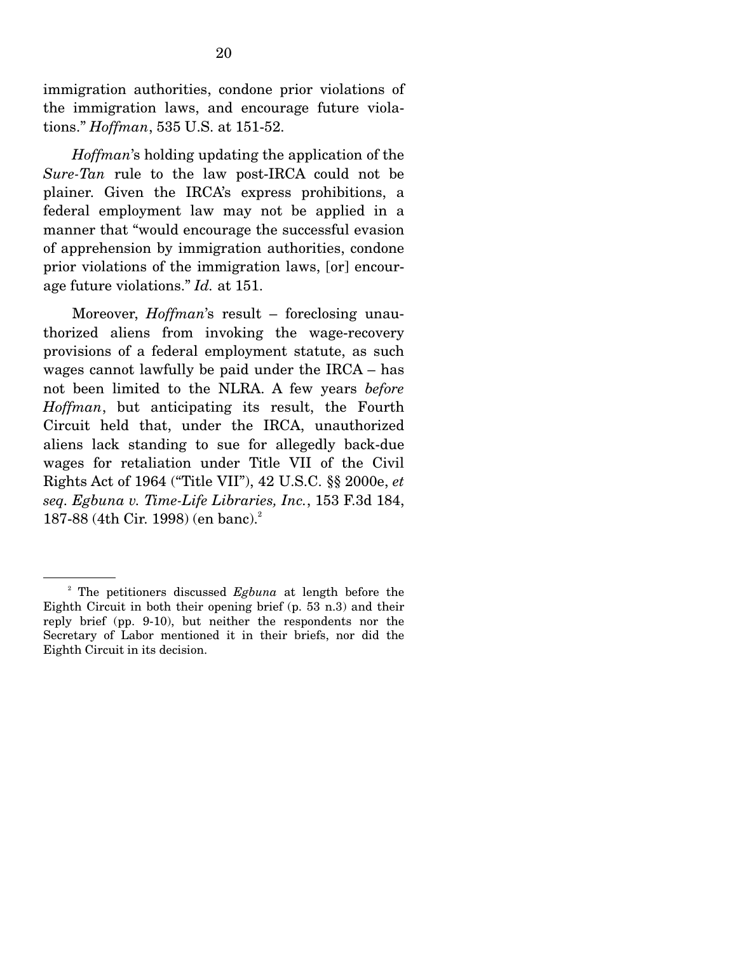immigration authorities, condone prior violations of the immigration laws, and encourage future violations." *Hoffman*, 535 U.S. at 151-52.

*Hoffman*'s holding updating the application of the *Sure-Tan* rule to the law post-IRCA could not be plainer. Given the IRCA's express prohibitions, a federal employment law may not be applied in a manner that "would encourage the successful evasion of apprehension by immigration authorities, condone prior violations of the immigration laws, [or] encourage future violations." *Id.* at 151.

 Moreover, *Hoffman*'s result – foreclosing unauthorized aliens from invoking the wage-recovery provisions of a federal employment statute, as such wages cannot lawfully be paid under the IRCA – has not been limited to the NLRA. A few years *before Hoffman*, but anticipating its result, the Fourth Circuit held that, under the IRCA, unauthorized aliens lack standing to sue for allegedly back-due wages for retaliation under Title VII of the Civil Rights Act of 1964 ("Title VII"), 42 U.S.C. §§ 2000e, *et seq. Egbuna v. Time-Life Libraries, Inc.*, 153 F.3d 184, 187-88 (4th Cir. 1998) (en banc).<sup>2</sup>

<sup>2</sup> The petitioners discussed *Egbuna* at length before the Eighth Circuit in both their opening brief (p. 53 n.3) and their reply brief (pp. 9-10), but neither the respondents nor the Secretary of Labor mentioned it in their briefs, nor did the Eighth Circuit in its decision.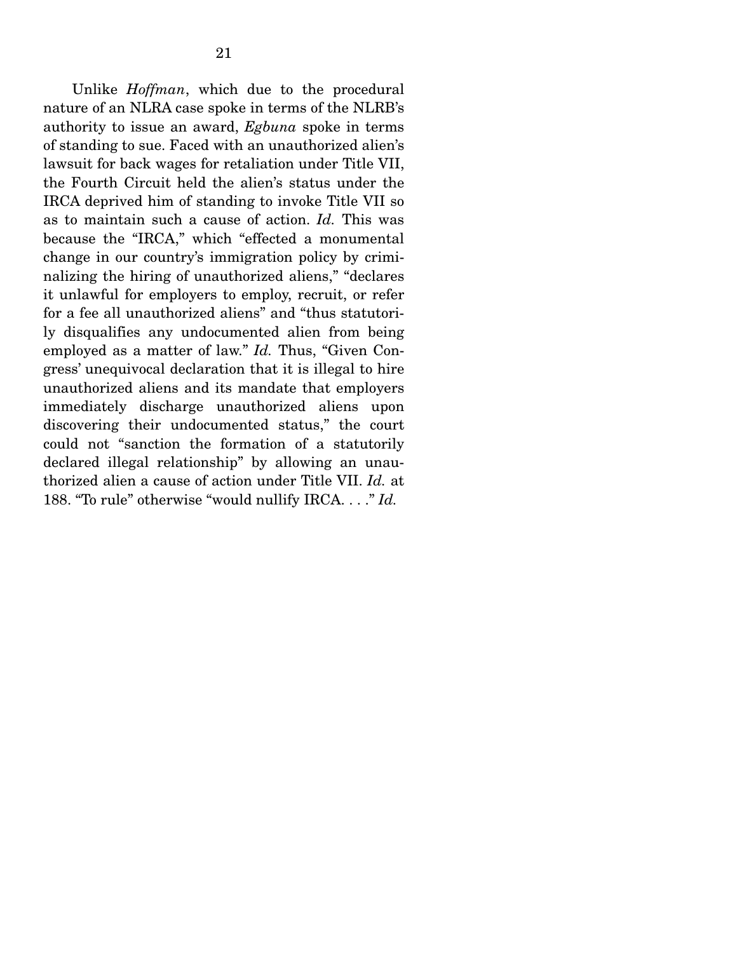Unlike *Hoffman*, which due to the procedural nature of an NLRA case spoke in terms of the NLRB's authority to issue an award, *Egbuna* spoke in terms of standing to sue. Faced with an unauthorized alien's lawsuit for back wages for retaliation under Title VII, the Fourth Circuit held the alien's status under the IRCA deprived him of standing to invoke Title VII so as to maintain such a cause of action. *Id.* This was because the "IRCA," which "effected a monumental change in our country's immigration policy by criminalizing the hiring of unauthorized aliens," "declares it unlawful for employers to employ, recruit, or refer for a fee all unauthorized aliens" and "thus statutorily disqualifies any undocumented alien from being employed as a matter of law." *Id.* Thus, "Given Congress' unequivocal declaration that it is illegal to hire unauthorized aliens and its mandate that employers immediately discharge unauthorized aliens upon discovering their undocumented status," the court could not "sanction the formation of a statutorily declared illegal relationship" by allowing an unauthorized alien a cause of action under Title VII. *Id.* at 188. "To rule" otherwise "would nullify IRCA. . . ." *Id.*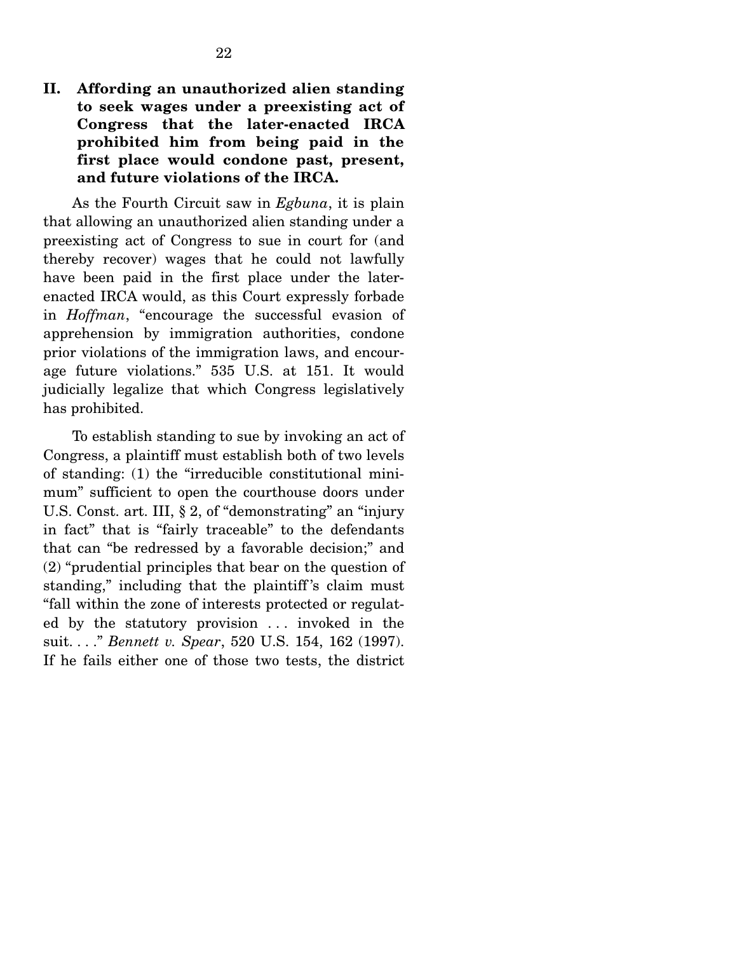**II. Affording an unauthorized alien standing to seek wages under a preexisting act of Congress that the later-enacted IRCA prohibited him from being paid in the first place would condone past, present, and future violations of the IRCA.**

 As the Fourth Circuit saw in *Egbuna*, it is plain that allowing an unauthorized alien standing under a preexisting act of Congress to sue in court for (and thereby recover) wages that he could not lawfully have been paid in the first place under the laterenacted IRCA would, as this Court expressly forbade in *Hoffman*, "encourage the successful evasion of apprehension by immigration authorities, condone prior violations of the immigration laws, and encourage future violations." 535 U.S. at 151. It would judicially legalize that which Congress legislatively has prohibited.

 To establish standing to sue by invoking an act of Congress, a plaintiff must establish both of two levels of standing: (1) the "irreducible constitutional minimum" sufficient to open the courthouse doors under U.S. Const. art. III, § 2, of "demonstrating" an "injury in fact" that is "fairly traceable" to the defendants that can "be redressed by a favorable decision;" and (2) "prudential principles that bear on the question of standing," including that the plaintiff 's claim must "fall within the zone of interests protected or regulated by the statutory provision . . . invoked in the suit. . . ." *Bennett v. Spear*, 520 U.S. 154, 162 (1997). If he fails either one of those two tests, the district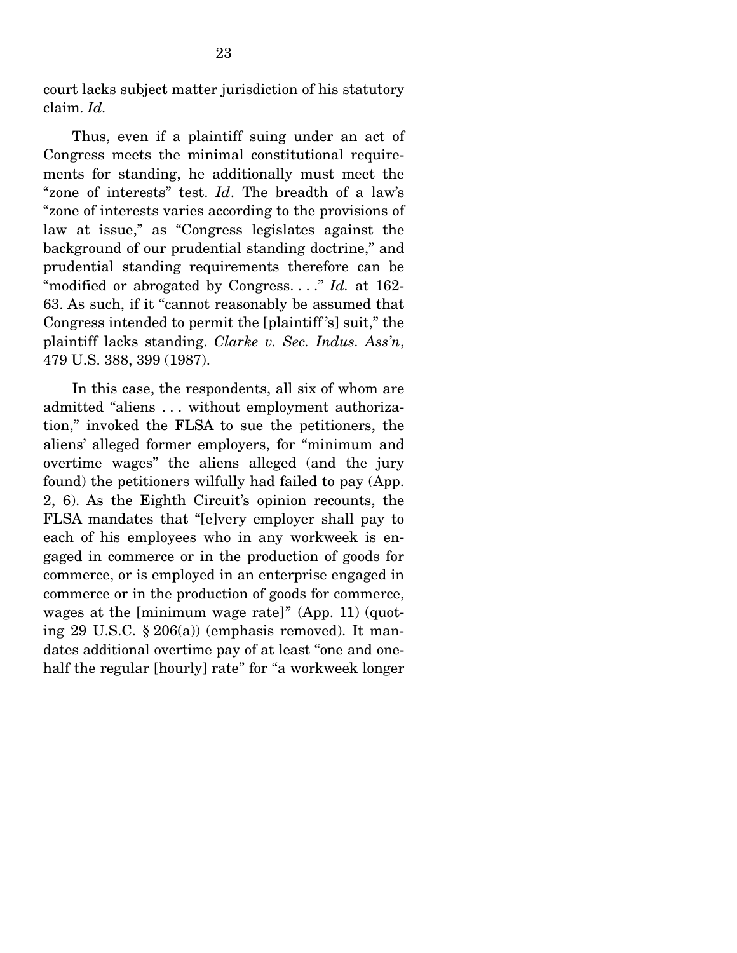court lacks subject matter jurisdiction of his statutory claim. *Id.*

 Thus, even if a plaintiff suing under an act of Congress meets the minimal constitutional requirements for standing, he additionally must meet the "zone of interests" test. *Id*. The breadth of a law's "zone of interests varies according to the provisions of law at issue," as "Congress legislates against the background of our prudential standing doctrine," and prudential standing requirements therefore can be "modified or abrogated by Congress. . . ." *Id.* at 162- 63. As such, if it "cannot reasonably be assumed that Congress intended to permit the [plaintiff 's] suit," the plaintiff lacks standing. *Clarke v. Sec. Indus. Ass'n*, 479 U.S. 388, 399 (1987).

 In this case, the respondents, all six of whom are admitted "aliens . . . without employment authorization," invoked the FLSA to sue the petitioners, the aliens' alleged former employers, for "minimum and overtime wages" the aliens alleged (and the jury found) the petitioners wilfully had failed to pay (App. 2, 6). As the Eighth Circuit's opinion recounts, the FLSA mandates that "[e]very employer shall pay to each of his employees who in any workweek is engaged in commerce or in the production of goods for commerce, or is employed in an enterprise engaged in commerce or in the production of goods for commerce, wages at the [minimum wage rate]" (App. 11) (quoting 29 U.S.C. § 206(a)) (emphasis removed). It mandates additional overtime pay of at least "one and onehalf the regular [hourly] rate" for "a workweek longer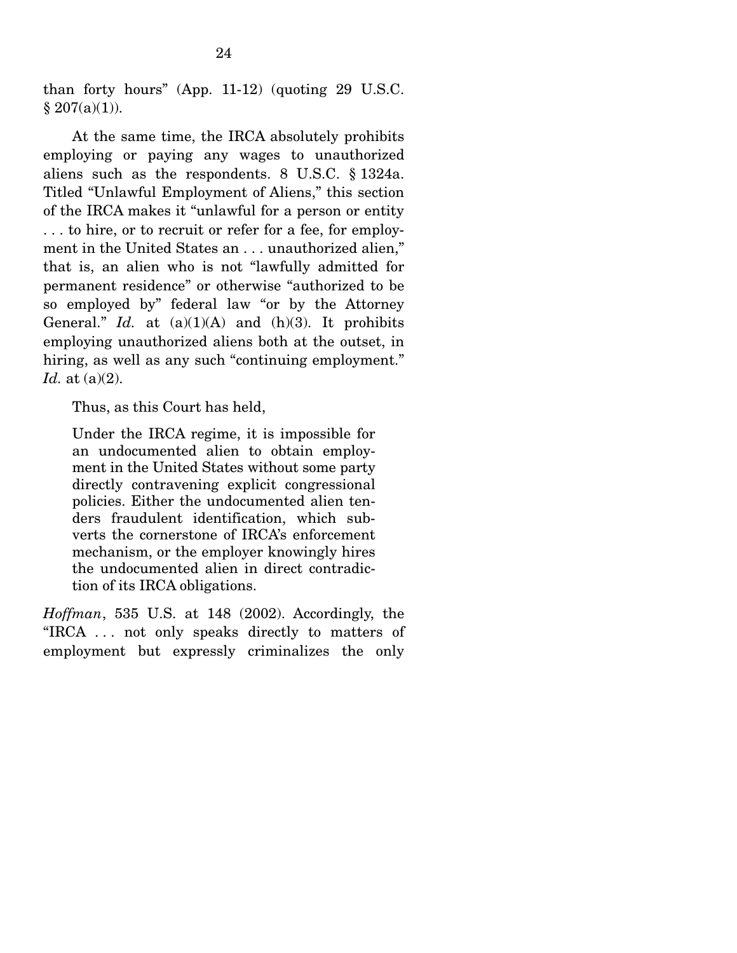than forty hours" (App. 11-12) (quoting 29 U.S.C.  $§ 207(a)(1)).$ 

 At the same time, the IRCA absolutely prohibits employing or paying any wages to unauthorized aliens such as the respondents. 8 U.S.C. § 1324a. Titled "Unlawful Employment of Aliens," this section of the IRCA makes it "unlawful for a person or entity . . . to hire, or to recruit or refer for a fee, for employment in the United States an . . . unauthorized alien," that is, an alien who is not "lawfully admitted for permanent residence" or otherwise "authorized to be so employed by" federal law "or by the Attorney General." *Id.* at  $(a)(1)(A)$  and  $(h)(3)$ . It prohibits employing unauthorized aliens both at the outset, in hiring, as well as any such "continuing employment." *Id.* at (a)(2).

Thus, as this Court has held,

Under the IRCA regime, it is impossible for an undocumented alien to obtain employment in the United States without some party directly contravening explicit congressional policies. Either the undocumented alien tenders fraudulent identification, which subverts the cornerstone of IRCA's enforcement mechanism, or the employer knowingly hires the undocumented alien in direct contradiction of its IRCA obligations.

*Hoffman*, 535 U.S. at 148 (2002). Accordingly, the "IRCA . . . not only speaks directly to matters of employment but expressly criminalizes the only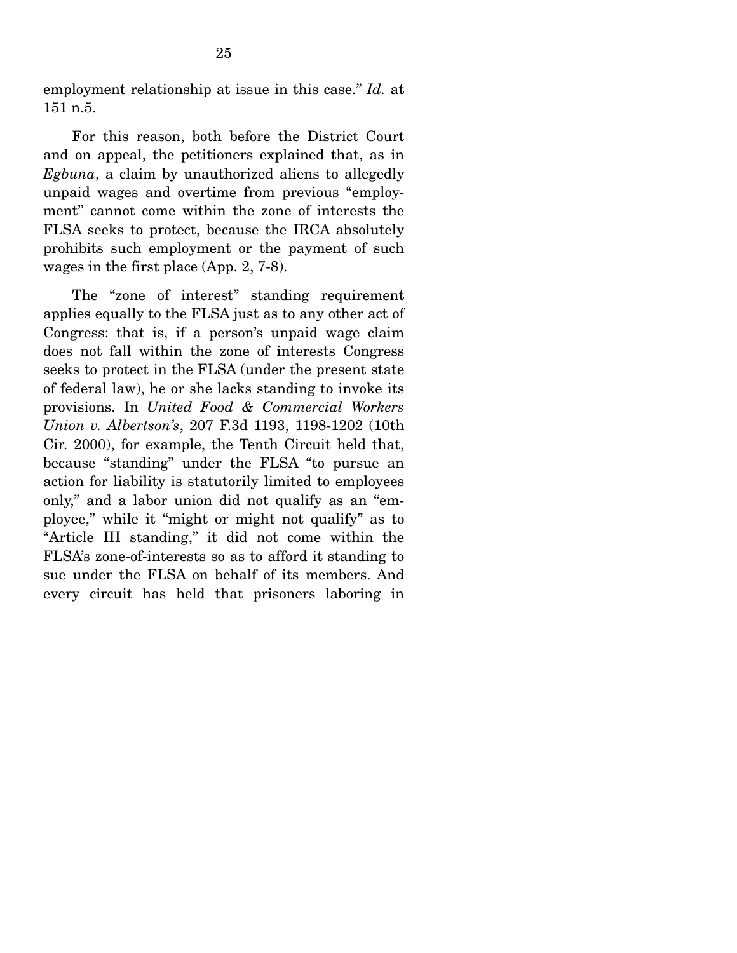employment relationship at issue in this case." *Id.* at 151 n.5.

 For this reason, both before the District Court and on appeal, the petitioners explained that, as in *Egbuna*, a claim by unauthorized aliens to allegedly unpaid wages and overtime from previous "employment" cannot come within the zone of interests the FLSA seeks to protect, because the IRCA absolutely prohibits such employment or the payment of such wages in the first place (App. 2, 7-8).

 The "zone of interest" standing requirement applies equally to the FLSA just as to any other act of Congress: that is, if a person's unpaid wage claim does not fall within the zone of interests Congress seeks to protect in the FLSA (under the present state of federal law), he or she lacks standing to invoke its provisions. In *United Food & Commercial Workers Union v. Albertson's*, 207 F.3d 1193, 1198-1202 (10th Cir. 2000), for example, the Tenth Circuit held that, because "standing" under the FLSA "to pursue an action for liability is statutorily limited to employees only," and a labor union did not qualify as an "employee," while it "might or might not qualify" as to "Article III standing," it did not come within the FLSA's zone-of-interests so as to afford it standing to sue under the FLSA on behalf of its members. And every circuit has held that prisoners laboring in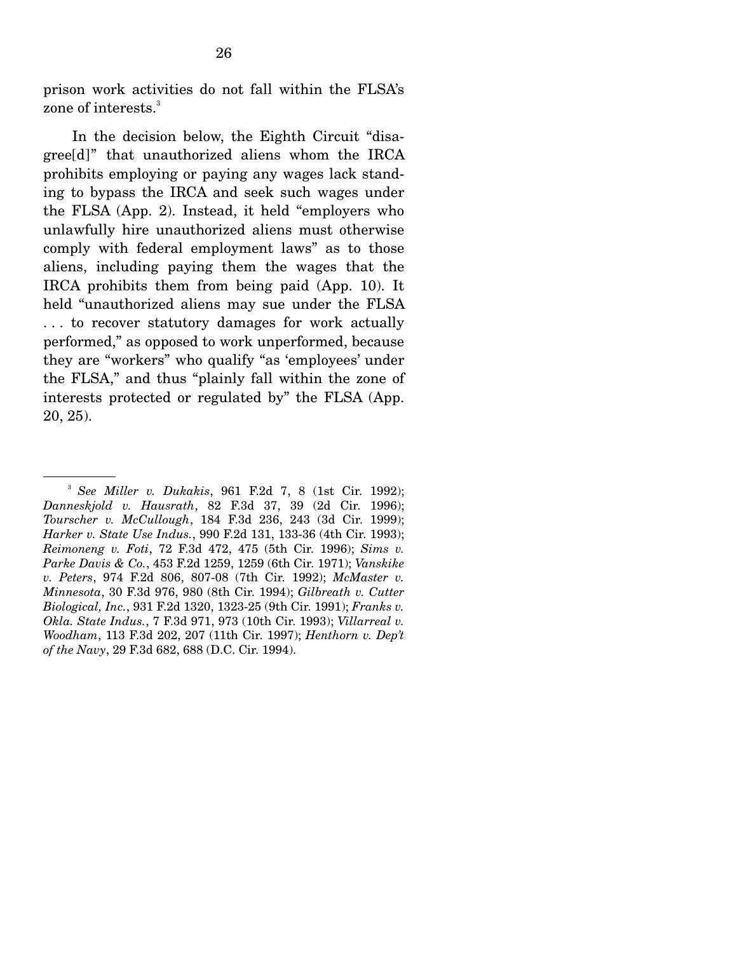prison work activities do not fall within the FLSA's zone of interests.<sup>3</sup>

 In the decision below, the Eighth Circuit "disagree[d]" that unauthorized aliens whom the IRCA prohibits employing or paying any wages lack standing to bypass the IRCA and seek such wages under the FLSA (App. 2). Instead, it held "employers who unlawfully hire unauthorized aliens must otherwise comply with federal employment laws" as to those aliens, including paying them the wages that the IRCA prohibits them from being paid (App. 10). It held "unauthorized aliens may sue under the FLSA . . . to recover statutory damages for work actually performed," as opposed to work unperformed, because they are "workers" who qualify "as 'employees' under the FLSA," and thus "plainly fall within the zone of interests protected or regulated by" the FLSA (App. 20, 25).

<sup>3</sup> *See Miller v. Dukakis*, 961 F.2d 7, 8 (1st Cir. 1992); *Danneskjold v. Hausrath*, 82 F.3d 37, 39 (2d Cir. 1996); *Tourscher v. McCullough*, 184 F.3d 236, 243 (3d Cir. 1999); *Harker v. State Use Indus.*, 990 F.2d 131, 133-36 (4th Cir. 1993); *Reimoneng v. Foti*, 72 F.3d 472, 475 (5th Cir. 1996); *Sims v. Parke Davis & Co.*, 453 F.2d 1259, 1259 (6th Cir. 1971); *Vanskike v. Peters*, 974 F.2d 806, 807-08 (7th Cir. 1992); *McMaster v. Minnesota*, 30 F.3d 976, 980 (8th Cir. 1994); *Gilbreath v. Cutter Biological, Inc.*, 931 F.2d 1320, 1323-25 (9th Cir. 1991); *Franks v. Okla. State Indus.*, 7 F.3d 971, 973 (10th Cir. 1993); *Villarreal v. Woodham*, 113 F.3d 202, 207 (11th Cir. 1997); *Henthorn v. Dep't of the Navy*, 29 F.3d 682, 688 (D.C. Cir. 1994).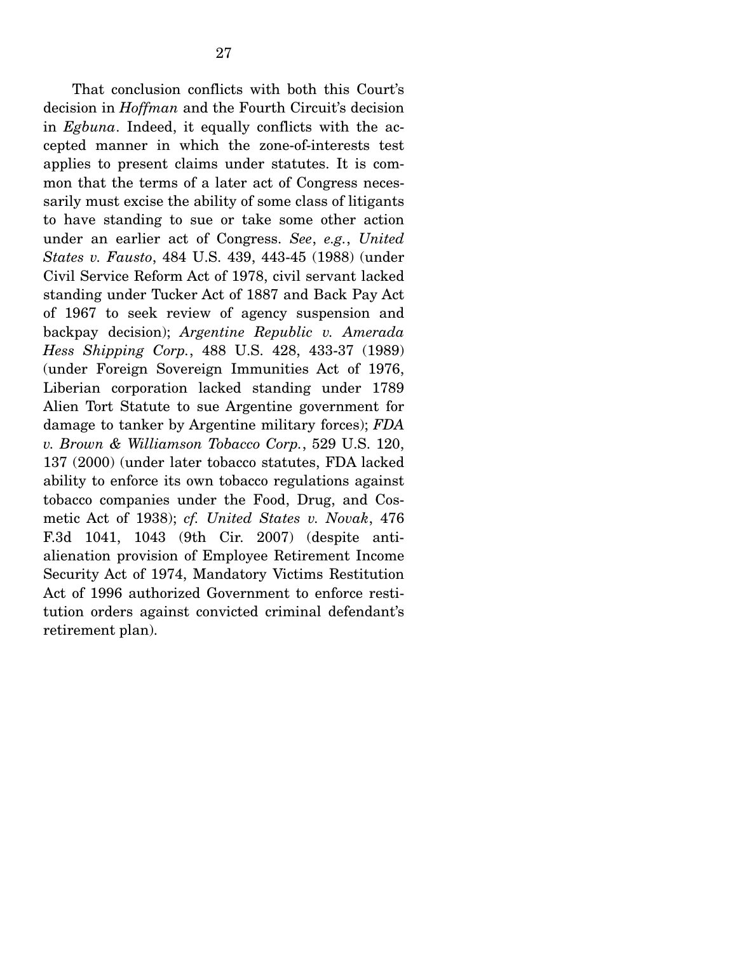That conclusion conflicts with both this Court's decision in *Hoffman* and the Fourth Circuit's decision in *Egbuna*. Indeed, it equally conflicts with the accepted manner in which the zone-of-interests test applies to present claims under statutes. It is common that the terms of a later act of Congress necessarily must excise the ability of some class of litigants to have standing to sue or take some other action under an earlier act of Congress. *See*, *e.g.*, *United States v. Fausto*, 484 U.S. 439, 443-45 (1988) (under Civil Service Reform Act of 1978, civil servant lacked standing under Tucker Act of 1887 and Back Pay Act of 1967 to seek review of agency suspension and backpay decision); *Argentine Republic v. Amerada Hess Shipping Corp.*, 488 U.S. 428, 433-37 (1989) (under Foreign Sovereign Immunities Act of 1976, Liberian corporation lacked standing under 1789 Alien Tort Statute to sue Argentine government for damage to tanker by Argentine military forces); *FDA v. Brown & Williamson Tobacco Corp.*, 529 U.S. 120, 137 (2000) (under later tobacco statutes, FDA lacked ability to enforce its own tobacco regulations against tobacco companies under the Food, Drug, and Cosmetic Act of 1938); *cf. United States v. Novak*, 476 F.3d 1041, 1043 (9th Cir. 2007) (despite antialienation provision of Employee Retirement Income Security Act of 1974, Mandatory Victims Restitution Act of 1996 authorized Government to enforce restitution orders against convicted criminal defendant's retirement plan).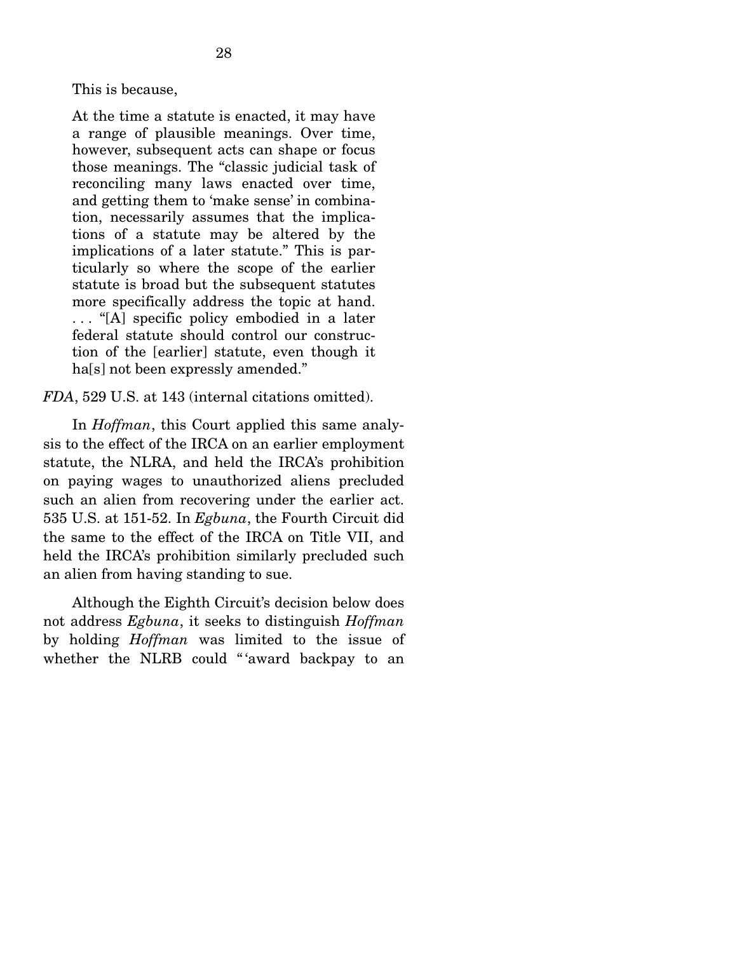At the time a statute is enacted, it may have a range of plausible meanings. Over time, however, subsequent acts can shape or focus those meanings. The "classic judicial task of reconciling many laws enacted over time, and getting them to 'make sense' in combination, necessarily assumes that the implications of a statute may be altered by the implications of a later statute." This is particularly so where the scope of the earlier statute is broad but the subsequent statutes more specifically address the topic at hand. . . . "[A] specific policy embodied in a later federal statute should control our construction of the [earlier] statute, even though it ha<sup>[s]</sup> not been expressly amended."

*FDA*, 529 U.S. at 143 (internal citations omitted).

 In *Hoffman*, this Court applied this same analysis to the effect of the IRCA on an earlier employment statute, the NLRA, and held the IRCA's prohibition on paying wages to unauthorized aliens precluded such an alien from recovering under the earlier act. 535 U.S. at 151-52. In *Egbuna*, the Fourth Circuit did the same to the effect of the IRCA on Title VII, and held the IRCA's prohibition similarly precluded such an alien from having standing to sue.

 Although the Eighth Circuit's decision below does not address *Egbuna*, it seeks to distinguish *Hoffman* by holding *Hoffman* was limited to the issue of whether the NLRB could "'award backpay to an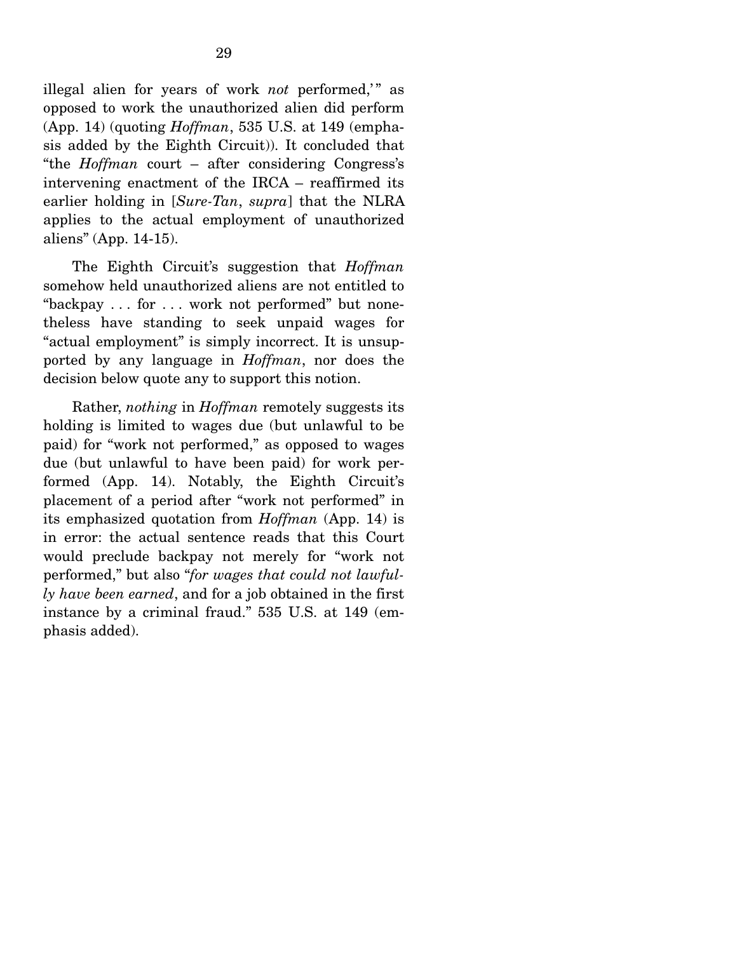illegal alien for years of work *not* performed," as opposed to work the unauthorized alien did perform (App. 14) (quoting *Hoffman*, 535 U.S. at 149 (emphasis added by the Eighth Circuit)). It concluded that "the *Hoffman* court – after considering Congress's intervening enactment of the IRCA – reaffirmed its earlier holding in [*Sure-Tan*, *supra*] that the NLRA applies to the actual employment of unauthorized aliens" (App. 14-15).

 The Eighth Circuit's suggestion that *Hoffman* somehow held unauthorized aliens are not entitled to "backpay . . . for . . . work not performed" but nonetheless have standing to seek unpaid wages for "actual employment" is simply incorrect. It is unsupported by any language in *Hoffman*, nor does the decision below quote any to support this notion.

 Rather, *nothing* in *Hoffman* remotely suggests its holding is limited to wages due (but unlawful to be paid) for "work not performed," as opposed to wages due (but unlawful to have been paid) for work performed (App. 14). Notably, the Eighth Circuit's placement of a period after "work not performed" in its emphasized quotation from *Hoffman* (App. 14) is in error: the actual sentence reads that this Court would preclude backpay not merely for "work not performed," but also "*for wages that could not lawfully have been earned*, and for a job obtained in the first instance by a criminal fraud." 535 U.S. at 149 (emphasis added).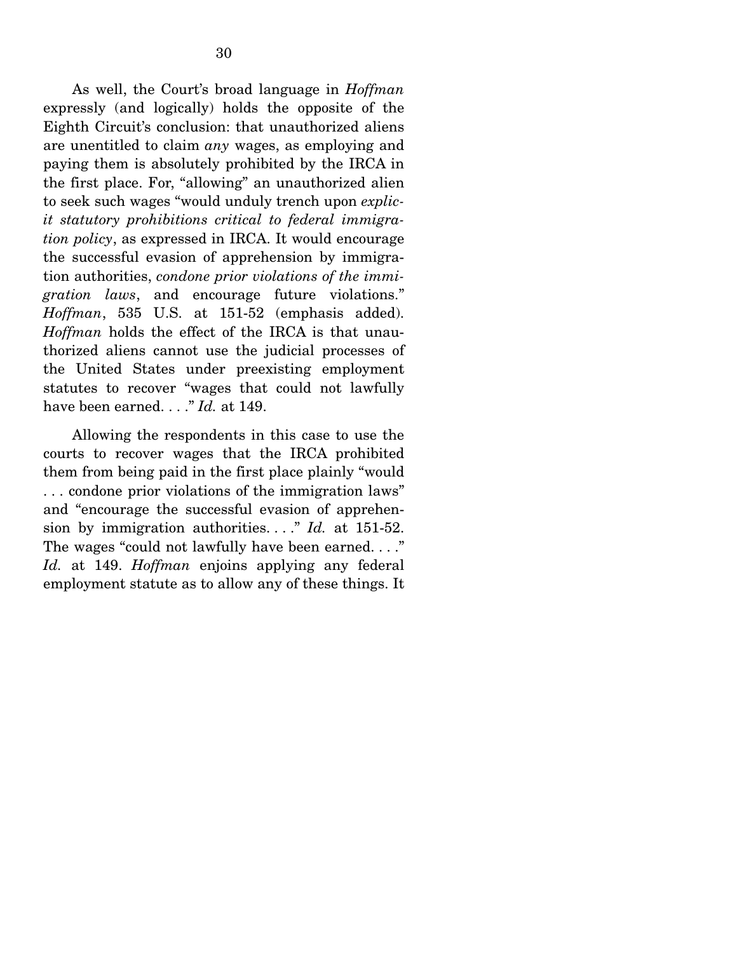As well, the Court's broad language in *Hoffman* expressly (and logically) holds the opposite of the Eighth Circuit's conclusion: that unauthorized aliens are unentitled to claim *any* wages, as employing and paying them is absolutely prohibited by the IRCA in the first place. For, "allowing" an unauthorized alien to seek such wages "would unduly trench upon *explicit statutory prohibitions critical to federal immigration policy*, as expressed in IRCA. It would encourage the successful evasion of apprehension by immigration authorities, *condone prior violations of the immigration laws*, and encourage future violations." *Hoffman*, 535 U.S. at 151-52 (emphasis added). *Hoffman* holds the effect of the IRCA is that unauthorized aliens cannot use the judicial processes of the United States under preexisting employment statutes to recover "wages that could not lawfully have been earned. . . ." *Id.* at 149.

 Allowing the respondents in this case to use the courts to recover wages that the IRCA prohibited them from being paid in the first place plainly "would . . . condone prior violations of the immigration laws" and "encourage the successful evasion of apprehension by immigration authorities. . . ." *Id.* at 151-52. The wages "could not lawfully have been earned. . . ." *Id.* at 149. *Hoffman* enjoins applying any federal employment statute as to allow any of these things. It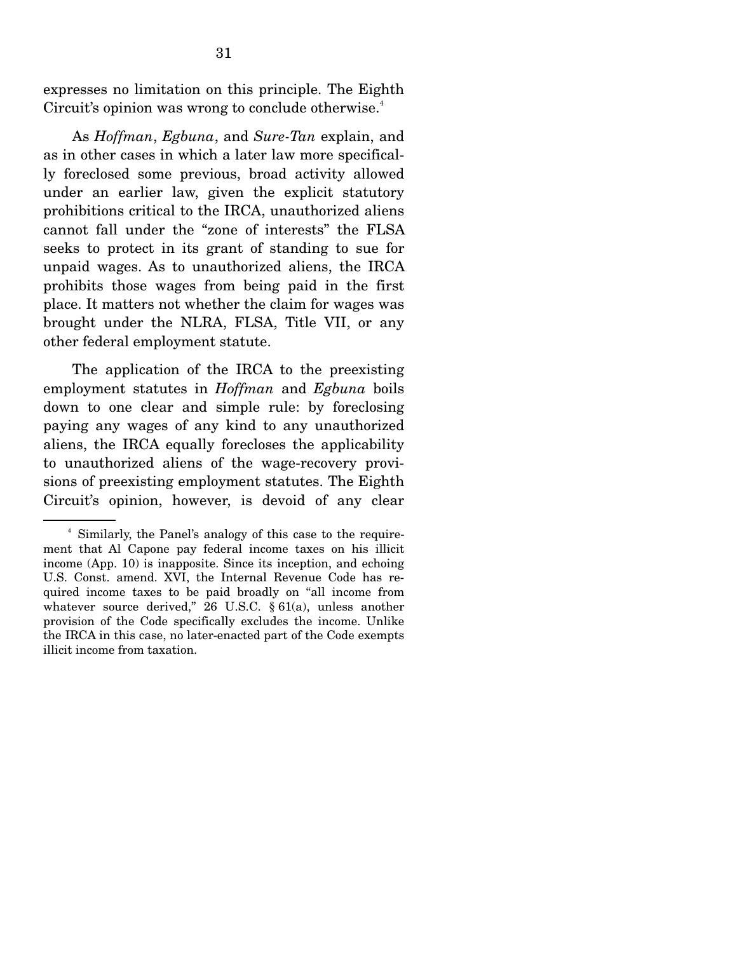expresses no limitation on this principle. The Eighth Circuit's opinion was wrong to conclude otherwise.<sup>4</sup>

 As *Hoffman*, *Egbuna*, and *Sure-Tan* explain, and as in other cases in which a later law more specifically foreclosed some previous, broad activity allowed under an earlier law, given the explicit statutory prohibitions critical to the IRCA, unauthorized aliens cannot fall under the "zone of interests" the FLSA seeks to protect in its grant of standing to sue for unpaid wages. As to unauthorized aliens, the IRCA prohibits those wages from being paid in the first place. It matters not whether the claim for wages was brought under the NLRA, FLSA, Title VII, or any other federal employment statute.

 The application of the IRCA to the preexisting employment statutes in *Hoffman* and *Egbuna* boils down to one clear and simple rule: by foreclosing paying any wages of any kind to any unauthorized aliens, the IRCA equally forecloses the applicability to unauthorized aliens of the wage-recovery provisions of preexisting employment statutes. The Eighth Circuit's opinion, however, is devoid of any clear

<sup>4</sup> Similarly, the Panel's analogy of this case to the requirement that Al Capone pay federal income taxes on his illicit income (App. 10) is inapposite. Since its inception, and echoing U.S. Const. amend. XVI, the Internal Revenue Code has required income taxes to be paid broadly on "all income from whatever source derived," 26 U.S.C. § 61(a), unless another provision of the Code specifically excludes the income. Unlike the IRCA in this case, no later-enacted part of the Code exempts illicit income from taxation.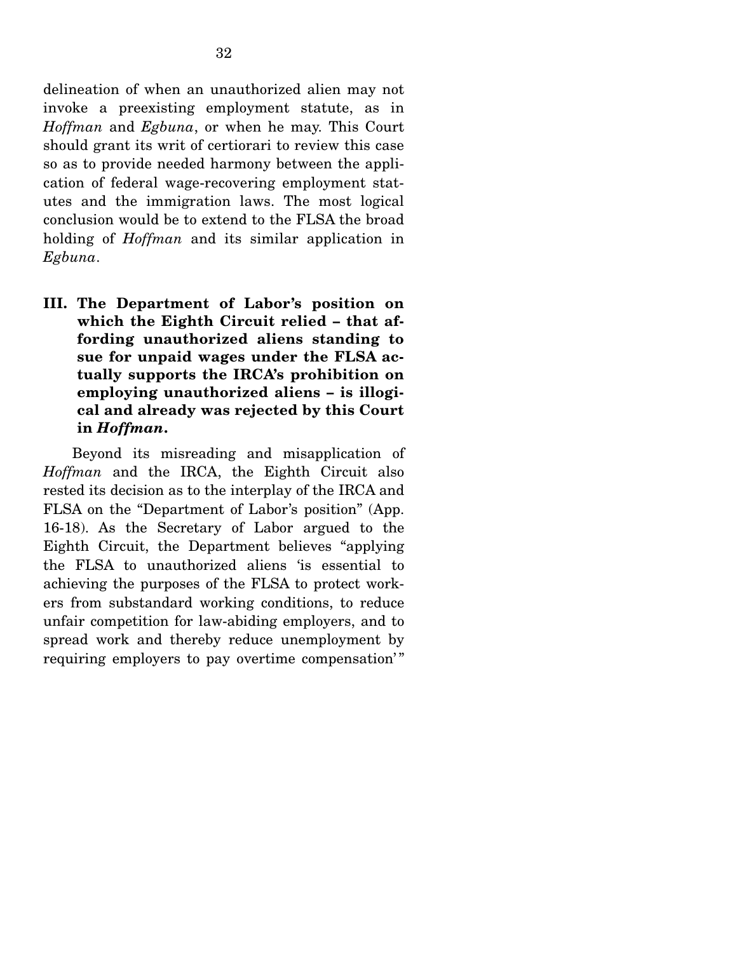delineation of when an unauthorized alien may not invoke a preexisting employment statute, as in *Hoffman* and *Egbuna*, or when he may. This Court should grant its writ of certiorari to review this case so as to provide needed harmony between the application of federal wage-recovering employment statutes and the immigration laws. The most logical conclusion would be to extend to the FLSA the broad holding of *Hoffman* and its similar application in *Egbuna*.

**III. The Department of Labor's position on which the Eighth Circuit relied – that affording unauthorized aliens standing to sue for unpaid wages under the FLSA actually supports the IRCA's prohibition on employing unauthorized aliens – is illogical and already was rejected by this Court in** *Hoffman***.**

 Beyond its misreading and misapplication of *Hoffman* and the IRCA, the Eighth Circuit also rested its decision as to the interplay of the IRCA and FLSA on the "Department of Labor's position" (App. 16-18). As the Secretary of Labor argued to the Eighth Circuit, the Department believes "applying the FLSA to unauthorized aliens 'is essential to achieving the purposes of the FLSA to protect workers from substandard working conditions, to reduce unfair competition for law-abiding employers, and to spread work and thereby reduce unemployment by requiring employers to pay overtime compensation'"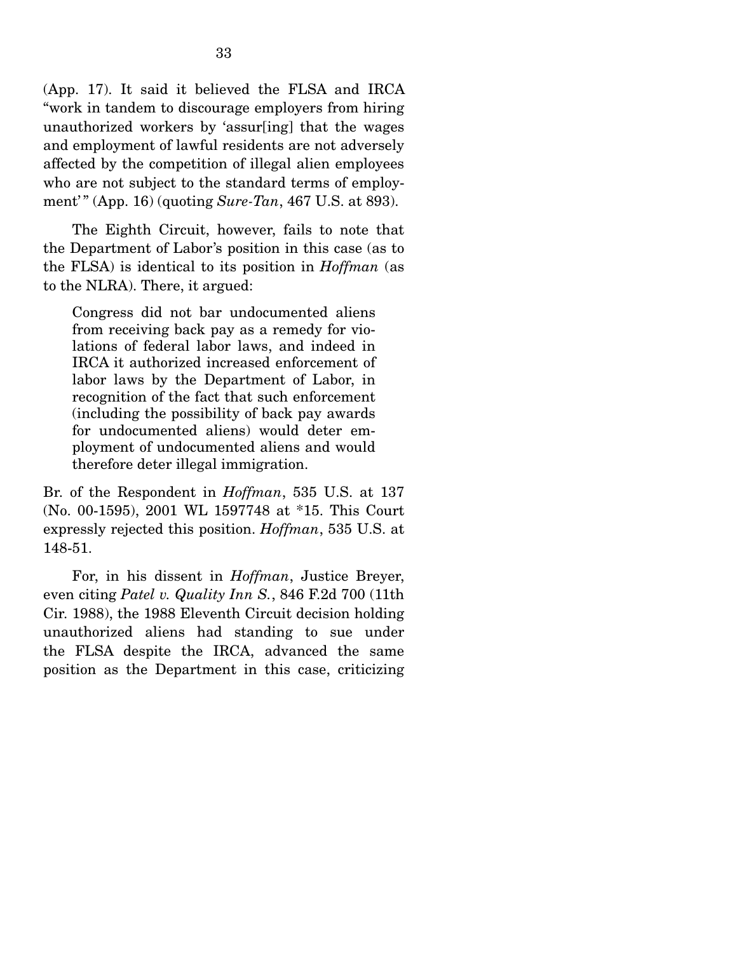(App. 17). It said it believed the FLSA and IRCA "work in tandem to discourage employers from hiring unauthorized workers by 'assur[ing] that the wages and employment of lawful residents are not adversely affected by the competition of illegal alien employees who are not subject to the standard terms of employment' " (App. 16) (quoting *Sure-Tan*, 467 U.S. at 893).

 The Eighth Circuit, however, fails to note that the Department of Labor's position in this case (as to the FLSA) is identical to its position in *Hoffman* (as to the NLRA). There, it argued:

Congress did not bar undocumented aliens from receiving back pay as a remedy for violations of federal labor laws, and indeed in IRCA it authorized increased enforcement of labor laws by the Department of Labor, in recognition of the fact that such enforcement (including the possibility of back pay awards for undocumented aliens) would deter employment of undocumented aliens and would therefore deter illegal immigration.

Br. of the Respondent in *Hoffman*, 535 U.S. at 137 (No. 00-1595), 2001 WL 1597748 at \*15. This Court expressly rejected this position. *Hoffman*, 535 U.S. at 148-51.

 For, in his dissent in *Hoffman*, Justice Breyer, even citing *Patel v. Quality Inn S.*, 846 F.2d 700 (11th Cir. 1988), the 1988 Eleventh Circuit decision holding unauthorized aliens had standing to sue under the FLSA despite the IRCA, advanced the same position as the Department in this case, criticizing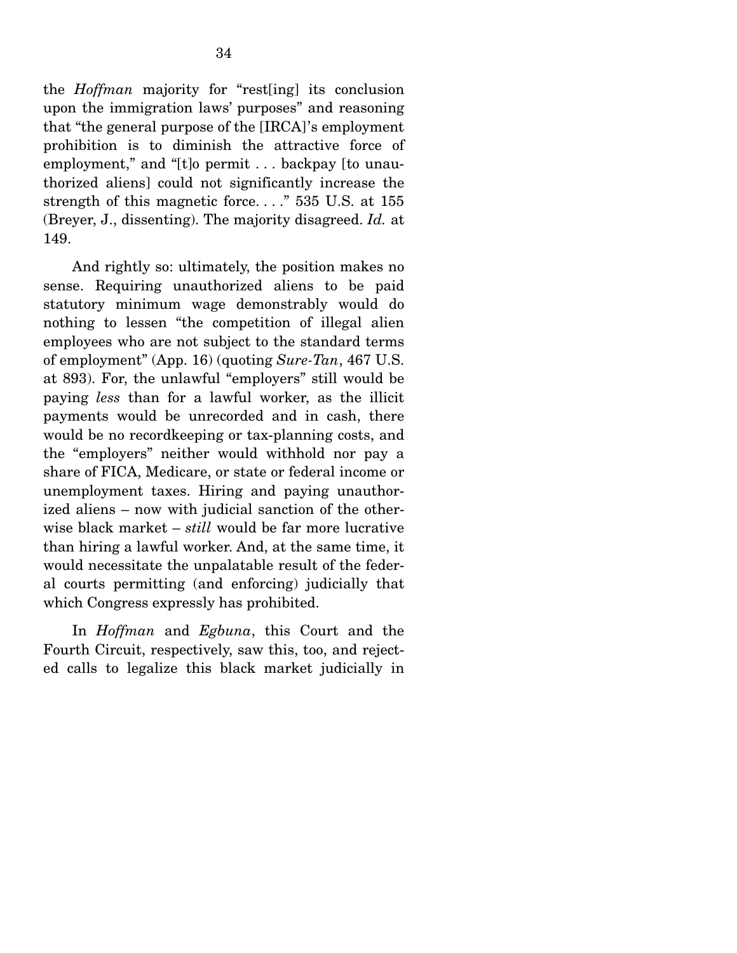the *Hoffman* majority for "rest[ing] its conclusion upon the immigration laws' purposes" and reasoning that "the general purpose of the [IRCA]'s employment prohibition is to diminish the attractive force of employment," and "[t]o permit . . . backpay [to unauthorized aliens] could not significantly increase the strength of this magnetic force. . . ." 535 U.S. at 155 (Breyer, J., dissenting). The majority disagreed. *Id.* at 149.

 And rightly so: ultimately, the position makes no sense. Requiring unauthorized aliens to be paid statutory minimum wage demonstrably would do nothing to lessen "the competition of illegal alien employees who are not subject to the standard terms of employment" (App. 16) (quoting *Sure-Tan*, 467 U.S. at 893). For, the unlawful "employers" still would be paying *less* than for a lawful worker, as the illicit payments would be unrecorded and in cash, there would be no recordkeeping or tax-planning costs, and the "employers" neither would withhold nor pay a share of FICA, Medicare, or state or federal income or unemployment taxes. Hiring and paying unauthorized aliens – now with judicial sanction of the otherwise black market – *still* would be far more lucrative than hiring a lawful worker. And, at the same time, it would necessitate the unpalatable result of the federal courts permitting (and enforcing) judicially that which Congress expressly has prohibited.

 In *Hoffman* and *Egbuna*, this Court and the Fourth Circuit, respectively, saw this, too, and rejected calls to legalize this black market judicially in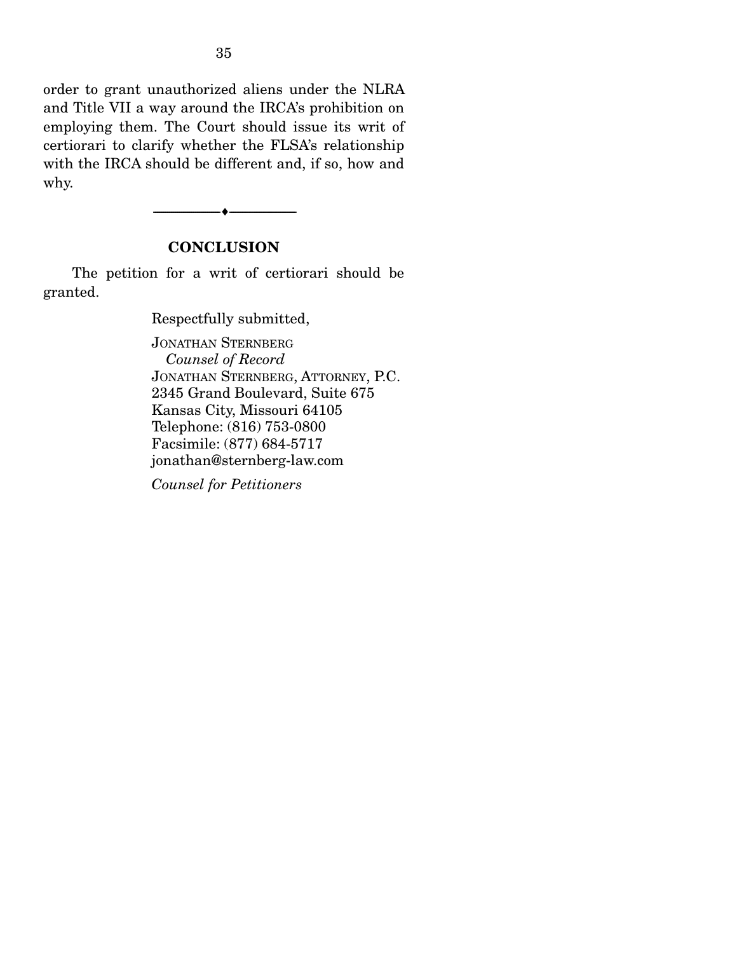order to grant unauthorized aliens under the NLRA and Title VII a way around the IRCA's prohibition on employing them. The Court should issue its writ of certiorari to clarify whether the FLSA's relationship with the IRCA should be different and, if so, how and why.

### **CONCLUSION**

--------------------------------- ---------------------------------

 The petition for a writ of certiorari should be granted.

Respectfully submitted,

JONATHAN STERNBERG  *Counsel of Record* JONATHAN STERNBERG, ATTORNEY, P.C. 2345 Grand Boulevard, Suite 675 Kansas City, Missouri 64105 Telephone: (816) 753-0800 Facsimile: (877) 684-5717 jonathan@sternberg-law.com

*Counsel for Petitioners*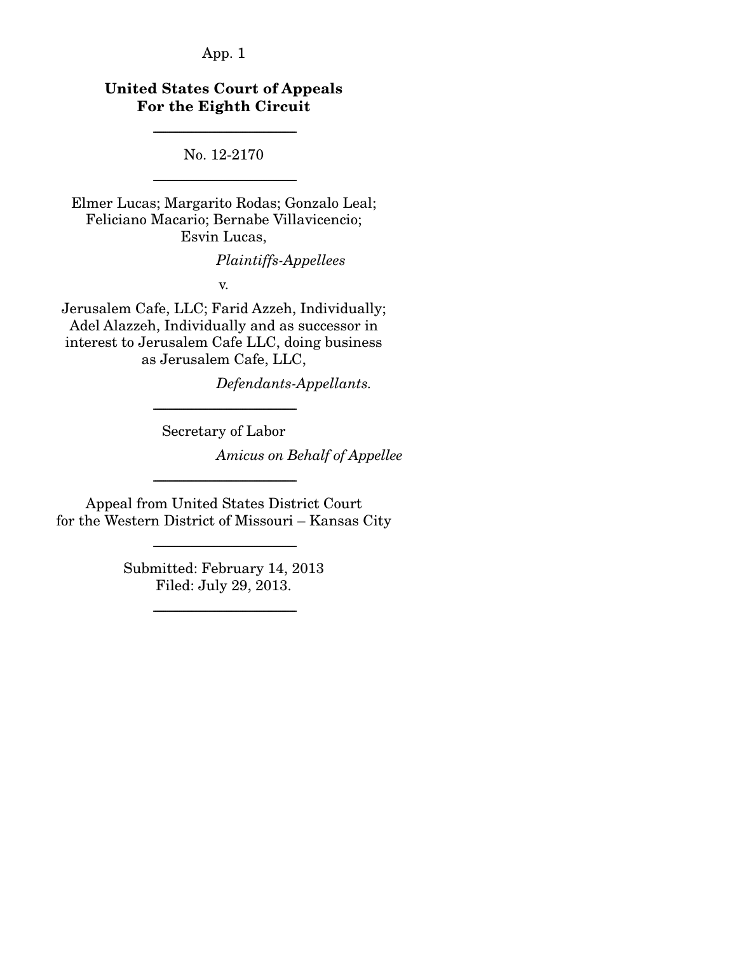# **United States Court of Appeals For the Eighth Circuit**

No. 12-2170 -----------------------------------------------------------------------

-----------------------------------------------------------------------

Elmer Lucas; Margarito Rodas; Gonzalo Leal; Feliciano Macario; Bernabe Villavicencio; Esvin Lucas,

*Plaintiffs-Appellees*

v.

Jerusalem Cafe, LLC; Farid Azzeh, Individually; Adel Alazzeh, Individually and as successor in interest to Jerusalem Cafe LLC, doing business as Jerusalem Cafe, LLC,

*Defendants-Appellants.*

----------------------------------------------------------------------- Secretary of Labor

*Amicus on Behalf of Appellee*

Appeal from United States District Court for the Western District of Missouri – Kansas City

-----------------------------------------------------------------------

-----------------------------------------------------------------------

Submitted: February 14, 2013 Filed: July 29, 2013.

-----------------------------------------------------------------------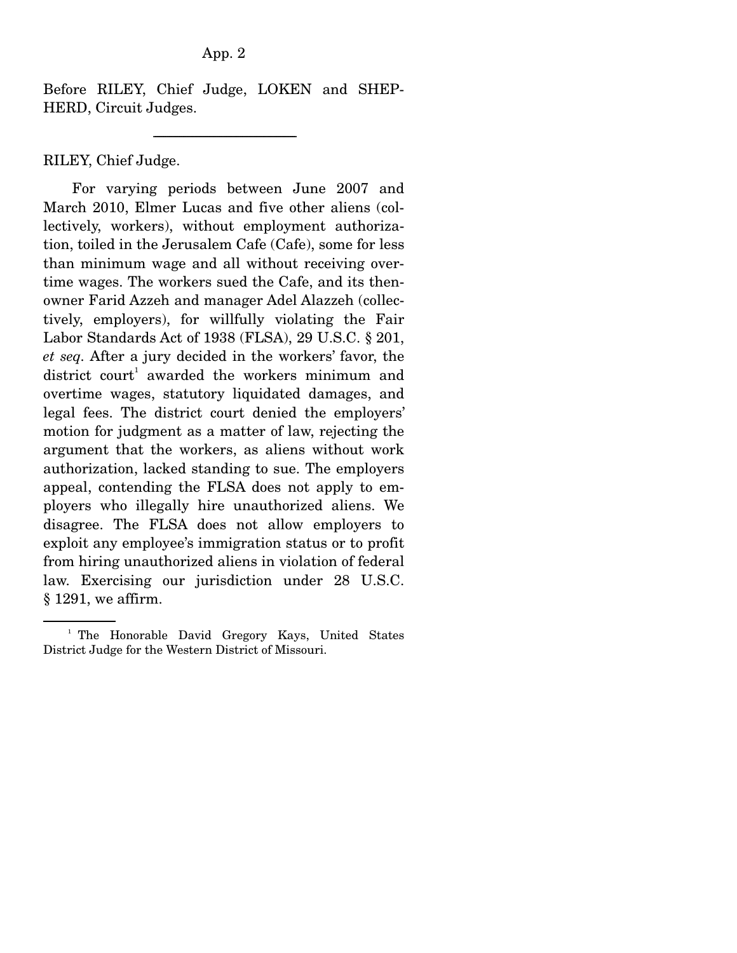Before RILEY, Chief Judge, LOKEN and SHEP-HERD, Circuit Judges.

-----------------------------------------------------------------------

RILEY, Chief Judge.

 For varying periods between June 2007 and March 2010, Elmer Lucas and five other aliens (collectively, workers), without employment authorization, toiled in the Jerusalem Cafe (Cafe), some for less than minimum wage and all without receiving overtime wages. The workers sued the Cafe, and its thenowner Farid Azzeh and manager Adel Alazzeh (collectively, employers), for willfully violating the Fair Labor Standards Act of 1938 (FLSA), 29 U.S.C. § 201, *et seq.* After a jury decided in the workers' favor, the district  $\text{count}^1$  awarded the workers minimum and overtime wages, statutory liquidated damages, and legal fees. The district court denied the employers' motion for judgment as a matter of law, rejecting the argument that the workers, as aliens without work authorization, lacked standing to sue. The employers appeal, contending the FLSA does not apply to employers who illegally hire unauthorized aliens. We disagree. The FLSA does not allow employers to exploit any employee's immigration status or to profit from hiring unauthorized aliens in violation of federal law. Exercising our jurisdiction under 28 U.S.C. § 1291, we affirm.

<sup>&</sup>lt;sup>1</sup> The Honorable David Gregory Kays, United States District Judge for the Western District of Missouri.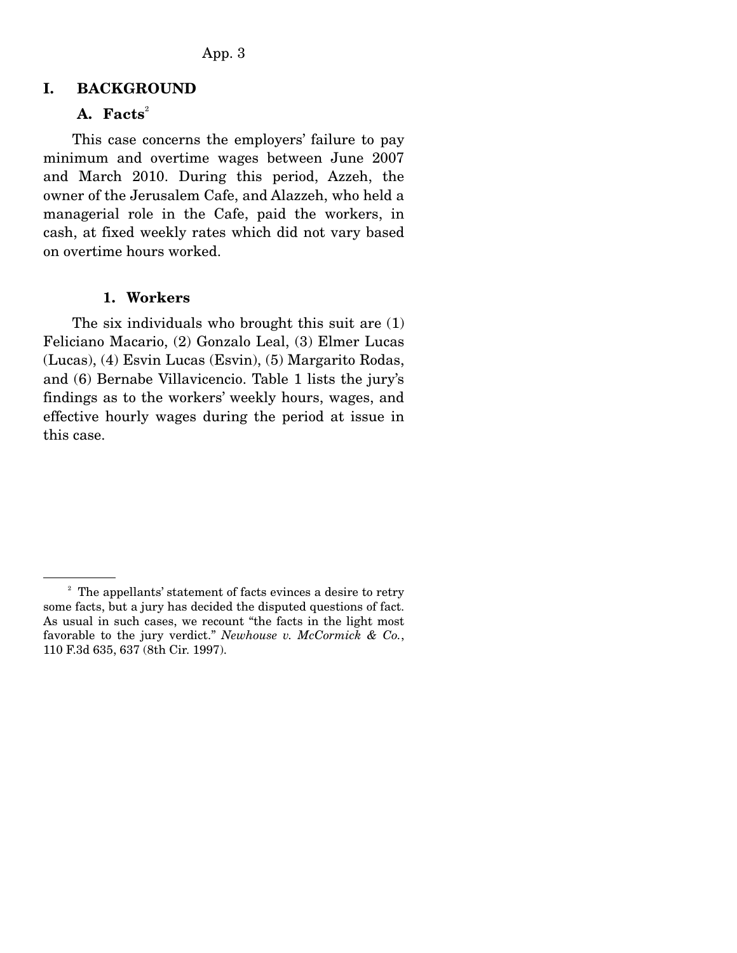# **I. BACKGROUND**

# A. **Facts**<sup>2</sup>

 This case concerns the employers' failure to pay minimum and overtime wages between June 2007 and March 2010. During this period, Azzeh, the owner of the Jerusalem Cafe, and Alazzeh, who held a managerial role in the Cafe, paid the workers, in cash, at fixed weekly rates which did not vary based on overtime hours worked.

#### **1. Workers**

 The six individuals who brought this suit are (1) Feliciano Macario, (2) Gonzalo Leal, (3) Elmer Lucas (Lucas), (4) Esvin Lucas (Esvin), (5) Margarito Rodas, and (6) Bernabe Villavicencio. Table 1 lists the jury's findings as to the workers' weekly hours, wages, and effective hourly wages during the period at issue in this case.

<sup>&</sup>lt;sup>2</sup> The appellants' statement of facts evinces a desire to retry some facts, but a jury has decided the disputed questions of fact. As usual in such cases, we recount "the facts in the light most favorable to the jury verdict." *Newhouse v. McCormick & Co.*, 110 F.3d 635, 637 (8th Cir. 1997).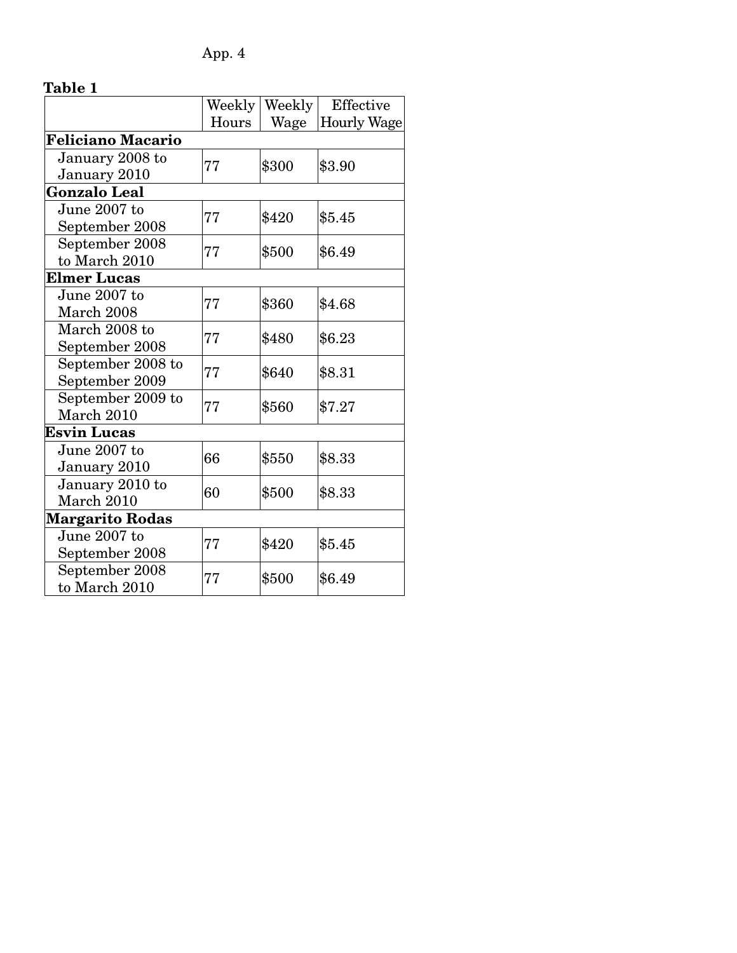|                          | Weekly | Weekly | Effective          |
|--------------------------|--------|--------|--------------------|
|                          | Hours  | Wage   | <b>Hourly Wage</b> |
| <b>Feliciano Macario</b> |        |        |                    |
| January 2008 to          |        | \$300  | \$3.90             |
| January 2010             | 77     |        |                    |
| <b>Gonzalo Leal</b>      |        |        |                    |
| June 2007 to             | 77     | \$420  | \$5.45             |
| September 2008           |        |        |                    |
| September 2008           | 77     | \$500  | \$6.49             |
| to March 2010            |        |        |                    |
| <b>Elmer Lucas</b>       |        |        |                    |
| June 2007 to             | 77     | \$360  | \$4.68             |
| March 2008               |        |        |                    |
| March 2008 to            | 77     | \$480  | \$6.23             |
| September 2008           |        |        |                    |
| September 2008 to        | 77     | \$640  | \$8.31             |
| September 2009           |        |        |                    |
| September 2009 to        | 77     | \$560  | \$7.27             |
| March 2010               |        |        |                    |
| <b>Esvin Lucas</b>       |        |        |                    |
| June 2007 to             | 66     | \$550  | \$8.33             |
| January 2010             |        |        |                    |
| January 2010 to          | 60     | \$500  | \$8.33             |
| March 2010               |        |        |                    |
| <b>Margarito Rodas</b>   |        |        |                    |
| June 2007 to             | 77     | \$420  | \$5.45             |
| September 2008           |        |        |                    |
| September 2008           | 77     | \$500  | \$6.49             |
| to March 2010            |        |        |                    |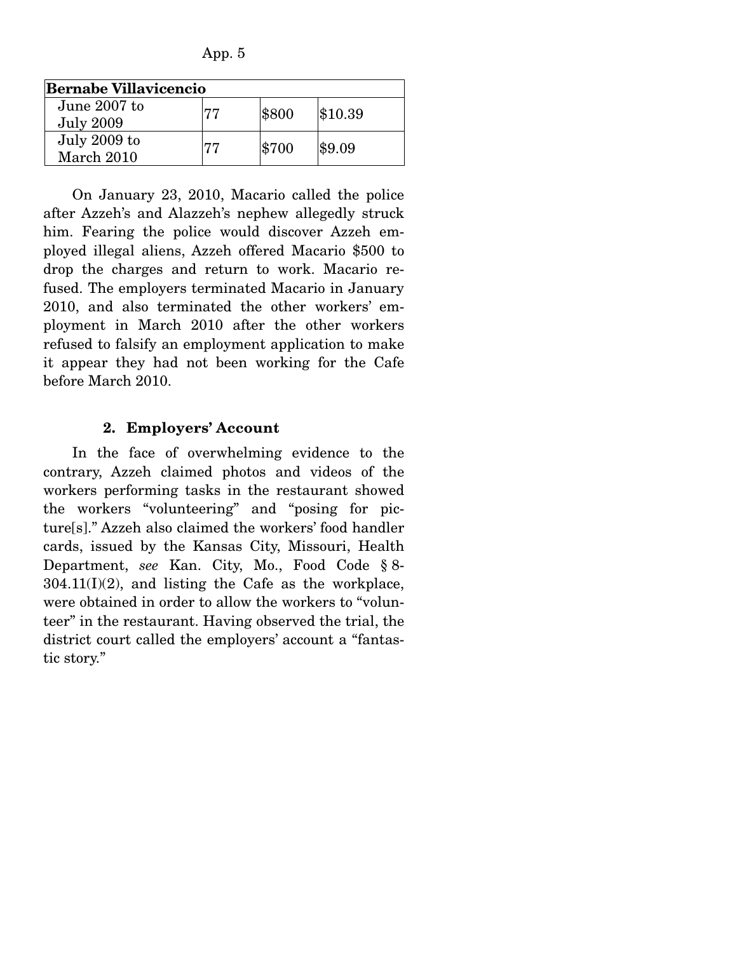App. 5

| <b>Bernabe Villavicencio</b>     |    |       |         |  |
|----------------------------------|----|-------|---------|--|
| June 2007 to<br><b>July 2009</b> | 77 | \$800 | \$10.39 |  |
| July 2009 to<br>March 2010       | 77 | \$700 | \$9.09  |  |

 On January 23, 2010, Macario called the police after Azzeh's and Alazzeh's nephew allegedly struck him. Fearing the police would discover Azzeh employed illegal aliens, Azzeh offered Macario \$500 to drop the charges and return to work. Macario refused. The employers terminated Macario in January 2010, and also terminated the other workers' employment in March 2010 after the other workers refused to falsify an employment application to make it appear they had not been working for the Cafe before March 2010.

### **2. Employers' Account**

 In the face of overwhelming evidence to the contrary, Azzeh claimed photos and videos of the workers performing tasks in the restaurant showed the workers "volunteering" and "posing for picture[s]." Azzeh also claimed the workers' food handler cards, issued by the Kansas City, Missouri, Health Department, *see* Kan. City, Mo., Food Code § 8-  $304.11(I)(2)$ , and listing the Cafe as the workplace, were obtained in order to allow the workers to "volunteer" in the restaurant. Having observed the trial, the district court called the employers' account a "fantastic story."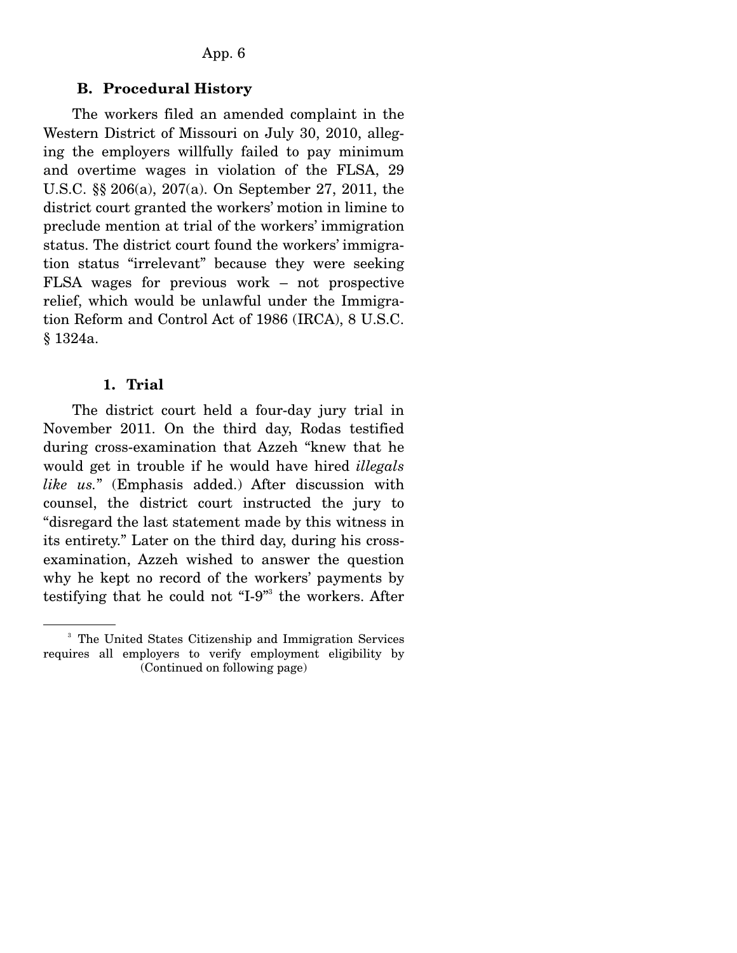#### **B. Procedural History**

 The workers filed an amended complaint in the Western District of Missouri on July 30, 2010, alleging the employers willfully failed to pay minimum and overtime wages in violation of the FLSA, 29 U.S.C. §§ 206(a), 207(a). On September 27, 2011, the district court granted the workers' motion in limine to preclude mention at trial of the workers' immigration status. The district court found the workers' immigration status "irrelevant" because they were seeking FLSA wages for previous work – not prospective relief, which would be unlawful under the Immigration Reform and Control Act of 1986 (IRCA), 8 U.S.C. § 1324a.

#### **1. Trial**

 The district court held a four-day jury trial in November 2011. On the third day, Rodas testified during cross-examination that Azzeh "knew that he would get in trouble if he would have hired *illegals like us.*" (Emphasis added.) After discussion with counsel, the district court instructed the jury to "disregard the last statement made by this witness in its entirety." Later on the third day, during his crossexamination, Azzeh wished to answer the question why he kept no record of the workers' payments by testifying that he could not "I-9" the workers. After

<sup>&</sup>lt;sup>3</sup> The United States Citizenship and Immigration Services requires all employers to verify employment eligibility by (Continued on following page)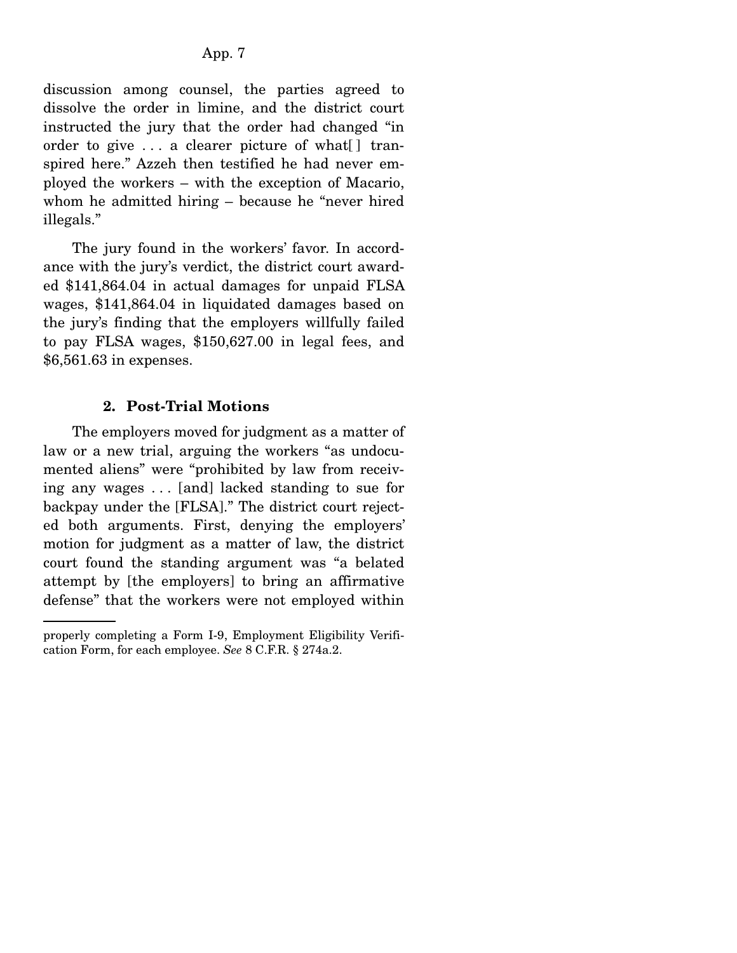discussion among counsel, the parties agreed to dissolve the order in limine, and the district court instructed the jury that the order had changed "in order to give . . . a clearer picture of what[ ] transpired here." Azzeh then testified he had never employed the workers – with the exception of Macario, whom he admitted hiring – because he "never hired illegals."

 The jury found in the workers' favor. In accordance with the jury's verdict, the district court awarded \$141,864.04 in actual damages for unpaid FLSA wages, \$141,864.04 in liquidated damages based on the jury's finding that the employers willfully failed to pay FLSA wages, \$150,627.00 in legal fees, and \$6,561.63 in expenses.

### **2. Post-Trial Motions**

 The employers moved for judgment as a matter of law or a new trial, arguing the workers "as undocumented aliens" were "prohibited by law from receiving any wages . . . [and] lacked standing to sue for backpay under the [FLSA]." The district court rejected both arguments. First, denying the employers' motion for judgment as a matter of law, the district court found the standing argument was "a belated attempt by [the employers] to bring an affirmative defense" that the workers were not employed within

properly completing a Form I-9, Employment Eligibility Verification Form, for each employee. *See* 8 C.F.R. § 274a.2.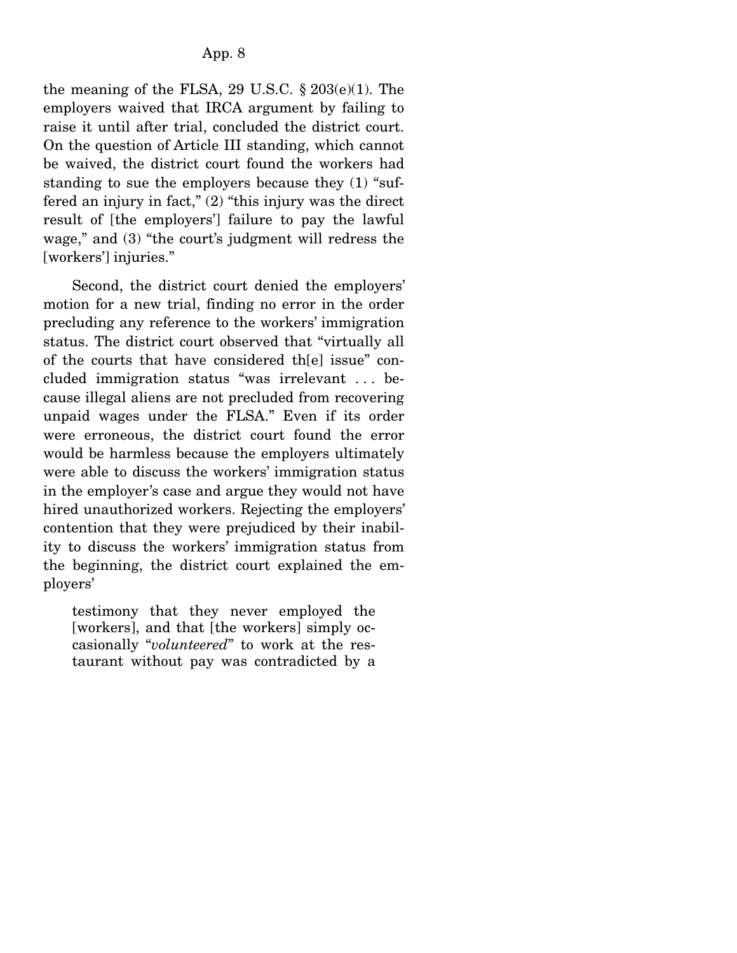the meaning of the FLSA, 29 U.S.C.  $\S 203(e)(1)$ . The employers waived that IRCA argument by failing to raise it until after trial, concluded the district court. On the question of Article III standing, which cannot be waived, the district court found the workers had standing to sue the employers because they (1) "suffered an injury in fact," (2) "this injury was the direct result of [the employers'] failure to pay the lawful wage," and (3) "the court's judgment will redress the [workers'] injuries."

 Second, the district court denied the employers' motion for a new trial, finding no error in the order precluding any reference to the workers' immigration status. The district court observed that "virtually all of the courts that have considered th[e] issue" concluded immigration status "was irrelevant . . . because illegal aliens are not precluded from recovering unpaid wages under the FLSA." Even if its order were erroneous, the district court found the error would be harmless because the employers ultimately were able to discuss the workers' immigration status in the employer's case and argue they would not have hired unauthorized workers. Rejecting the employers' contention that they were prejudiced by their inability to discuss the workers' immigration status from the beginning, the district court explained the employers'

testimony that they never employed the [workers], and that [the workers] simply occasionally "*volunteered*" to work at the restaurant without pay was contradicted by a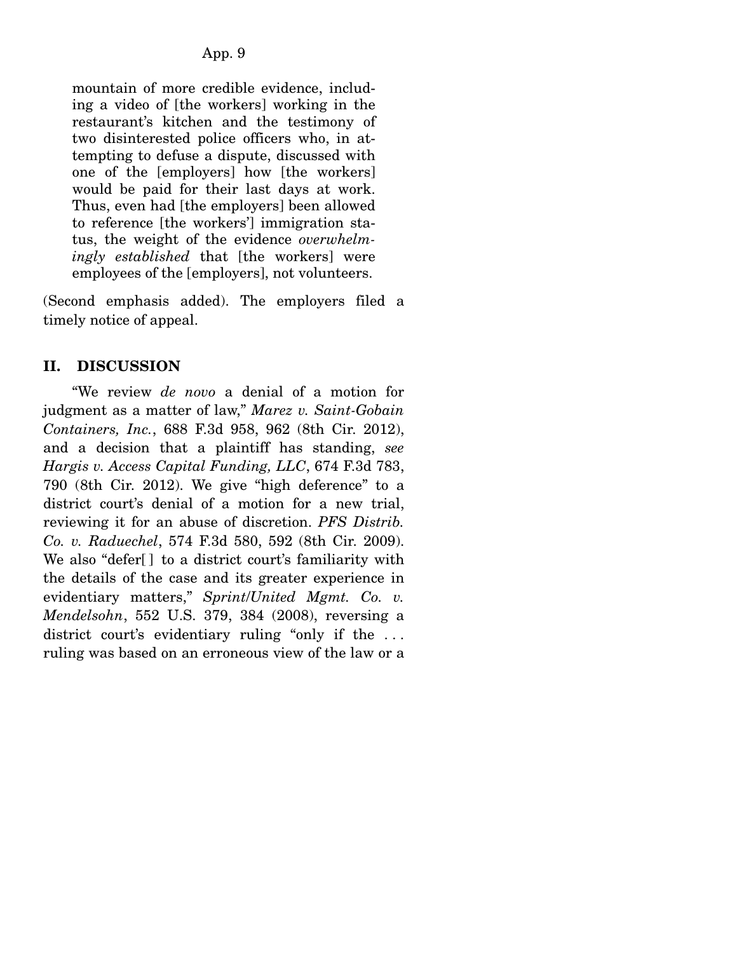mountain of more credible evidence, including a video of [the workers] working in the restaurant's kitchen and the testimony of two disinterested police officers who, in attempting to defuse a dispute, discussed with one of the [employers] how [the workers] would be paid for their last days at work. Thus, even had [the employers] been allowed to reference [the workers'] immigration status, the weight of the evidence *overwhelmingly established* that [the workers] were employees of the [employers], not volunteers.

(Second emphasis added). The employers filed a timely notice of appeal.

# **II. DISCUSSION**

 "We review *de novo* a denial of a motion for judgment as a matter of law," *Marez v. Saint-Gobain Containers, Inc.*, 688 F.3d 958, 962 (8th Cir. 2012), and a decision that a plaintiff has standing, *see Hargis v. Access Capital Funding, LLC*, 674 F.3d 783, 790 (8th Cir. 2012). We give "high deference" to a district court's denial of a motion for a new trial, reviewing it for an abuse of discretion. *PFS Distrib. Co. v. Raduechel*, 574 F.3d 580, 592 (8th Cir. 2009). We also "defer[] to a district court's familiarity with the details of the case and its greater experience in evidentiary matters," *Sprint*/*United Mgmt. Co. v. Mendelsohn*, 552 U.S. 379, 384 (2008), reversing a district court's evidentiary ruling "only if the ... ruling was based on an erroneous view of the law or a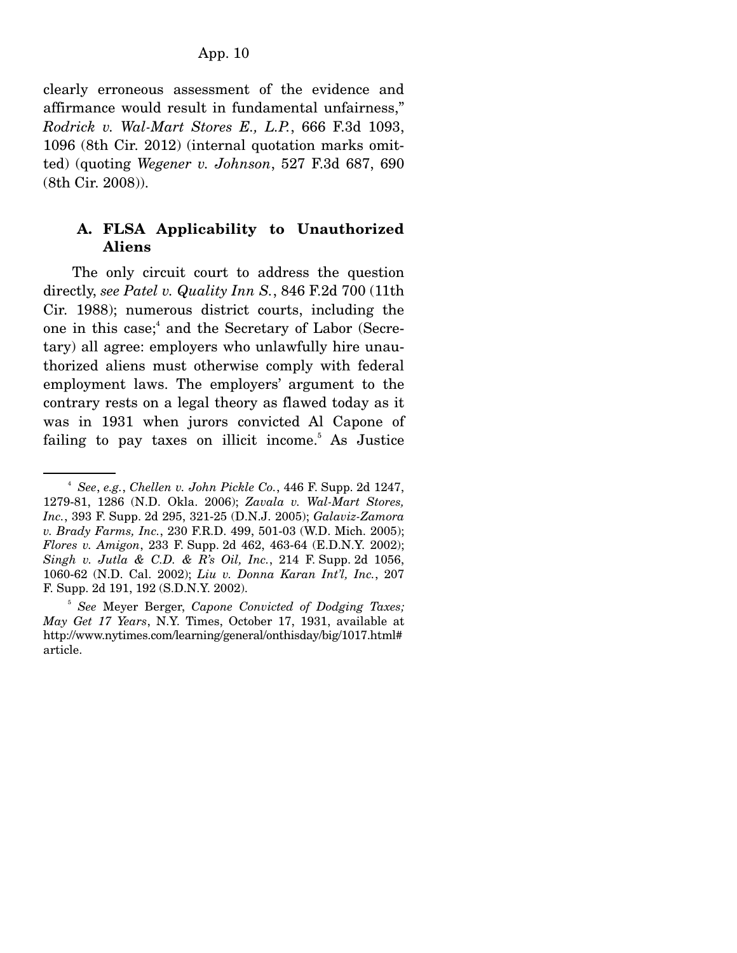clearly erroneous assessment of the evidence and affirmance would result in fundamental unfairness," *Rodrick v. Wal-Mart Stores E., L.P.*, 666 F.3d 1093, 1096 (8th Cir. 2012) (internal quotation marks omitted) (quoting *Wegener v. Johnson*, 527 F.3d 687, 690 (8th Cir. 2008)).

## **A. FLSA Applicability to Unauthorized Aliens**

 The only circuit court to address the question directly, *see Patel v. Quality Inn S.*, 846 F.2d 700 (11th Cir. 1988); numerous district courts, including the one in this case;<sup>4</sup> and the Secretary of Labor (Secretary) all agree: employers who unlawfully hire unauthorized aliens must otherwise comply with federal employment laws. The employers' argument to the contrary rests on a legal theory as flawed today as it was in 1931 when jurors convicted Al Capone of failing to pay taxes on illicit income.<sup>5</sup> As Justice

<sup>4</sup> *See*, *e.g.*, *Chellen v. John Pickle Co.*, 446 F. Supp. 2d 1247, 1279-81, 1286 (N.D. Okla. 2006); *Zavala v. Wal-Mart Stores, Inc.*, 393 F. Supp. 2d 295, 321-25 (D.N.J. 2005); *Galaviz-Zamora v. Brady Farms, Inc.*, 230 F.R.D. 499, 501-03 (W.D. Mich. 2005); *Flores v. Amigon*, 233 F. Supp. 2d 462, 463-64 (E.D.N.Y. 2002); *Singh v. Jutla & C.D. & R's Oil, Inc.*, 214 F. Supp. 2d 1056, 1060-62 (N.D. Cal. 2002); *Liu v. Donna Karan Int'l, Inc.*, 207 F. Supp. 2d 191, 192 (S.D.N.Y. 2002).

<sup>5</sup> *See* Meyer Berger, *Capone Convicted of Dodging Taxes; May Get 17 Years*, N.Y. Times, October 17, 1931, available at http://www.nytimes.com/learning/general/onthisday/big/1017.html# article.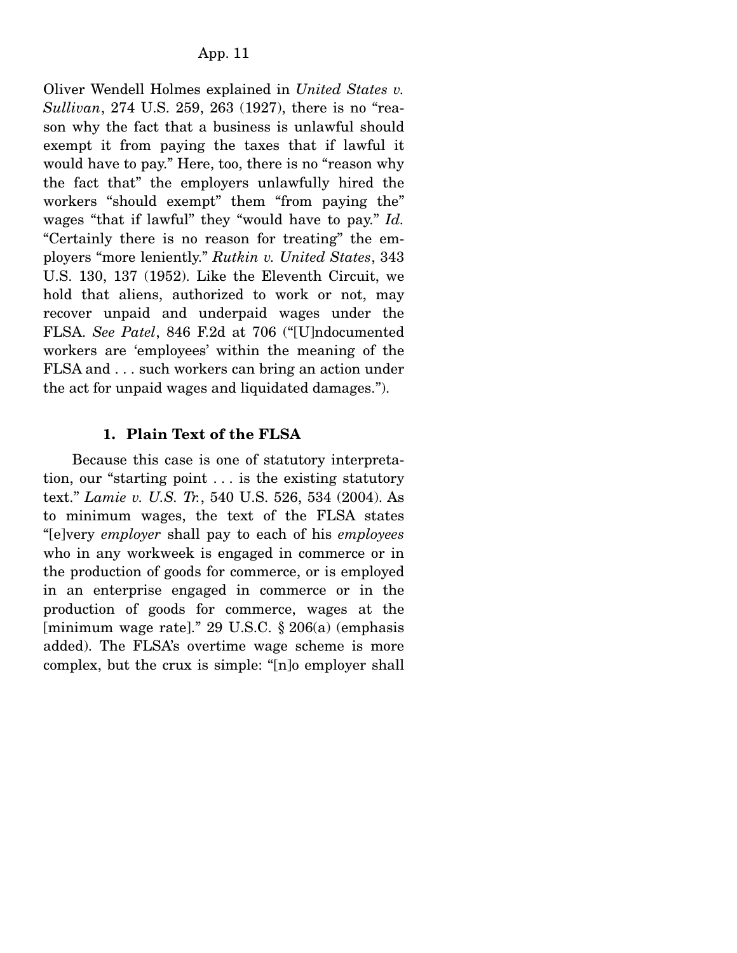Oliver Wendell Holmes explained in *United States v. Sullivan*, 274 U.S. 259, 263 (1927), there is no "reason why the fact that a business is unlawful should exempt it from paying the taxes that if lawful it would have to pay." Here, too, there is no "reason why the fact that" the employers unlawfully hired the workers "should exempt" them "from paying the" wages "that if lawful" they "would have to pay." *Id.* "Certainly there is no reason for treating" the employers "more leniently." *Rutkin v. United States*, 343 U.S. 130, 137 (1952). Like the Eleventh Circuit, we hold that aliens, authorized to work or not, may recover unpaid and underpaid wages under the FLSA. *See Patel*, 846 F.2d at 706 ("[U]ndocumented workers are 'employees' within the meaning of the FLSA and . . . such workers can bring an action under the act for unpaid wages and liquidated damages.").

# **1. Plain Text of the FLSA**

 Because this case is one of statutory interpretation, our "starting point . . . is the existing statutory text." *Lamie v. U.S. Tr.*, 540 U.S. 526, 534 (2004). As to minimum wages, the text of the FLSA states "[e]very *employer* shall pay to each of his *employees* who in any workweek is engaged in commerce or in the production of goods for commerce, or is employed in an enterprise engaged in commerce or in the production of goods for commerce, wages at the [minimum wage rate]." 29 U.S.C. § 206(a) (emphasis added). The FLSA's overtime wage scheme is more complex, but the crux is simple: "[n]o employer shall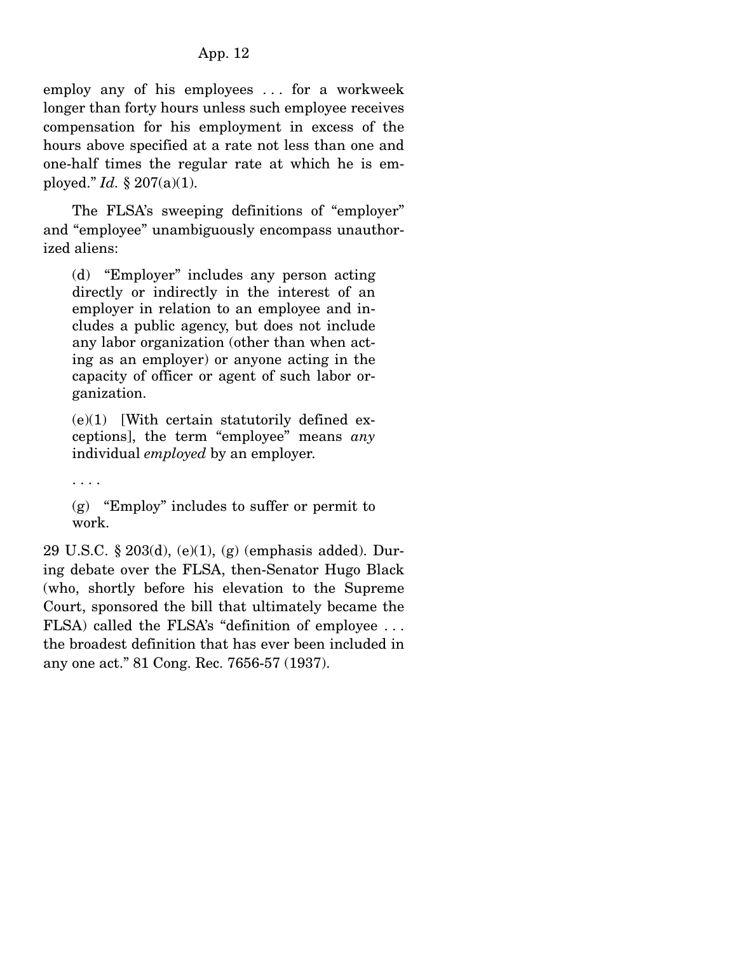employ any of his employees . . . for a workweek longer than forty hours unless such employee receives compensation for his employment in excess of the hours above specified at a rate not less than one and one-half times the regular rate at which he is employed." *Id.* § 207(a)(1).

 The FLSA's sweeping definitions of "employer" and "employee" unambiguously encompass unauthorized aliens:

(d) "Employer" includes any person acting directly or indirectly in the interest of an employer in relation to an employee and includes a public agency, but does not include any labor organization (other than when acting as an employer) or anyone acting in the capacity of officer or agent of such labor organization.

 $(e)(1)$  [With certain statutorily defined exceptions], the term "employee" means *any* individual *employed* by an employer.

. . . .

(g) "Employ" includes to suffer or permit to work.

29 U.S.C. § 203(d), (e)(1), (g) (emphasis added). During debate over the FLSA, then-Senator Hugo Black (who, shortly before his elevation to the Supreme Court, sponsored the bill that ultimately became the FLSA) called the FLSA's "definition of employee . . . the broadest definition that has ever been included in any one act." 81 Cong. Rec. 7656-57 (1937).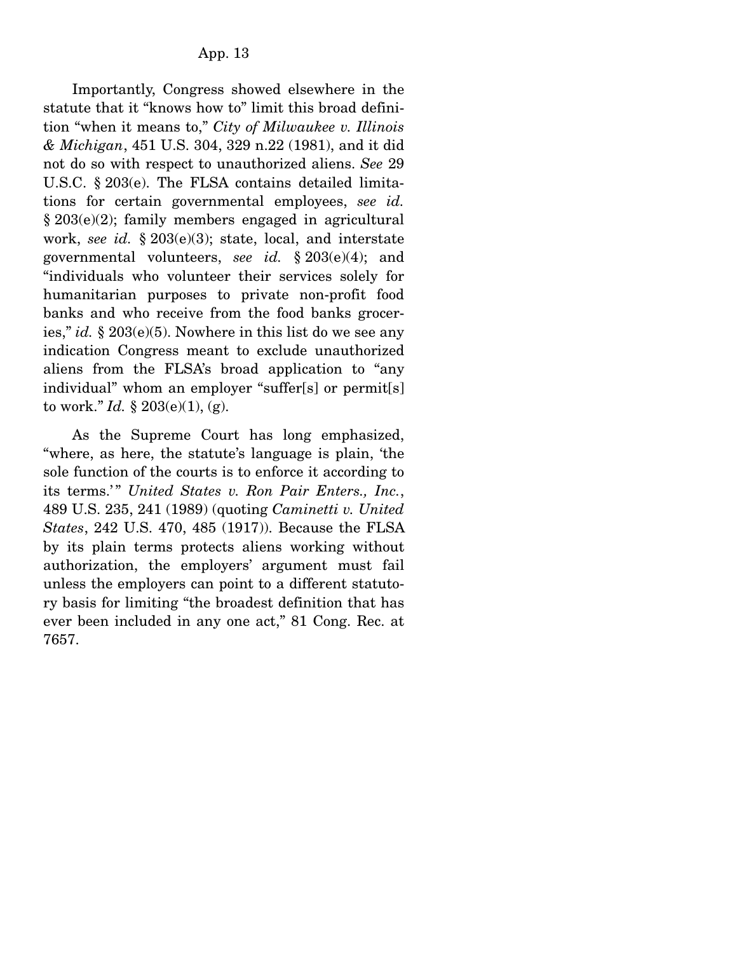Importantly, Congress showed elsewhere in the statute that it "knows how to" limit this broad definition "when it means to," *City of Milwaukee v. Illinois & Michigan*, 451 U.S. 304, 329 n.22 (1981), and it did not do so with respect to unauthorized aliens. *See* 29 U.S.C. § 203(e). The FLSA contains detailed limitations for certain governmental employees, *see id.* § 203(e)(2); family members engaged in agricultural work, *see id.* § 203(e)(3); state, local, and interstate governmental volunteers, *see id.* § 203(e)(4); and "individuals who volunteer their services solely for humanitarian purposes to private non-profit food banks and who receive from the food banks groceries," *id.* § 203(e)(5). Nowhere in this list do we see any indication Congress meant to exclude unauthorized aliens from the FLSA's broad application to "any individual" whom an employer "suffer[s] or permit[s] to work." *Id.*  $\S 203(e)(1)$ , (g).

 As the Supreme Court has long emphasized, "where, as here, the statute's language is plain, 'the sole function of the courts is to enforce it according to its terms.'" United States v. Ron Pair Enters., Inc., 489 U.S. 235, 241 (1989) (quoting *Caminetti v. United States*, 242 U.S. 470, 485 (1917)). Because the FLSA by its plain terms protects aliens working without authorization, the employers' argument must fail unless the employers can point to a different statutory basis for limiting "the broadest definition that has ever been included in any one act," 81 Cong. Rec. at 7657.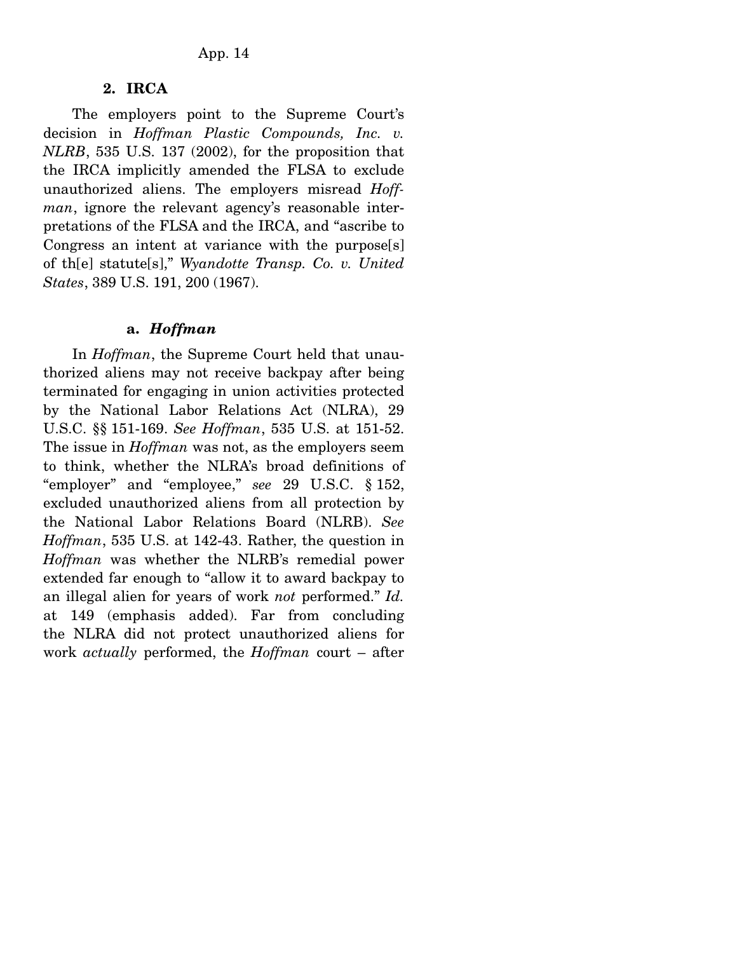### **2. IRCA**

 The employers point to the Supreme Court's decision in *Hoffman Plastic Compounds, Inc. v. NLRB*, 535 U.S. 137 (2002), for the proposition that the IRCA implicitly amended the FLSA to exclude unauthorized aliens. The employers misread *Hoffman*, ignore the relevant agency's reasonable interpretations of the FLSA and the IRCA, and "ascribe to Congress an intent at variance with the purpose[s] of th[e] statute[s]," *Wyandotte Transp. Co. v. United States*, 389 U.S. 191, 200 (1967).

#### **a.** *Hoffman*

 In *Hoffman*, the Supreme Court held that unauthorized aliens may not receive backpay after being terminated for engaging in union activities protected by the National Labor Relations Act (NLRA), 29 U.S.C. §§ 151-169. *See Hoffman*, 535 U.S. at 151-52. The issue in *Hoffman* was not, as the employers seem to think, whether the NLRA's broad definitions of "employer" and "employee," *see* 29 U.S.C. § 152, excluded unauthorized aliens from all protection by the National Labor Relations Board (NLRB). *See Hoffman*, 535 U.S. at 142-43. Rather, the question in *Hoffman* was whether the NLRB's remedial power extended far enough to "allow it to award backpay to an illegal alien for years of work *not* performed." *Id.* at 149 (emphasis added). Far from concluding the NLRA did not protect unauthorized aliens for work *actually* performed, the *Hoffman* court – after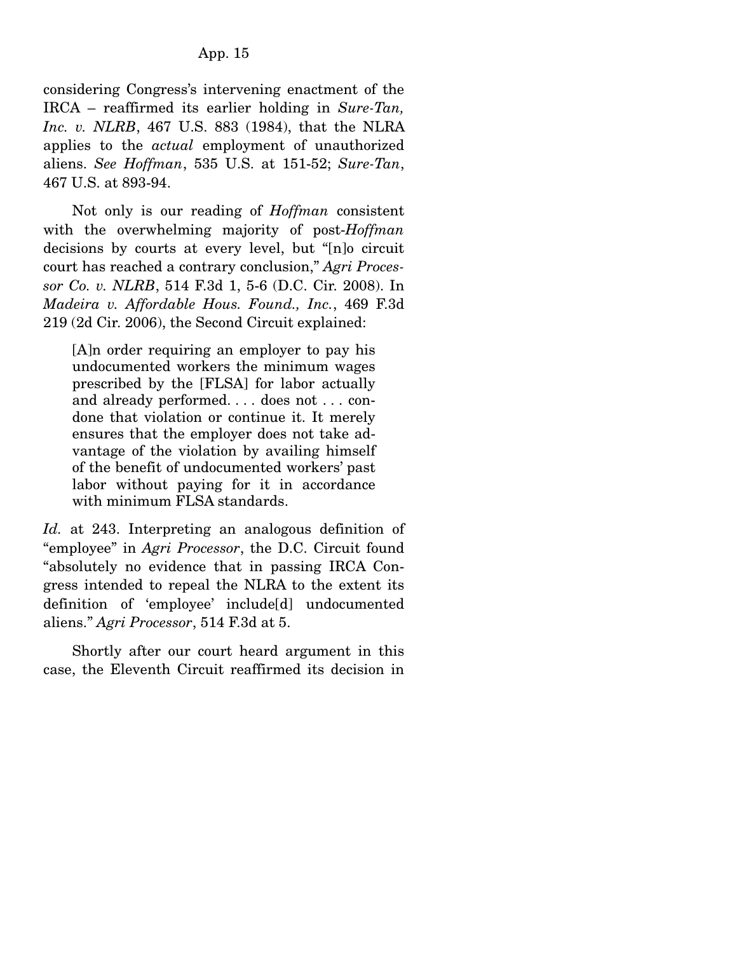considering Congress's intervening enactment of the IRCA – reaffirmed its earlier holding in *Sure-Tan, Inc. v. NLRB*, 467 U.S. 883 (1984), that the NLRA applies to the *actual* employment of unauthorized aliens. *See Hoffman*, 535 U.S. at 151-52; *Sure-Tan*, 467 U.S. at 893-94.

 Not only is our reading of *Hoffman* consistent with the overwhelming majority of post-*Hoffman* decisions by courts at every level, but "[n]o circuit court has reached a contrary conclusion," *Agri Processor Co. v. NLRB*, 514 F.3d 1, 5-6 (D.C. Cir. 2008). In *Madeira v. Affordable Hous. Found., Inc.*, 469 F.3d 219 (2d Cir. 2006), the Second Circuit explained:

[A]n order requiring an employer to pay his undocumented workers the minimum wages prescribed by the [FLSA] for labor actually and already performed. . . . does not . . . condone that violation or continue it. It merely ensures that the employer does not take advantage of the violation by availing himself of the benefit of undocumented workers' past labor without paying for it in accordance with minimum FLSA standards.

*Id.* at 243. Interpreting an analogous definition of "employee" in *Agri Processor*, the D.C. Circuit found "absolutely no evidence that in passing IRCA Congress intended to repeal the NLRA to the extent its definition of 'employee' include[d] undocumented aliens." *Agri Processor*, 514 F.3d at 5.

 Shortly after our court heard argument in this case, the Eleventh Circuit reaffirmed its decision in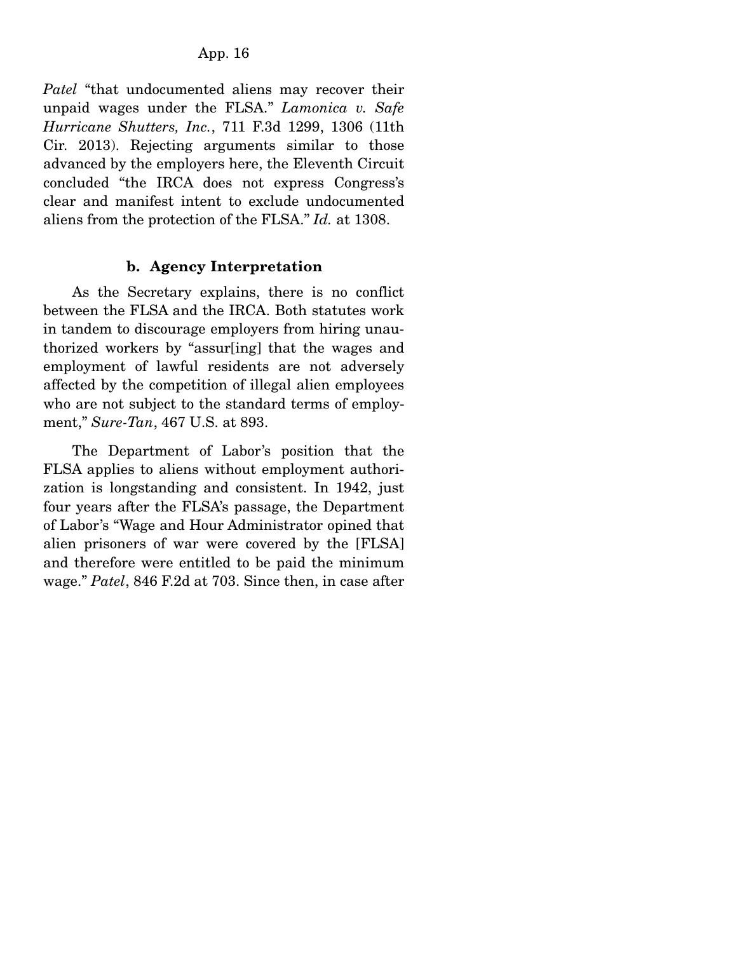*Patel* "that undocumented aliens may recover their unpaid wages under the FLSA." *Lamonica v. Safe Hurricane Shutters, Inc.*, 711 F.3d 1299, 1306 (11th Cir. 2013). Rejecting arguments similar to those advanced by the employers here, the Eleventh Circuit concluded "the IRCA does not express Congress's clear and manifest intent to exclude undocumented aliens from the protection of the FLSA." *Id.* at 1308.

### **b. Agency Interpretation**

 As the Secretary explains, there is no conflict between the FLSA and the IRCA. Both statutes work in tandem to discourage employers from hiring unauthorized workers by "assur[ing] that the wages and employment of lawful residents are not adversely affected by the competition of illegal alien employees who are not subject to the standard terms of employment," *Sure-Tan*, 467 U.S. at 893.

 The Department of Labor's position that the FLSA applies to aliens without employment authorization is longstanding and consistent. In 1942, just four years after the FLSA's passage, the Department of Labor's "Wage and Hour Administrator opined that alien prisoners of war were covered by the [FLSA] and therefore were entitled to be paid the minimum wage." *Patel*, 846 F.2d at 703. Since then, in case after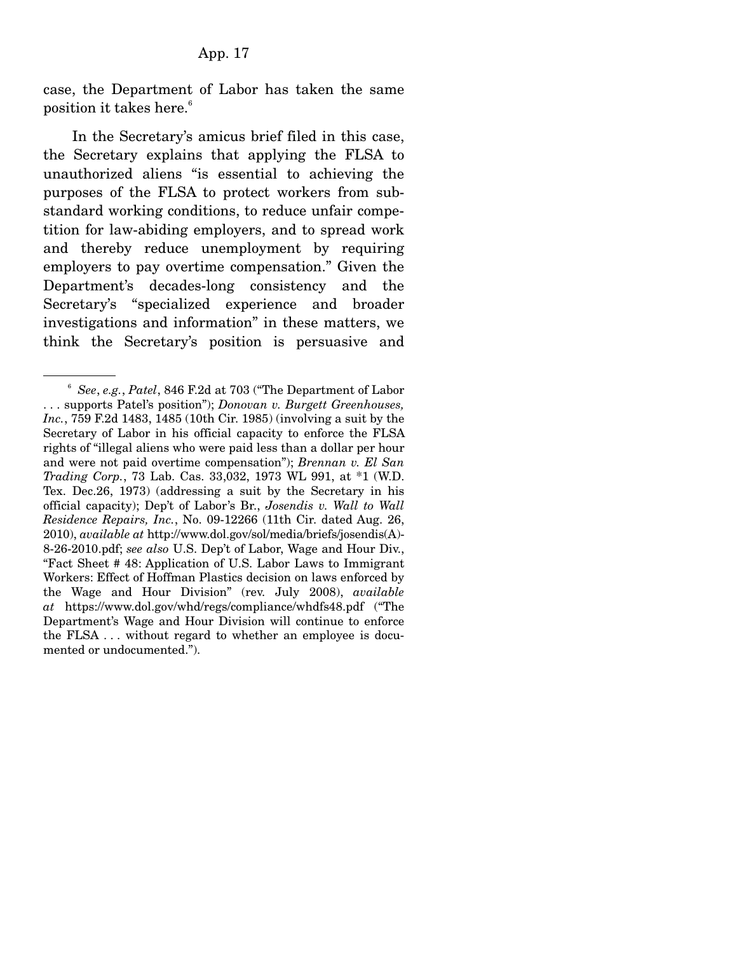case, the Department of Labor has taken the same position it takes here.<sup>6</sup>

 In the Secretary's amicus brief filed in this case, the Secretary explains that applying the FLSA to unauthorized aliens "is essential to achieving the purposes of the FLSA to protect workers from substandard working conditions, to reduce unfair competition for law-abiding employers, and to spread work and thereby reduce unemployment by requiring employers to pay overtime compensation." Given the Department's decades-long consistency and the Secretary's "specialized experience and broader investigations and information" in these matters, we think the Secretary's position is persuasive and

<sup>6</sup> *See*, *e.g.*, *Patel*, 846 F.2d at 703 ("The Department of Labor . . . supports Patel's position"); *Donovan v. Burgett Greenhouses, Inc.*, 759 F.2d 1483, 1485 (10th Cir. 1985) (involving a suit by the Secretary of Labor in his official capacity to enforce the FLSA rights of "illegal aliens who were paid less than a dollar per hour and were not paid overtime compensation"); *Brennan v. El San Trading Corp.*, 73 Lab. Cas. 33,032, 1973 WL 991, at \*1 (W.D. Tex. Dec.26, 1973) (addressing a suit by the Secretary in his official capacity); Dep't of Labor's Br., *Josendis v. Wall to Wall Residence Repairs, Inc.*, No. 09-12266 (11th Cir. dated Aug. 26, 2010), *available at* http://www.dol.gov/sol/media/briefs/josendis(A)- 8-26-2010.pdf; *see also* U.S. Dep't of Labor, Wage and Hour Div., "Fact Sheet # 48: Application of U.S. Labor Laws to Immigrant Workers: Effect of Hoffman Plastics decision on laws enforced by the Wage and Hour Division" (rev. July 2008), *available at* https://www.dol.gov/whd/regs/compliance/whdfs48.pdf ("The Department's Wage and Hour Division will continue to enforce the FLSA . . . without regard to whether an employee is documented or undocumented.").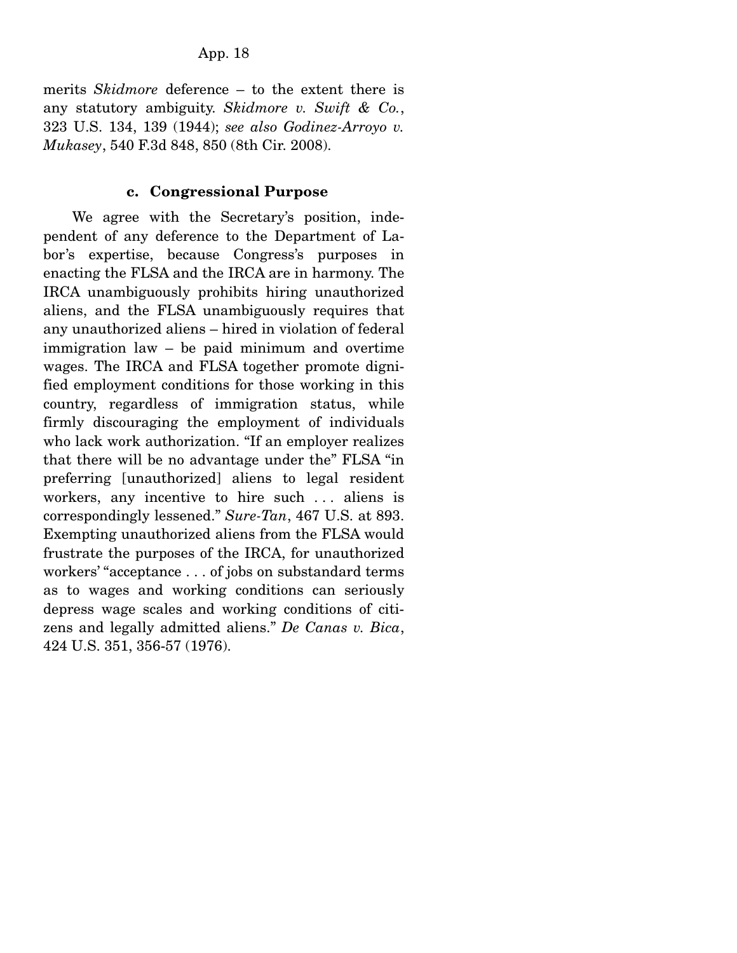merits *Skidmore* deference – to the extent there is any statutory ambiguity. *Skidmore v. Swift & Co.*, 323 U.S. 134, 139 (1944); *see also Godinez-Arroyo v. Mukasey*, 540 F.3d 848, 850 (8th Cir. 2008).

# **c. Congressional Purpose**

 We agree with the Secretary's position, independent of any deference to the Department of Labor's expertise, because Congress's purposes in enacting the FLSA and the IRCA are in harmony. The IRCA unambiguously prohibits hiring unauthorized aliens, and the FLSA unambiguously requires that any unauthorized aliens – hired in violation of federal immigration law – be paid minimum and overtime wages. The IRCA and FLSA together promote dignified employment conditions for those working in this country, regardless of immigration status, while firmly discouraging the employment of individuals who lack work authorization. "If an employer realizes that there will be no advantage under the" FLSA "in preferring [unauthorized] aliens to legal resident workers, any incentive to hire such ... aliens is correspondingly lessened." *Sure-Tan*, 467 U.S. at 893. Exempting unauthorized aliens from the FLSA would frustrate the purposes of the IRCA, for unauthorized workers' "acceptance . . . of jobs on substandard terms as to wages and working conditions can seriously depress wage scales and working conditions of citizens and legally admitted aliens." *De Canas v. Bica*, 424 U.S. 351, 356-57 (1976).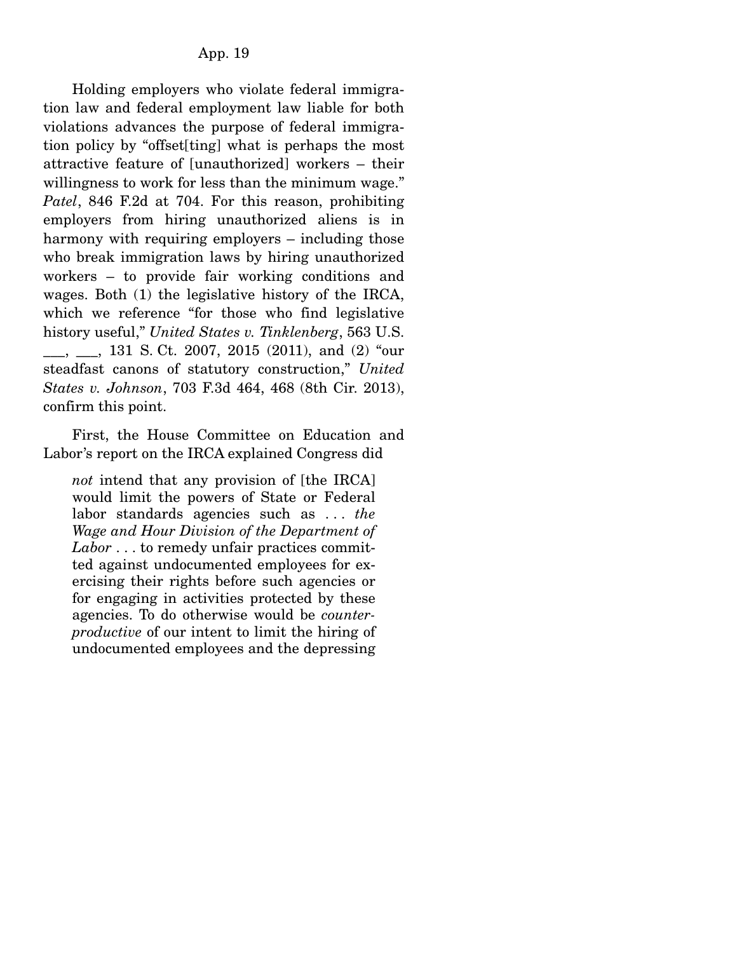Holding employers who violate federal immigration law and federal employment law liable for both violations advances the purpose of federal immigration policy by "offset[ting] what is perhaps the most attractive feature of [unauthorized] workers – their willingness to work for less than the minimum wage." *Patel*, 846 F.2d at 704. For this reason, prohibiting employers from hiring unauthorized aliens is in harmony with requiring employers – including those who break immigration laws by hiring unauthorized workers – to provide fair working conditions and wages. Both (1) the legislative history of the IRCA, which we reference "for those who find legislative history useful," *United States v. Tinklenberg*, 563 U.S. \_\_\_, \_\_\_, 131 S. Ct. 2007, 2015 (2011), and (2) "our steadfast canons of statutory construction," *United States v. Johnson*, 703 F.3d 464, 468 (8th Cir. 2013), confirm this point.

 First, the House Committee on Education and Labor's report on the IRCA explained Congress did

*not* intend that any provision of [the IRCA] would limit the powers of State or Federal labor standards agencies such as . . . *the Wage and Hour Division of the Department of Labor* . . . to remedy unfair practices committed against undocumented employees for exercising their rights before such agencies or for engaging in activities protected by these agencies. To do otherwise would be *counterproductive* of our intent to limit the hiring of undocumented employees and the depressing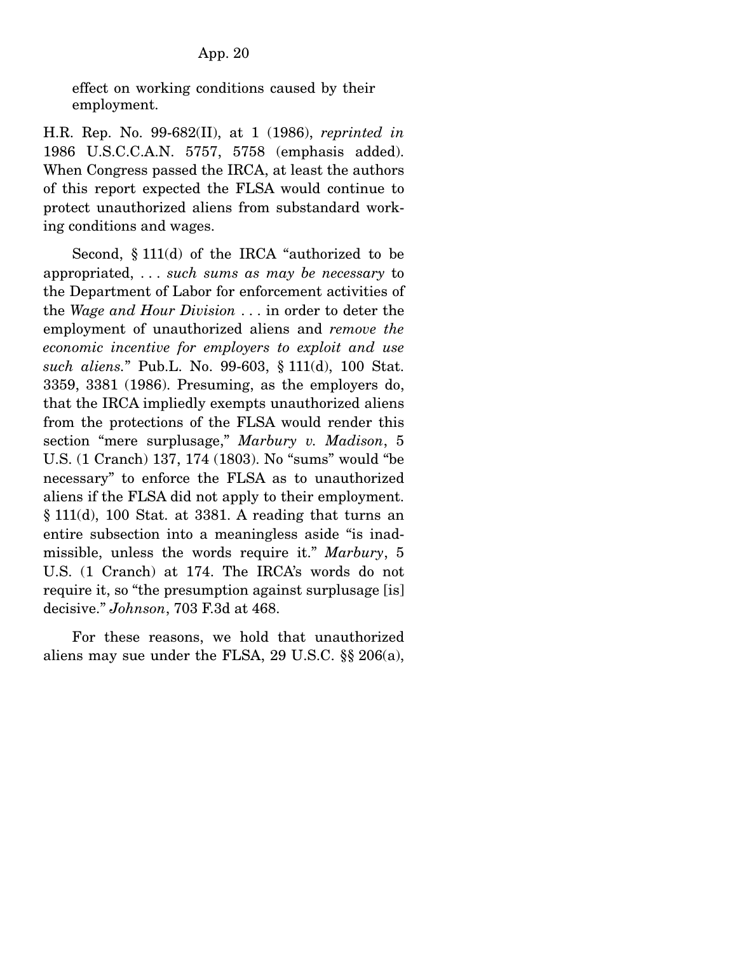effect on working conditions caused by their employment.

H.R. Rep. No. 99-682(II), at 1 (1986), *reprinted in* 1986 U.S.C.C.A.N. 5757, 5758 (emphasis added). When Congress passed the IRCA, at least the authors of this report expected the FLSA would continue to protect unauthorized aliens from substandard working conditions and wages.

 Second, § 111(d) of the IRCA "authorized to be appropriated, . . . *such sums as may be necessary* to the Department of Labor for enforcement activities of the *Wage and Hour Division* . . . in order to deter the employment of unauthorized aliens and *remove the economic incentive for employers to exploit and use such aliens.*" Pub.L. No. 99-603, § 111(d), 100 Stat. 3359, 3381 (1986). Presuming, as the employers do, that the IRCA impliedly exempts unauthorized aliens from the protections of the FLSA would render this section "mere surplusage," *Marbury v. Madison*, 5 U.S. (1 Cranch) 137, 174 (1803). No "sums" would "be necessary" to enforce the FLSA as to unauthorized aliens if the FLSA did not apply to their employment. § 111(d), 100 Stat. at 3381. A reading that turns an entire subsection into a meaningless aside "is inadmissible, unless the words require it." *Marbury*, 5 U.S. (1 Cranch) at 174. The IRCA's words do not require it, so "the presumption against surplusage [is] decisive." *Johnson*, 703 F.3d at 468.

 For these reasons, we hold that unauthorized aliens may sue under the FLSA, 29 U.S.C. §§ 206(a),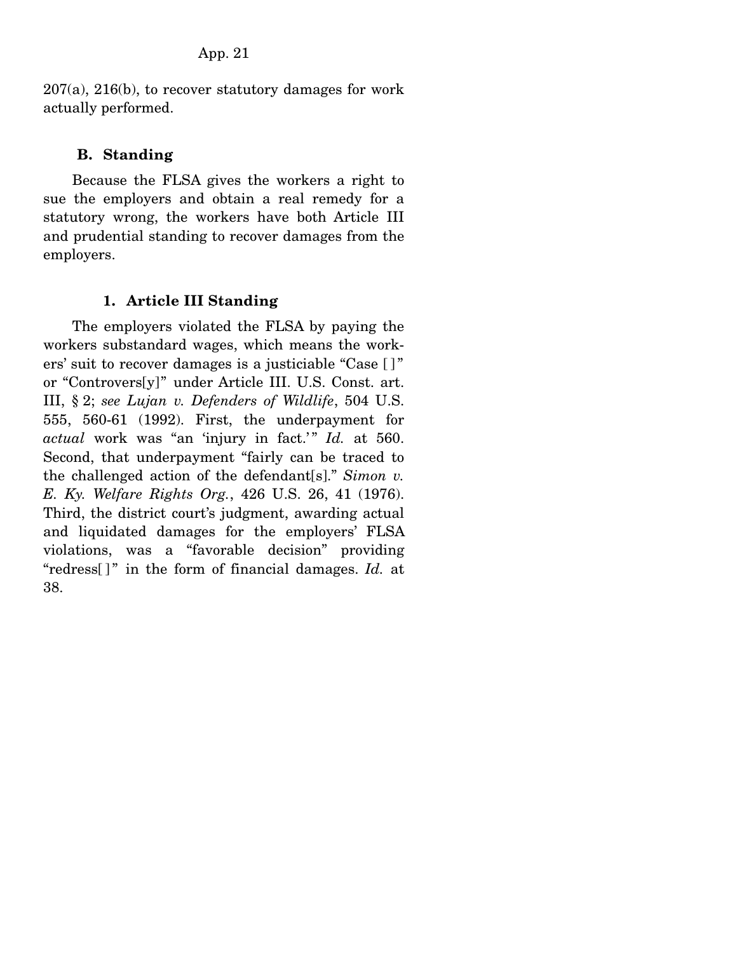207(a), 216(b), to recover statutory damages for work actually performed.

# **B. Standing**

 Because the FLSA gives the workers a right to sue the employers and obtain a real remedy for a statutory wrong, the workers have both Article III and prudential standing to recover damages from the employers.

# **1. Article III Standing**

 The employers violated the FLSA by paying the workers substandard wages, which means the workers' suit to recover damages is a justiciable "Case [ ] " or "Controvers[y]" under Article III. U.S. Const. art. III, § 2; *see Lujan v. Defenders of Wildlife*, 504 U.S. 555, 560-61 (1992). First, the underpayment for actual work was "an 'injury in fact.'" Id. at 560. Second, that underpayment "fairly can be traced to the challenged action of the defendant[s]." *Simon v. E. Ky. Welfare Rights Org.*, 426 U.S. 26, 41 (1976). Third, the district court's judgment, awarding actual and liquidated damages for the employers' FLSA violations, was a "favorable decision" providing "redress[]" in the form of financial damages. *Id.* at 38.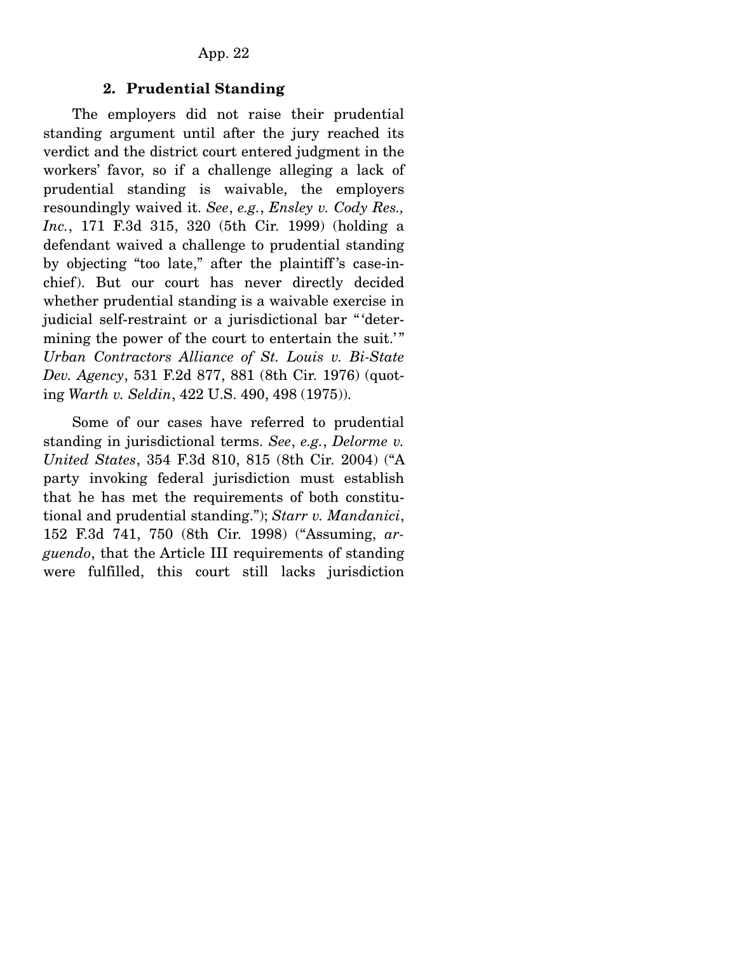## **2. Prudential Standing**

 The employers did not raise their prudential standing argument until after the jury reached its verdict and the district court entered judgment in the workers' favor, so if a challenge alleging a lack of prudential standing is waivable, the employers resoundingly waived it. *See*, *e.g.*, *Ensley v. Cody Res., Inc.*, 171 F.3d 315, 320 (5th Cir. 1999) (holding a defendant waived a challenge to prudential standing by objecting "too late," after the plaintiff 's case-inchief). But our court has never directly decided whether prudential standing is a waivable exercise in judicial self-restraint or a jurisdictional bar " 'determining the power of the court to entertain the suit.'" *Urban Contractors Alliance of St. Louis v. Bi-State Dev. Agency*, 531 F.2d 877, 881 (8th Cir. 1976) (quoting *Warth v. Seldin*, 422 U.S. 490, 498 (1975)).

 Some of our cases have referred to prudential standing in jurisdictional terms. *See*, *e.g.*, *Delorme v. United States*, 354 F.3d 810, 815 (8th Cir. 2004) ("A party invoking federal jurisdiction must establish that he has met the requirements of both constitutional and prudential standing."); *Starr v. Mandanici*, 152 F.3d 741, 750 (8th Cir. 1998) ("Assuming, *arguendo*, that the Article III requirements of standing were fulfilled, this court still lacks jurisdiction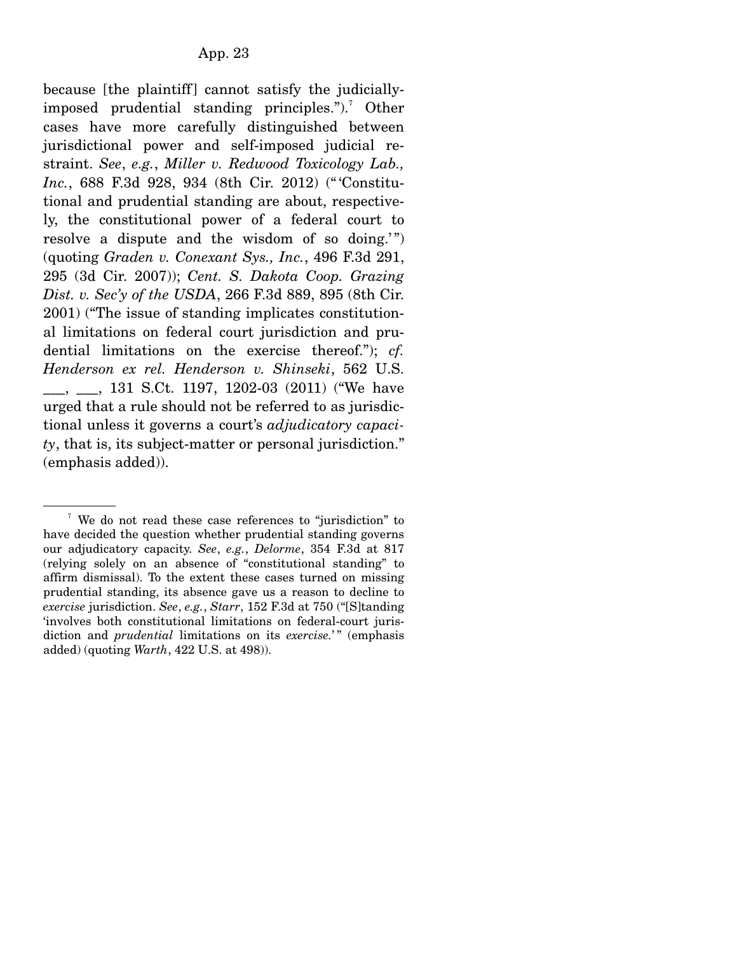because [the plaintiff] cannot satisfy the judiciallyimposed prudential standing principles.").<sup>7</sup> Other cases have more carefully distinguished between jurisdictional power and self-imposed judicial restraint. *See*, *e.g.*, *Miller v. Redwood Toxicology Lab., Inc.*, 688 F.3d 928, 934 (8th Cir. 2012) (" 'Constitutional and prudential standing are about, respectively, the constitutional power of a federal court to resolve a dispute and the wisdom of so doing.") (quoting *Graden v. Conexant Sys., Inc.*, 496 F.3d 291, 295 (3d Cir. 2007)); *Cent. S. Dakota Coop. Grazing Dist. v. Sec'y of the USDA*, 266 F.3d 889, 895 (8th Cir. 2001) ("The issue of standing implicates constitutional limitations on federal court jurisdiction and prudential limitations on the exercise thereof."); *cf. Henderson ex rel. Henderson v. Shinseki*, 562 U.S. \_\_\_, \_\_\_, 131 S.Ct. 1197, 1202-03 (2011) ("We have urged that a rule should not be referred to as jurisdictional unless it governs a court's *adjudicatory capacity*, that is, its subject-matter or personal jurisdiction." (emphasis added)).

<sup>&</sup>lt;sup>7</sup> We do not read these case references to "jurisdiction" to have decided the question whether prudential standing governs our adjudicatory capacity. *See*, *e.g.*, *Delorme*, 354 F.3d at 817 (relying solely on an absence of "constitutional standing" to affirm dismissal). To the extent these cases turned on missing prudential standing, its absence gave us a reason to decline to *exercise* jurisdiction. *See*, *e.g.*, *Starr*, 152 F.3d at 750 ("[S]tanding 'involves both constitutional limitations on federal-court jurisdiction and *prudential* limitations on its *exercise.*' " (emphasis added) (quoting *Warth*, 422 U.S. at 498)).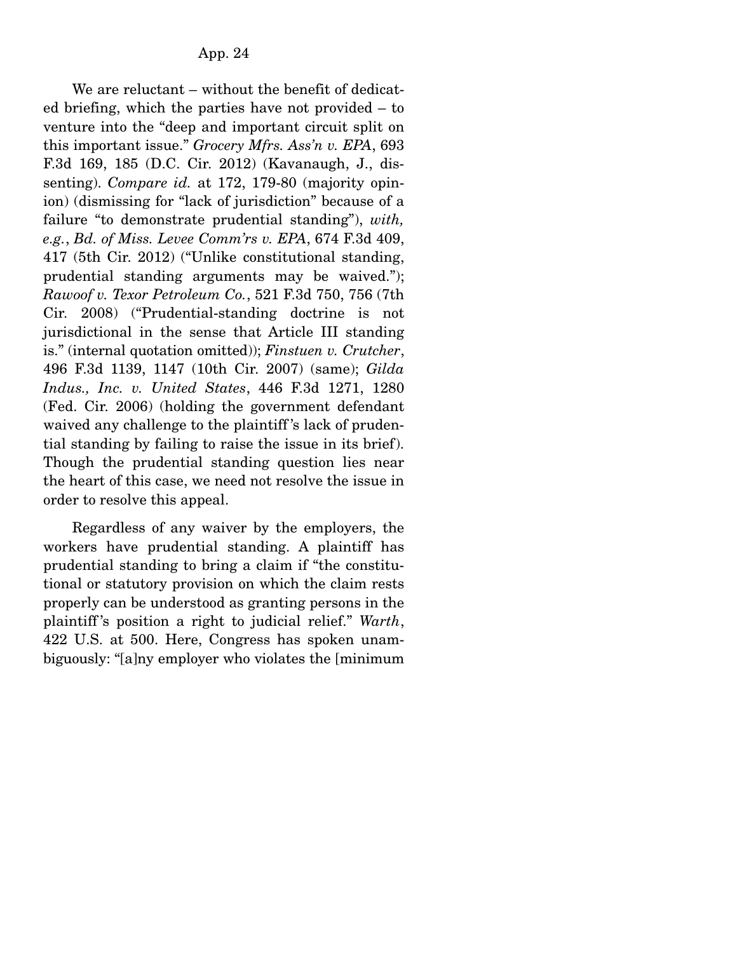We are reluctant – without the benefit of dedicated briefing, which the parties have not provided – to venture into the "deep and important circuit split on this important issue." *Grocery Mfrs. Ass'n v. EPA*, 693 F.3d 169, 185 (D.C. Cir. 2012) (Kavanaugh, J., dissenting). *Compare id.* at 172, 179-80 (majority opinion) (dismissing for "lack of jurisdiction" because of a failure "to demonstrate prudential standing"), *with, e.g.*, *Bd. of Miss. Levee Comm'rs v. EPA*, 674 F.3d 409, 417 (5th Cir. 2012) ("Unlike constitutional standing, prudential standing arguments may be waived."); *Rawoof v. Texor Petroleum Co.*, 521 F.3d 750, 756 (7th Cir. 2008) ("Prudential-standing doctrine is not jurisdictional in the sense that Article III standing is." (internal quotation omitted)); *Finstuen v. Crutcher*, 496 F.3d 1139, 1147 (10th Cir. 2007) (same); *Gilda Indus., Inc. v. United States*, 446 F.3d 1271, 1280 (Fed. Cir. 2006) (holding the government defendant waived any challenge to the plaintiff 's lack of prudential standing by failing to raise the issue in its brief). Though the prudential standing question lies near the heart of this case, we need not resolve the issue in order to resolve this appeal.

 Regardless of any waiver by the employers, the workers have prudential standing. A plaintiff has prudential standing to bring a claim if "the constitutional or statutory provision on which the claim rests properly can be understood as granting persons in the plaintiff 's position a right to judicial relief." *Warth*, 422 U.S. at 500. Here, Congress has spoken unambiguously: "[a]ny employer who violates the [minimum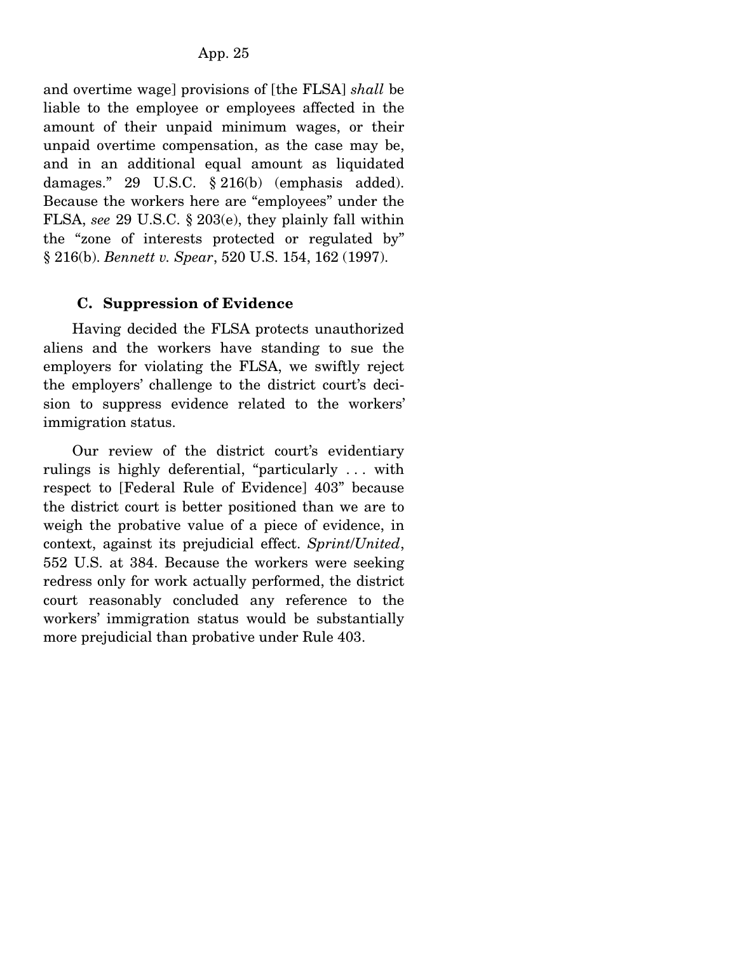and overtime wage] provisions of [the FLSA] *shall* be liable to the employee or employees affected in the amount of their unpaid minimum wages, or their unpaid overtime compensation, as the case may be, and in an additional equal amount as liquidated damages." 29 U.S.C. § 216(b) (emphasis added). Because the workers here are "employees" under the FLSA, *see* 29 U.S.C. § 203(e), they plainly fall within the "zone of interests protected or regulated by" § 216(b). *Bennett v. Spear*, 520 U.S. 154, 162 (1997).

# **C. Suppression of Evidence**

 Having decided the FLSA protects unauthorized aliens and the workers have standing to sue the employers for violating the FLSA, we swiftly reject the employers' challenge to the district court's decision to suppress evidence related to the workers' immigration status.

 Our review of the district court's evidentiary rulings is highly deferential, "particularly . . . with respect to [Federal Rule of Evidence] 403" because the district court is better positioned than we are to weigh the probative value of a piece of evidence, in context, against its prejudicial effect. *Sprint*/*United*, 552 U.S. at 384. Because the workers were seeking redress only for work actually performed, the district court reasonably concluded any reference to the workers' immigration status would be substantially more prejudicial than probative under Rule 403.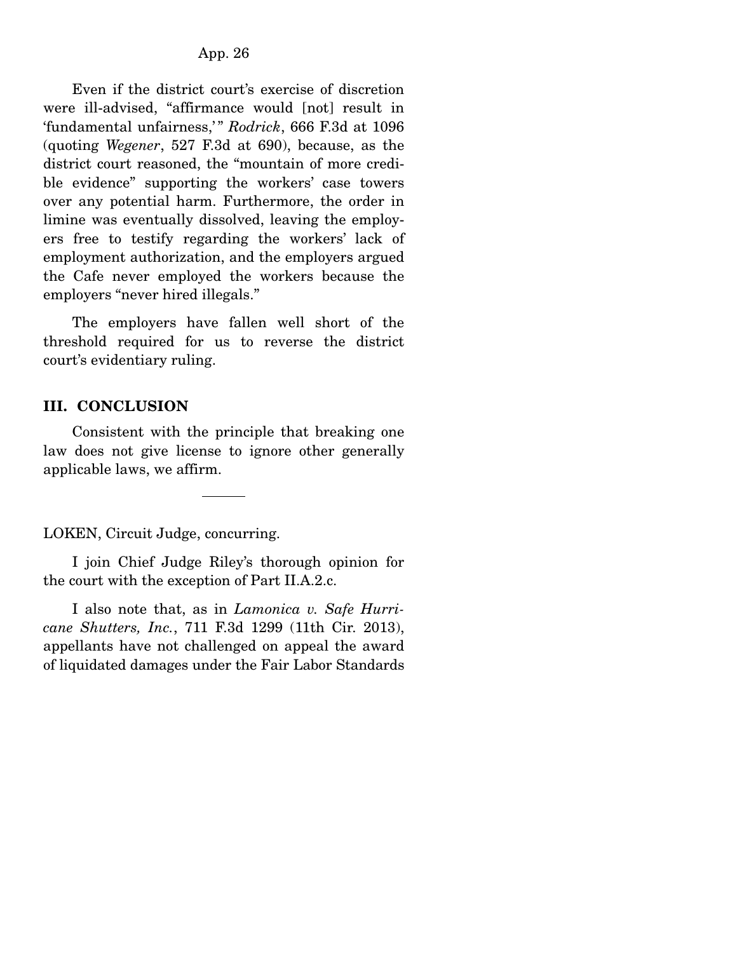Even if the district court's exercise of discretion were ill-advised, "affirmance would [not] result in 'fundamental unfairness,'" Rodrick, 666 F.3d at 1096 (quoting *Wegener*, 527 F.3d at 690), because, as the district court reasoned, the "mountain of more credible evidence" supporting the workers' case towers over any potential harm. Furthermore, the order in limine was eventually dissolved, leaving the employers free to testify regarding the workers' lack of employment authorization, and the employers argued the Cafe never employed the workers because the employers "never hired illegals."

 The employers have fallen well short of the threshold required for us to reverse the district court's evidentiary ruling.

# **III. CONCLUSION**

 Consistent with the principle that breaking one law does not give license to ignore other generally applicable laws, we affirm.

LOKEN, Circuit Judge, concurring.

 I join Chief Judge Riley's thorough opinion for the court with the exception of Part II.A.2.c.

 I also note that, as in *Lamonica v. Safe Hurricane Shutters, Inc.*, 711 F.3d 1299 (11th Cir. 2013), appellants have not challenged on appeal the award of liquidated damages under the Fair Labor Standards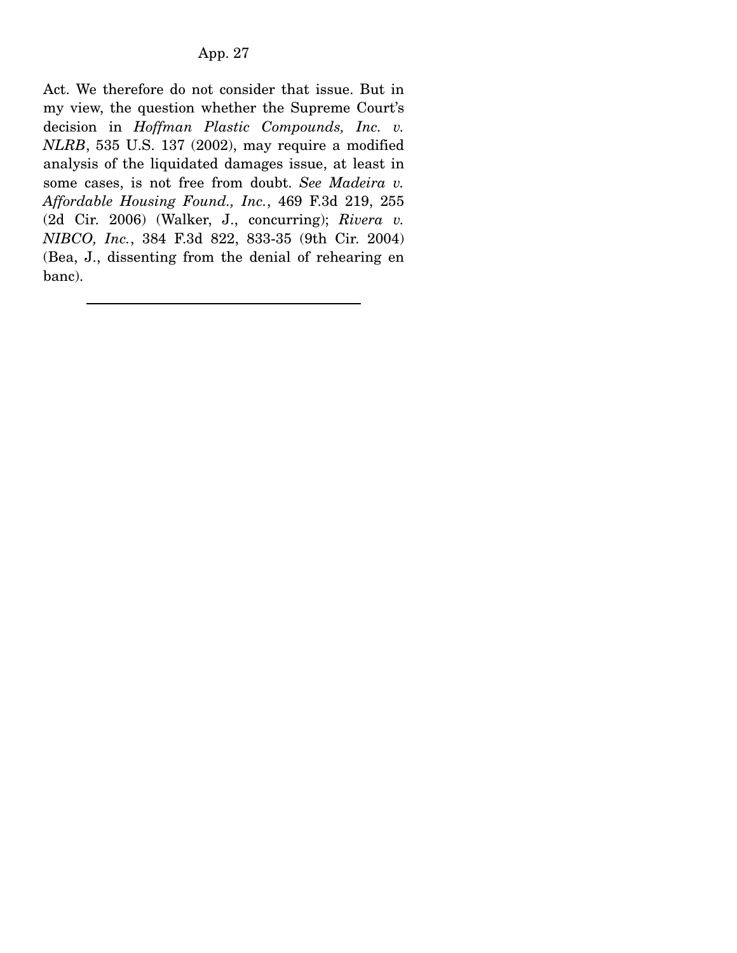Act. We therefore do not consider that issue. But in my view, the question whether the Supreme Court's decision in *Hoffman Plastic Compounds, Inc. v. NLRB*, 535 U.S. 137 (2002), may require a modified analysis of the liquidated damages issue, at least in some cases, is not free from doubt. *See Madeira v. Affordable Housing Found., Inc.*, 469 F.3d 219, 255 (2d Cir. 2006) (Walker, J., concurring); *Rivera v. NIBCO, Inc.*, 384 F.3d 822, 833-35 (9th Cir. 2004) (Bea, J., dissenting from the denial of rehearing en banc).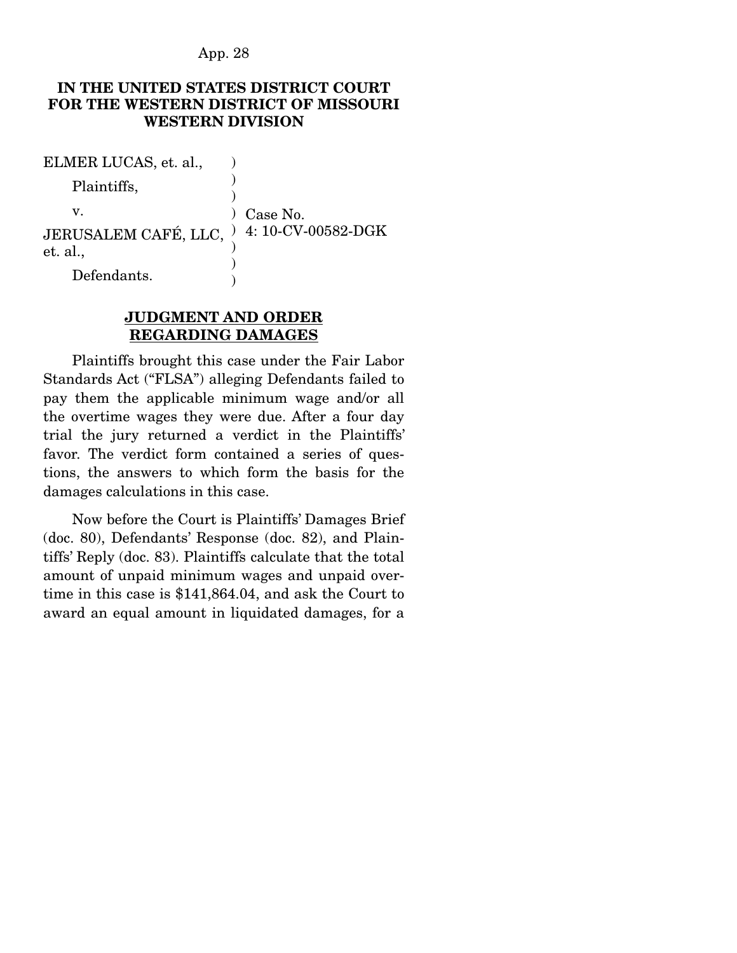### **IN THE UNITED STATES DISTRICT COURT FOR THE WESTERN DISTRICT OF MISSOURI WESTERN DIVISION**

| ELMER LUCAS, et. al.,                                 |                   |
|-------------------------------------------------------|-------------------|
| Plaintiffs,                                           |                   |
| v.                                                    | $\prime$ Case No. |
| JERUSALEM CAFÉ, LLC, ) 4: 10-CV-00582-DGK<br>et. al., |                   |
| Defendants.                                           |                   |

# **JUDGMENT AND ORDER REGARDING DAMAGES**

 Plaintiffs brought this case under the Fair Labor Standards Act ("FLSA") alleging Defendants failed to pay them the applicable minimum wage and/or all the overtime wages they were due. After a four day trial the jury returned a verdict in the Plaintiffs' favor. The verdict form contained a series of questions, the answers to which form the basis for the damages calculations in this case.

 Now before the Court is Plaintiffs' Damages Brief (doc. 80), Defendants' Response (doc. 82), and Plaintiffs' Reply (doc. 83). Plaintiffs calculate that the total amount of unpaid minimum wages and unpaid overtime in this case is \$141,864.04, and ask the Court to award an equal amount in liquidated damages, for a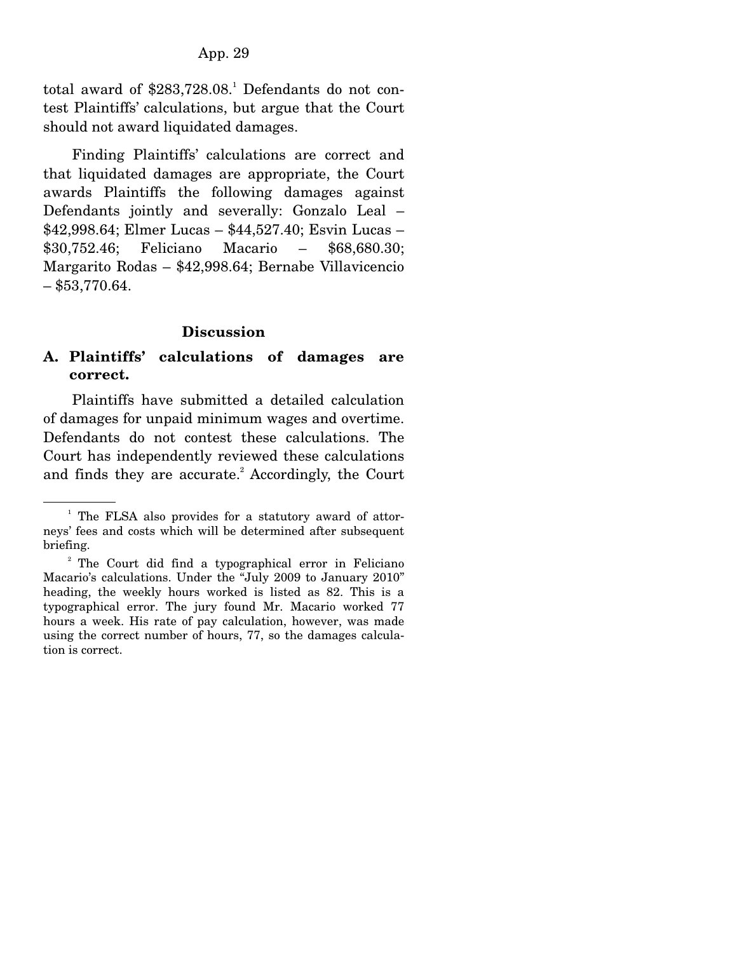total award of  $$283,728.08$ .<sup>1</sup> Defendants do not contest Plaintiffs' calculations, but argue that the Court should not award liquidated damages.

 Finding Plaintiffs' calculations are correct and that liquidated damages are appropriate, the Court awards Plaintiffs the following damages against Defendants jointly and severally: Gonzalo Leal – \$42,998.64; Elmer Lucas – \$44,527.40; Esvin Lucas – \$30,752.46; Feliciano Macario – \$68,680.30; Margarito Rodas – \$42,998.64; Bernabe Villavicencio  $-$ \$53,770.64.

### **Discussion**

# **A. Plaintiffs' calculations of damages are correct.**

 Plaintiffs have submitted a detailed calculation of damages for unpaid minimum wages and overtime. Defendants do not contest these calculations. The Court has independently reviewed these calculations and finds they are accurate.<sup>2</sup> Accordingly, the Court

<sup>&</sup>lt;sup>1</sup> The FLSA also provides for a statutory award of attorneys' fees and costs which will be determined after subsequent briefing.

<sup>&</sup>lt;sup>2</sup> The Court did find a typographical error in Feliciano Macario's calculations. Under the "July 2009 to January 2010" heading, the weekly hours worked is listed as 82. This is a typographical error. The jury found Mr. Macario worked 77 hours a week. His rate of pay calculation, however, was made using the correct number of hours, 77, so the damages calculation is correct.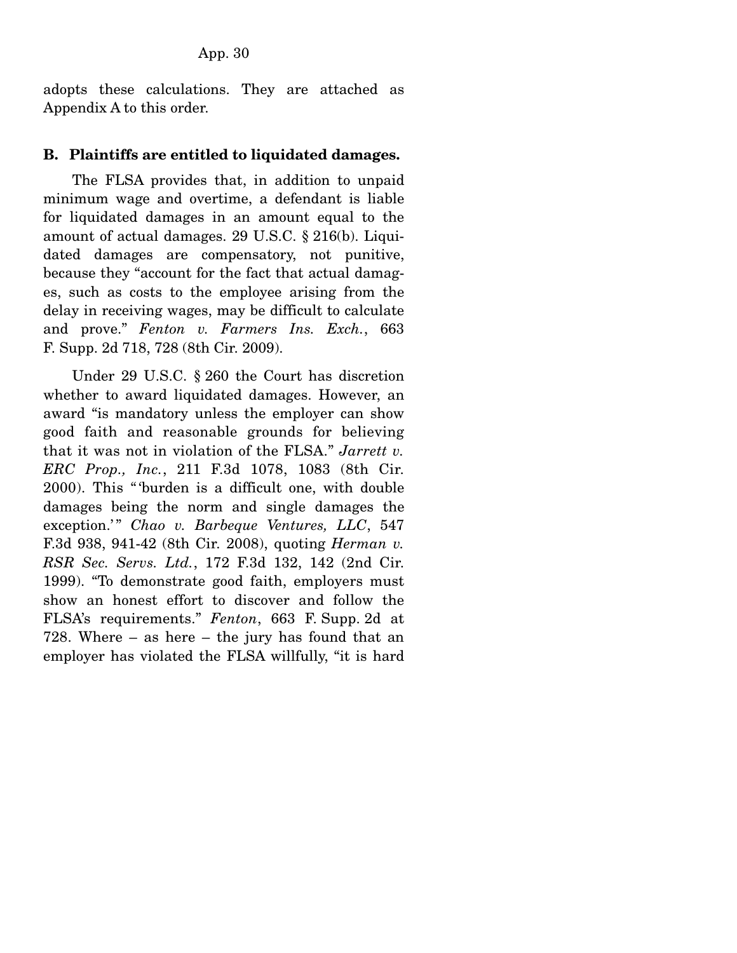adopts these calculations. They are attached as Appendix A to this order.

#### **B. Plaintiffs are entitled to liquidated damages.**

 The FLSA provides that, in addition to unpaid minimum wage and overtime, a defendant is liable for liquidated damages in an amount equal to the amount of actual damages. 29 U.S.C. § 216(b). Liquidated damages are compensatory, not punitive, because they "account for the fact that actual damages, such as costs to the employee arising from the delay in receiving wages, may be difficult to calculate and prove." *Fenton v. Farmers Ins. Exch.*, 663 F. Supp. 2d 718, 728 (8th Cir. 2009).

 Under 29 U.S.C. § 260 the Court has discretion whether to award liquidated damages. However, an award "is mandatory unless the employer can show good faith and reasonable grounds for believing that it was not in violation of the FLSA." *Jarrett v. ERC Prop., Inc.*, 211 F.3d 1078, 1083 (8th Cir. 2000). This " 'burden is a difficult one, with double damages being the norm and single damages the exception.'" Chao v. Barbeque Ventures, LLC, 547 F.3d 938, 941-42 (8th Cir. 2008), quoting *Herman v. RSR Sec. Servs. Ltd.*, 172 F.3d 132, 142 (2nd Cir. 1999). "To demonstrate good faith, employers must show an honest effort to discover and follow the FLSA's requirements." *Fenton*, 663 F. Supp. 2d at 728. Where – as here – the jury has found that an employer has violated the FLSA willfully, "it is hard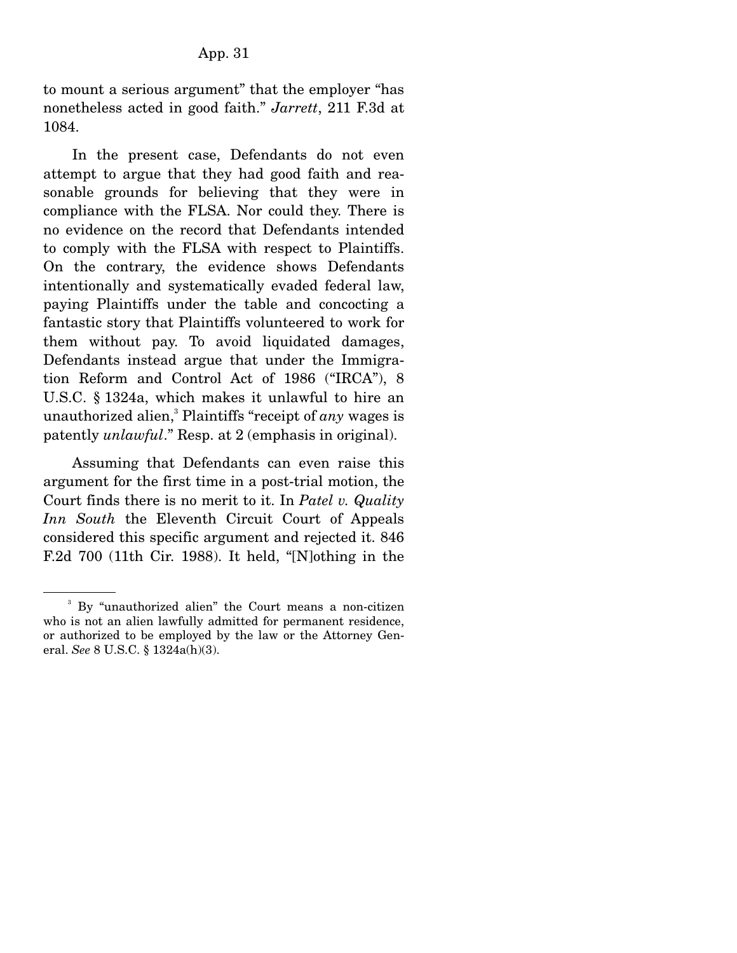to mount a serious argument" that the employer "has nonetheless acted in good faith." *Jarrett*, 211 F.3d at 1084.

 In the present case, Defendants do not even attempt to argue that they had good faith and reasonable grounds for believing that they were in compliance with the FLSA. Nor could they. There is no evidence on the record that Defendants intended to comply with the FLSA with respect to Plaintiffs. On the contrary, the evidence shows Defendants intentionally and systematically evaded federal law, paying Plaintiffs under the table and concocting a fantastic story that Plaintiffs volunteered to work for them without pay. To avoid liquidated damages, Defendants instead argue that under the Immigration Reform and Control Act of 1986 ("IRCA"), 8 U.S.C. § 1324a, which makes it unlawful to hire an unauthorized alien,<sup>3</sup> Plaintiffs "receipt of *any* wages is patently *unlawful*." Resp. at 2 (emphasis in original).

 Assuming that Defendants can even raise this argument for the first time in a post-trial motion, the Court finds there is no merit to it. In *Patel v. Quality Inn South* the Eleventh Circuit Court of Appeals considered this specific argument and rejected it. 846 F.2d 700 (11th Cir. 1988). It held, "[N]othing in the

<sup>3</sup> By "unauthorized alien" the Court means a non-citizen who is not an alien lawfully admitted for permanent residence, or authorized to be employed by the law or the Attorney General. *See* 8 U.S.C. § 1324a(h)(3).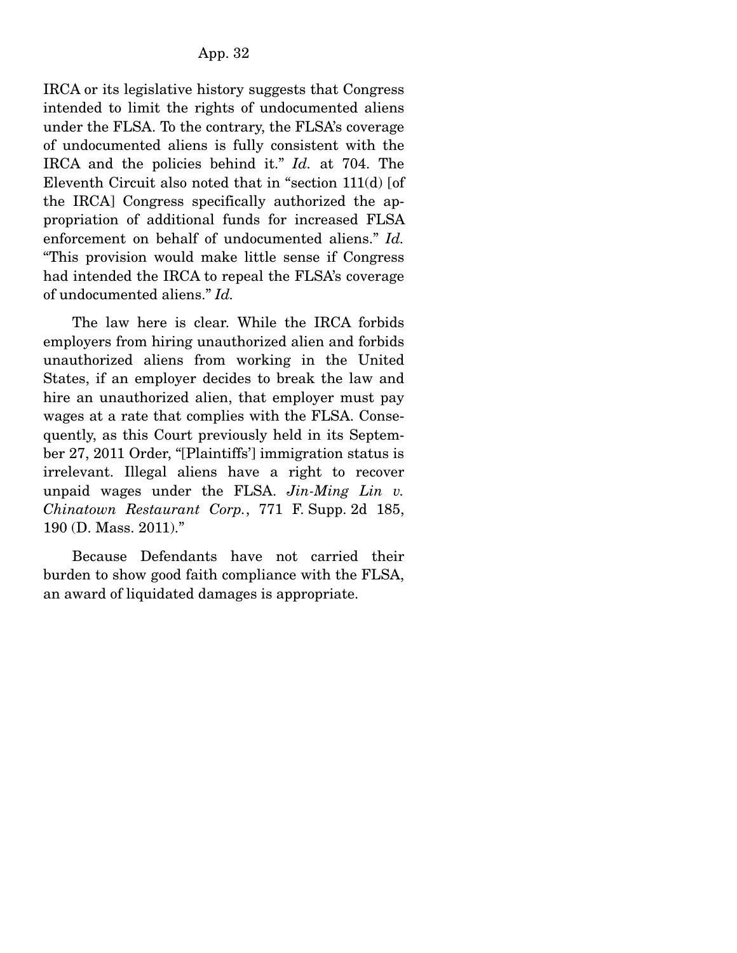IRCA or its legislative history suggests that Congress intended to limit the rights of undocumented aliens under the FLSA. To the contrary, the FLSA's coverage of undocumented aliens is fully consistent with the IRCA and the policies behind it." *Id.* at 704. The Eleventh Circuit also noted that in "section 111(d) [of the IRCA] Congress specifically authorized the appropriation of additional funds for increased FLSA enforcement on behalf of undocumented aliens." *Id.* "This provision would make little sense if Congress had intended the IRCA to repeal the FLSA's coverage of undocumented aliens." *Id.*

 The law here is clear. While the IRCA forbids employers from hiring unauthorized alien and forbids unauthorized aliens from working in the United States, if an employer decides to break the law and hire an unauthorized alien, that employer must pay wages at a rate that complies with the FLSA. Consequently, as this Court previously held in its September 27, 2011 Order, "[Plaintiffs'] immigration status is irrelevant. Illegal aliens have a right to recover unpaid wages under the FLSA. *Jin-Ming Lin v. Chinatown Restaurant Corp.*, 771 F. Supp. 2d 185, 190 (D. Mass. 2011)."

 Because Defendants have not carried their burden to show good faith compliance with the FLSA, an award of liquidated damages is appropriate.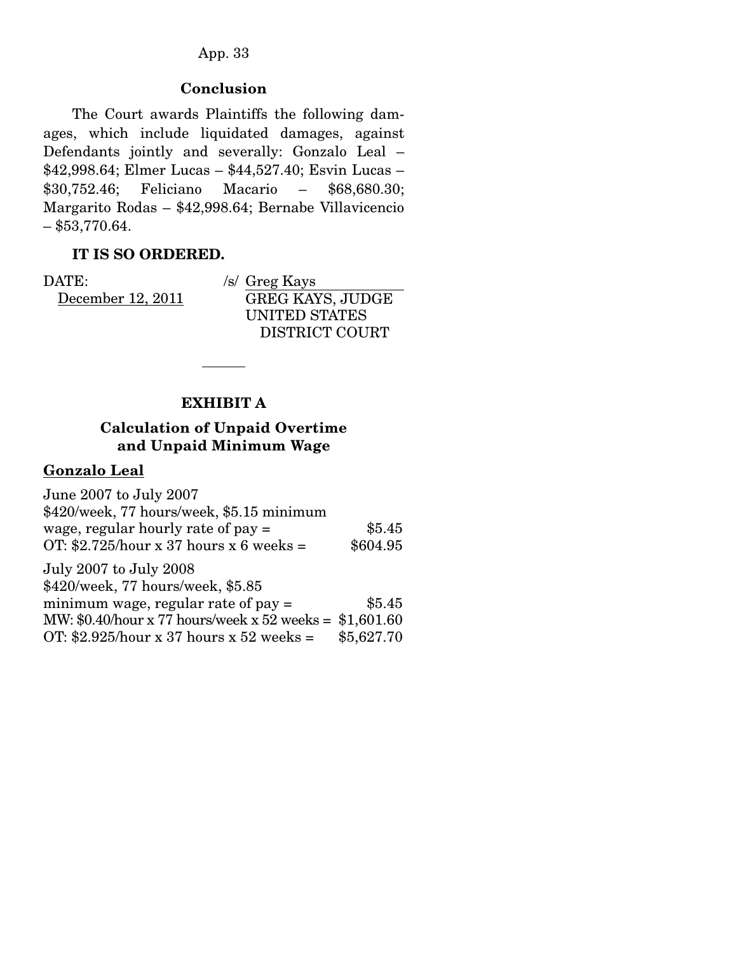## **Conclusion**

 The Court awards Plaintiffs the following damages, which include liquidated damages, against Defendants jointly and severally: Gonzalo Leal – \$42,998.64; Elmer Lucas – \$44,527.40; Esvin Lucas – \$30,752.46; Feliciano Macario – \$68,680.30; Margarito Rodas – \$42,998.64; Bernabe Villavicencio  $-$ \$53,770.64.

## **IT IS SO ORDERED.**

DATE: December 12, 2011 /s/ Greg Kays GREG KAYS, JUDGE UNITED STATES DISTRICT COURT

## **EXHIBIT A**

## **Calculation of Unpaid Overtime and Unpaid Minimum Wage**

#### **Gonzalo Leal**

| June 2007 to July 2007                                   |            |
|----------------------------------------------------------|------------|
| \$420/week, 77 hours/week, \$5.15 minimum                |            |
| wage, regular hourly rate of $pay =$                     | \$5.45     |
| OT: $$2.725/hour \times 37 hours \times 6 weeks =$       | \$604.95   |
| July 2007 to July 2008                                   |            |
| \$420/week, 77 hours/week, \$5.85                        |            |
| minimum wage, regular rate of $pay =$                    | \$5.45     |
| MW: \$0.40/hour x 77 hours/week x 52 weeks = $$1,601.60$ |            |
| OT: \$2.925/hour x 37 hours x 52 weeks =                 | \$5,627.70 |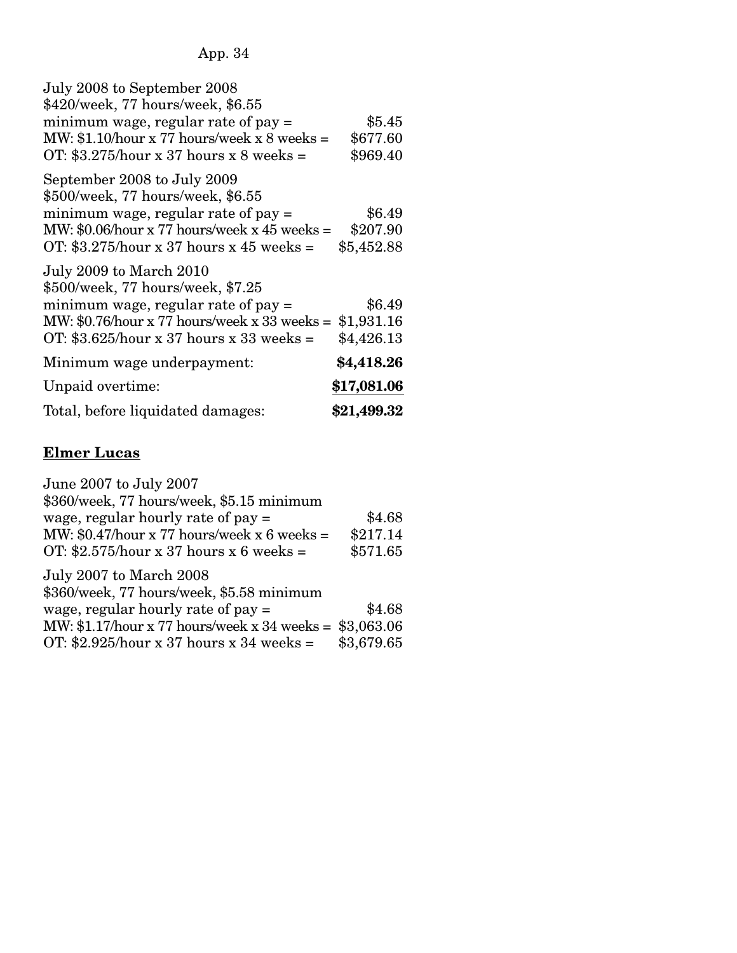| July 2008 to September 2008<br>\$420/week, 77 hours/week, \$6.55                                                                                                                                                   |                                  |
|--------------------------------------------------------------------------------------------------------------------------------------------------------------------------------------------------------------------|----------------------------------|
| minimum wage, regular rate of $pay =$                                                                                                                                                                              | \$5.45                           |
| MW: $$1.10/hour \times 77 hours/week \times 8 weeks =$                                                                                                                                                             | \$677.60                         |
| OT: $$3.275/hour \times 37 hours \times 8 weeks =$                                                                                                                                                                 | \$969.40                         |
| September 2008 to July 2009<br>\$500/week, 77 hours/week, \$6.55<br>minimum wage, regular rate of $pay =$<br>MW: $$0.06$ /hour x 77 hours/week x 45 weeks =<br>OT: $$3.275/hour \times 37 hours \times 45 weeks =$ | \$6.49<br>\$207.90<br>\$5,452.88 |
| July 2009 to March 2010<br>\$500/week, 77 hours/week, \$7.25                                                                                                                                                       |                                  |
| minimum wage, regular rate of $pay =$                                                                                                                                                                              | \$6.49                           |
| MW: $$0.76$ /hour x 77 hours/week x 33 weeks =                                                                                                                                                                     | \$1,931.16                       |
| OT: $$3.625/hour \times 37 hours \times 33 weeks =$                                                                                                                                                                | \$4,426.13                       |
| Minimum wage underpayment:                                                                                                                                                                                         | \$4,418.26                       |
| Unpaid overtime:                                                                                                                                                                                                   | \$17,081.06                      |
| Total, before liquidated damages:                                                                                                                                                                                  | \$21,499.32                      |

# **Elmer Lucas**

| June 2007 to July 2007                                            |            |
|-------------------------------------------------------------------|------------|
| \$360/week, 77 hours/week, \$5.15 minimum                         |            |
| wage, regular hourly rate of $pay =$                              | \$4.68     |
| MW: $$0.47$ /hour x 77 hours/week x 6 weeks =                     | \$217.14   |
| OT: $$2.575/hour \times 37 hours \times 6 weeks =$                | \$571.65   |
| July 2007 to March 2008                                           |            |
| \$360/week, 77 hours/week, \$5.58 minimum                         |            |
| wage, regular hourly rate of $pay =$                              | \$4.68     |
| MW: $$1.17/hour \times 77 hours/week \times 34 weeks = $3,063.06$ |            |
| OT: \$2.925/hour x 37 hours x 34 weeks =                          | \$3,679.65 |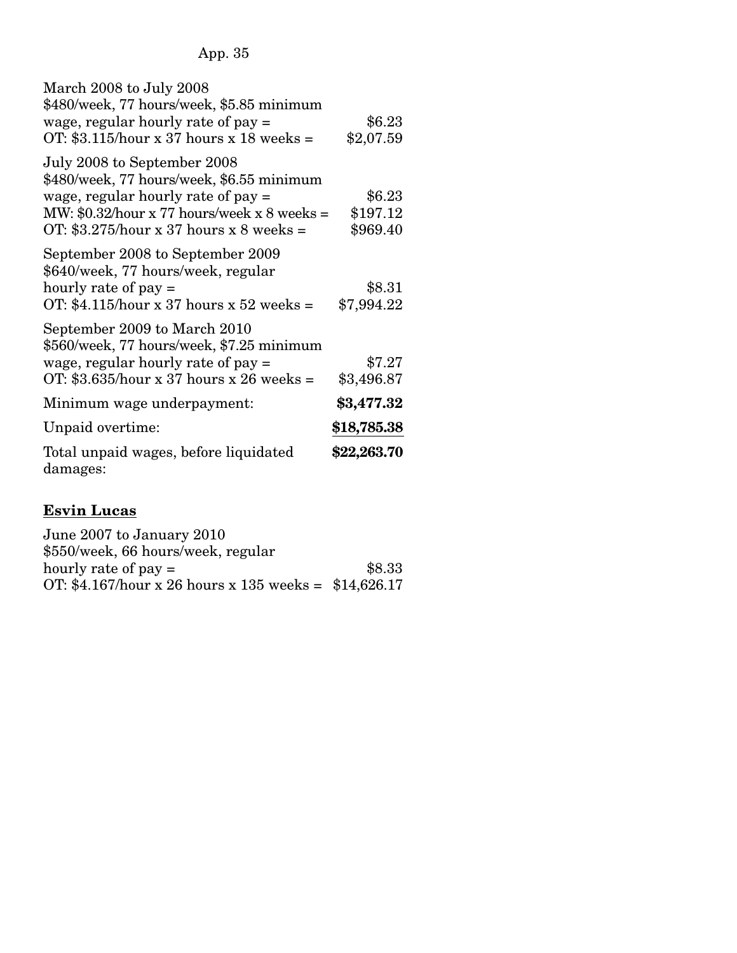| March 2008 to July 2008<br>\$480/week, 77 hours/week, \$5.85 minimum      |             |
|---------------------------------------------------------------------------|-------------|
| wage, regular hourly rate of pay =                                        | \$6.23      |
| OT: $$3.115/hour \times 37 hours \times 18 weeks =$                       | \$2,07.59   |
| July 2008 to September 2008<br>\$480/week, 77 hours/week, \$6.55 minimum  |             |
| wage, regular hourly rate of $pay =$                                      | \$6.23      |
| MW: $$0.32$ /hour x 77 hours/week x 8 weeks =                             | \$197.12    |
| OT: $$3.275/hour \times 37 hours \times 8 weeks =$                        | \$969.40    |
| September 2008 to September 2009<br>\$640/week, 77 hours/week, regular    |             |
| hourly rate of $pay =$                                                    | \$8.31      |
| OT: \$4.115/hour x 37 hours x 52 weeks =                                  | \$7,994.22  |
| September 2009 to March 2010<br>\$560/week, 77 hours/week, \$7.25 minimum |             |
| wage, regular hourly rate of $pay =$                                      | \$7.27      |
| OT: $$3.635/hour \times 37 hours \times 26 weeks =$                       | \$3,496.87  |
| Minimum wage underpayment:                                                | \$3,477.32  |
| Unpaid overtime:                                                          | \$18,785.38 |
| Total unpaid wages, before liquidated<br>damages:                         | \$22,263.70 |

# **Esvin Lucas**

| June 2007 to January 2010                             |        |
|-------------------------------------------------------|--------|
| \$550/week, 66 hours/week, regular                    |        |
| hourly rate of $pay =$                                | \$8.33 |
| OT: \$4.167/hour x 26 hours x 135 weeks = \$14,626.17 |        |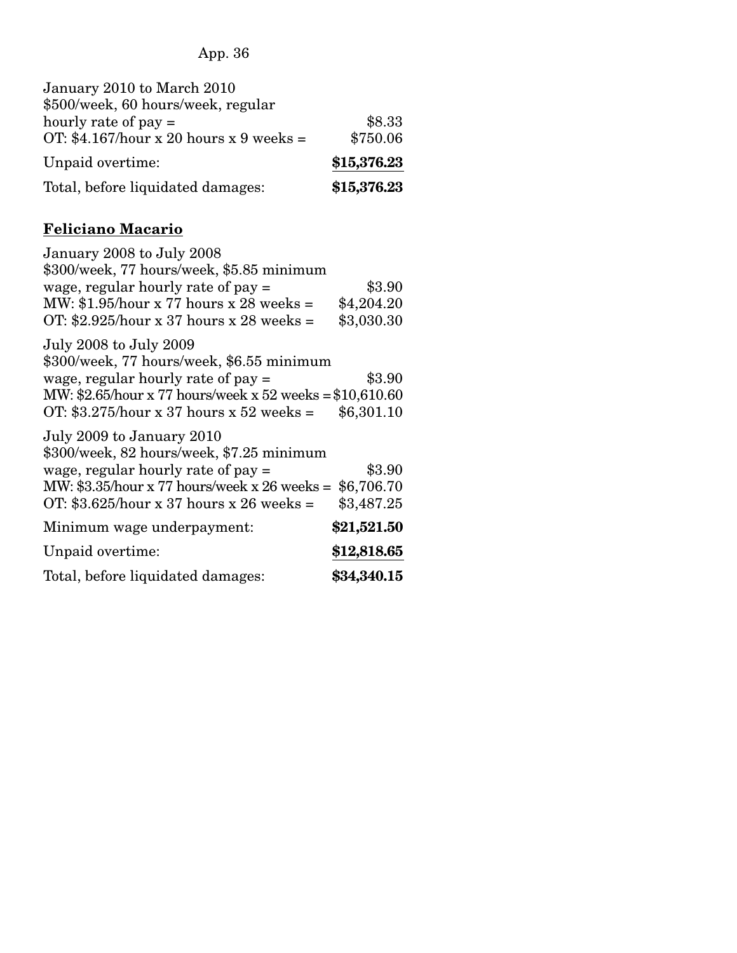| \$8.33      |
|-------------|
| \$750.06    |
| \$15,376.23 |
| \$15,376.23 |
|             |

# **Feliciano Macario**

| January 2008 to July 2008                                 |             |
|-----------------------------------------------------------|-------------|
| \$300/week, 77 hours/week, \$5.85 minimum                 |             |
| wage, regular hourly rate of $pay =$                      | \$3.90      |
| MW: $$1.95/hour \times 77 hours \times 28 weeks =$        | \$4,204.20  |
| OT: \$2.925/hour x 37 hours x 28 weeks =                  | \$3,030.30  |
| July 2008 to July 2009                                    |             |
| \$300/week, 77 hours/week, \$6.55 minimum                 |             |
| wage, regular hourly rate of $pay =$                      | \$3.90      |
| MW: $2.65$ /hour x 77 hours/week x 52 weeks = $10,610.60$ |             |
| OT: $$3.275/hour \times 37 hours \times 52 weeks =$       | \$6,301.10  |
| July 2009 to January 2010                                 |             |
| \$300/week, 82 hours/week, \$7.25 minimum                 |             |
| wage, regular hourly rate of $pay =$                      | \$3.90      |
| MW: $$3.35/hour \times 77 hours/week \times 26 weeks =$   | \$6,706.70  |
| OT: \$3.625/hour x 37 hours x 26 weeks =                  | \$3,487.25  |
| Minimum wage underpayment:                                | \$21,521.50 |
| Unpaid overtime:                                          | \$12,818.65 |
| Total, before liquidated damages:                         | \$34,340.15 |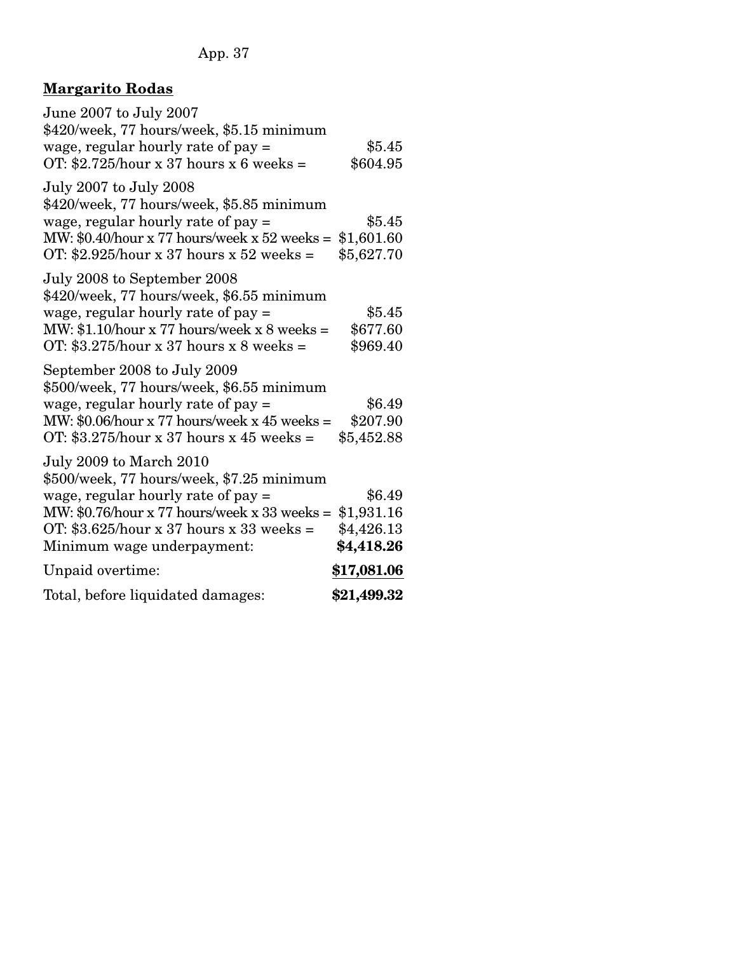# **Margarito Rodas**

| June 2007 to July 2007<br>\$420/week, 77 hours/week, \$5.15 minimum<br>wage, regular hourly rate of $pay =$<br>OT: \$2.725/hour x 37 hours x 6 weeks =                                                                                             | \$5.45<br>\$604.95                               |
|----------------------------------------------------------------------------------------------------------------------------------------------------------------------------------------------------------------------------------------------------|--------------------------------------------------|
| July 2007 to July 2008<br>\$420/week, 77 hours/week, \$5.85 minimum<br>wage, regular hourly rate of $pay =$<br>MW: $$0.40$ /hour x 77 hours/week x 52 weeks =<br>OT: \$2.925/hour x 37 hours x 52 weeks =                                          | \$5.45<br>\$1,601.60<br>\$5,627.70               |
| July 2008 to September 2008<br>\$420/week, 77 hours/week, \$6.55 minimum<br>wage, regular hourly rate of $pay =$<br>MW: \$1.10/hour x 77 hours/week x $8$ weeks =<br>OT: $$3.275/hour \times 37 hours \times 8 weeks =$                            | \$5.45<br>\$677.60<br>\$969.40                   |
| September 2008 to July 2009<br>\$500/week, 77 hours/week, \$6.55 minimum<br>wage, regular hourly rate of $pay =$<br>MW: $$0.06$ /hour x 77 hours/week x 45 weeks =<br>OT: $$3.275/hour \times 37 hours \times 45 weeks =$                          | \$6.49<br>\$207.90<br>\$5,452.88                 |
| July 2009 to March 2010<br>\$500/week, 77 hours/week, \$7.25 minimum<br>wage, regular hourly rate of $pay =$<br>MW: $$0.76/hour x 77 hours/week x 33 weeks =$<br>OT: $$3.625/hour \times 37 hours \times 33 weeks =$<br>Minimum wage underpayment: | \$6.49<br>\$1,931.16<br>\$4,426.13<br>\$4,418.26 |
| Unpaid overtime:                                                                                                                                                                                                                                   | \$17,081.06                                      |
| Total, before liquidated damages:                                                                                                                                                                                                                  | \$21,499.32                                      |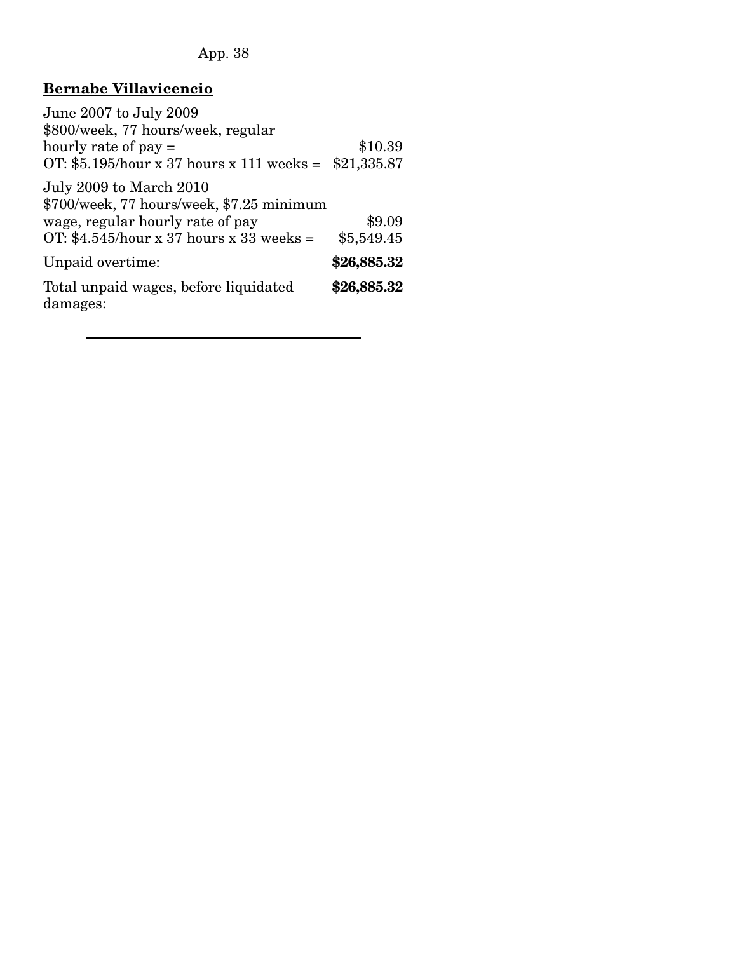# **Bernabe Villavicencio**

| June 2007 to July 2009                                               |             |
|----------------------------------------------------------------------|-------------|
| \$800/week, 77 hours/week, regular                                   |             |
| hourly rate of $pay =$                                               | \$10.39     |
| OT: $$5.195/hour \times 37 hours \times 111 weeks =$                 | \$21,335.87 |
| July 2009 to March 2010<br>\$700/week, 77 hours/week, \$7.25 minimum |             |
| wage, regular hourly rate of pay                                     | \$9.09      |
| OT: \$4.545/hour x 37 hours x 33 weeks =                             | \$5,549.45  |
| Unpaid overtime:                                                     | \$26,885.32 |
| Total unpaid wages, before liquidated<br>damages:                    | \$26,885.32 |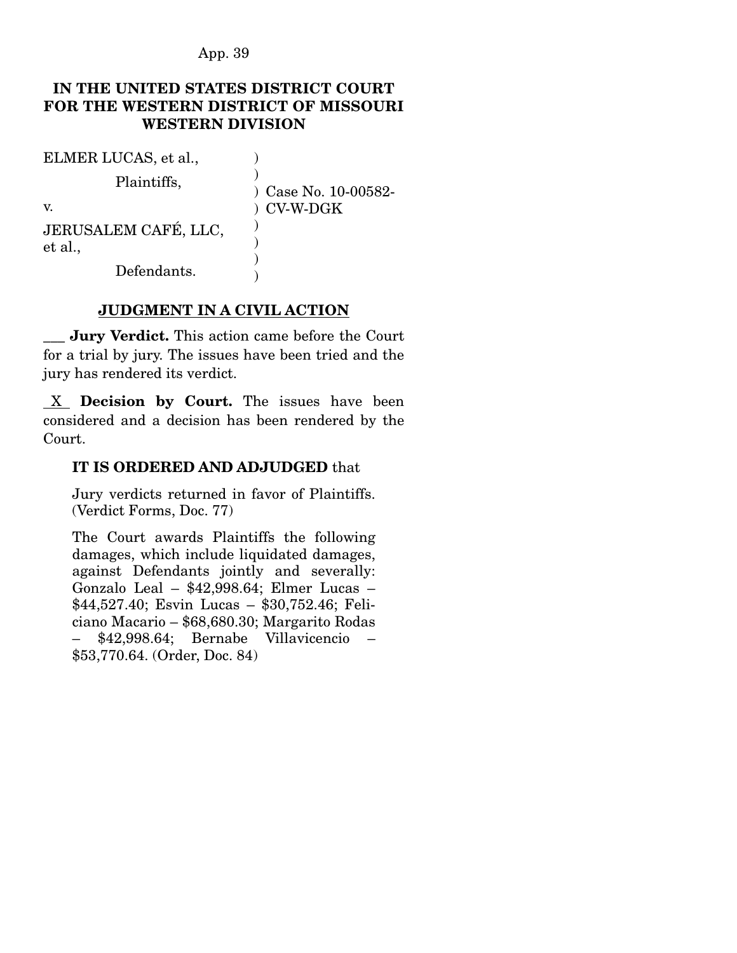### **IN THE UNITED STATES DISTRICT COURT FOR THE WESTERN DISTRICT OF MISSOURI WESTERN DIVISION**

| ELMER LUCAS, et al.,            |                      |
|---------------------------------|----------------------|
| Plaintiffs,                     | ) Case No. 10-00582- |
| V.                              | ) CV-W-DGK           |
| JERUSALEM CAFÉ, LLC,<br>et al., |                      |
| Defendants.                     |                      |

#### **JUDGMENT IN A CIVIL ACTION**

\_\_\_ **Jury Verdict.** This action came before the Court for a trial by jury. The issues have been tried and the jury has rendered its verdict.

 X **Decision by Court.** The issues have been considered and a decision has been rendered by the Court.

### **IT IS ORDERED AND ADJUDGED** that

Jury verdicts returned in favor of Plaintiffs. (Verdict Forms, Doc. 77)

The Court awards Plaintiffs the following damages, which include liquidated damages, against Defendants jointly and severally: Gonzalo Leal – \$42,998.64; Elmer Lucas – \$44,527.40; Esvin Lucas – \$30,752.46; Feliciano Macario – \$68,680.30; Margarito Rodas – \$42,998.64; Bernabe Villavicencio – \$53,770.64. (Order, Doc. 84)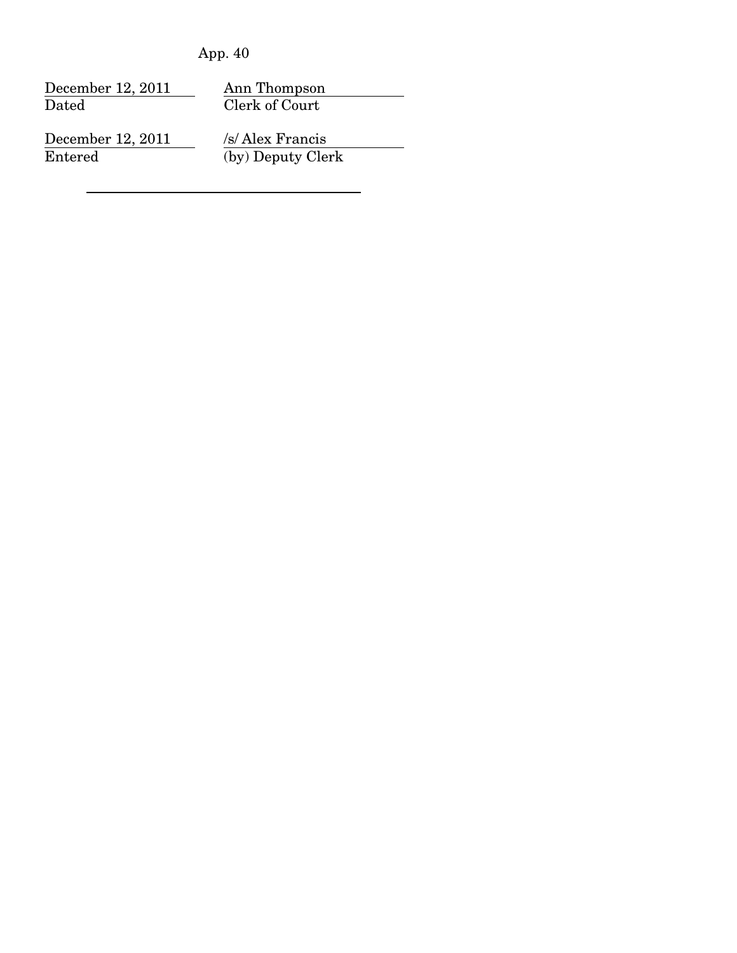| App. | 40 |
|------|----|
|------|----|

| December 12, 2011 | Ann Thompson      |
|-------------------|-------------------|
| Dated             | Clerk of Court    |
| December 12, 2011 | /s/ Alex Francis  |
| Entered           | (by) Deputy Clerk |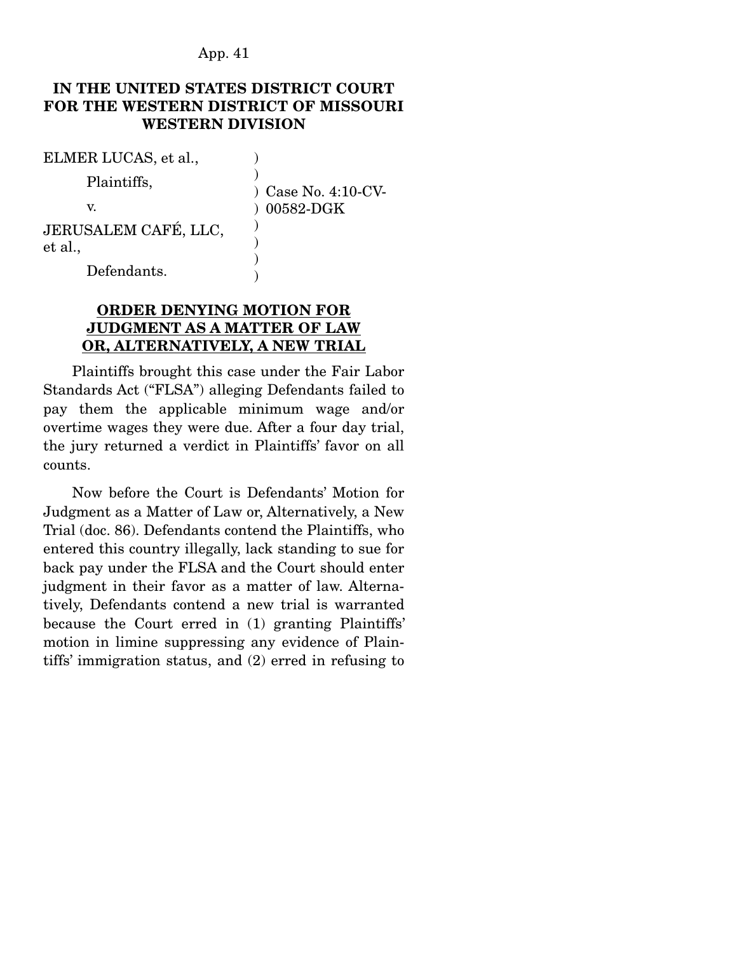### **IN THE UNITED STATES DISTRICT COURT FOR THE WESTERN DISTRICT OF MISSOURI WESTERN DIVISION**

| ELMER LUCAS, et al.,            |                       |
|---------------------------------|-----------------------|
| Plaintiffs,                     | $)$ Case No. 4:10-CV- |
| v.                              | 00582-DGK             |
| JERUSALEM CAFÉ, LLC,<br>et al., |                       |
| Defendants.                     |                       |

#### **ORDER DENYING MOTION FOR JUDGMENT AS A MATTER OF LAW OR, ALTERNATIVELY, A NEW TRIAL**

 Plaintiffs brought this case under the Fair Labor Standards Act ("FLSA") alleging Defendants failed to pay them the applicable minimum wage and/or overtime wages they were due. After a four day trial, the jury returned a verdict in Plaintiffs' favor on all counts.

 Now before the Court is Defendants' Motion for Judgment as a Matter of Law or, Alternatively, a New Trial (doc. 86). Defendants contend the Plaintiffs, who entered this country illegally, lack standing to sue for back pay under the FLSA and the Court should enter judgment in their favor as a matter of law. Alternatively, Defendants contend a new trial is warranted because the Court erred in (1) granting Plaintiffs' motion in limine suppressing any evidence of Plaintiffs' immigration status, and (2) erred in refusing to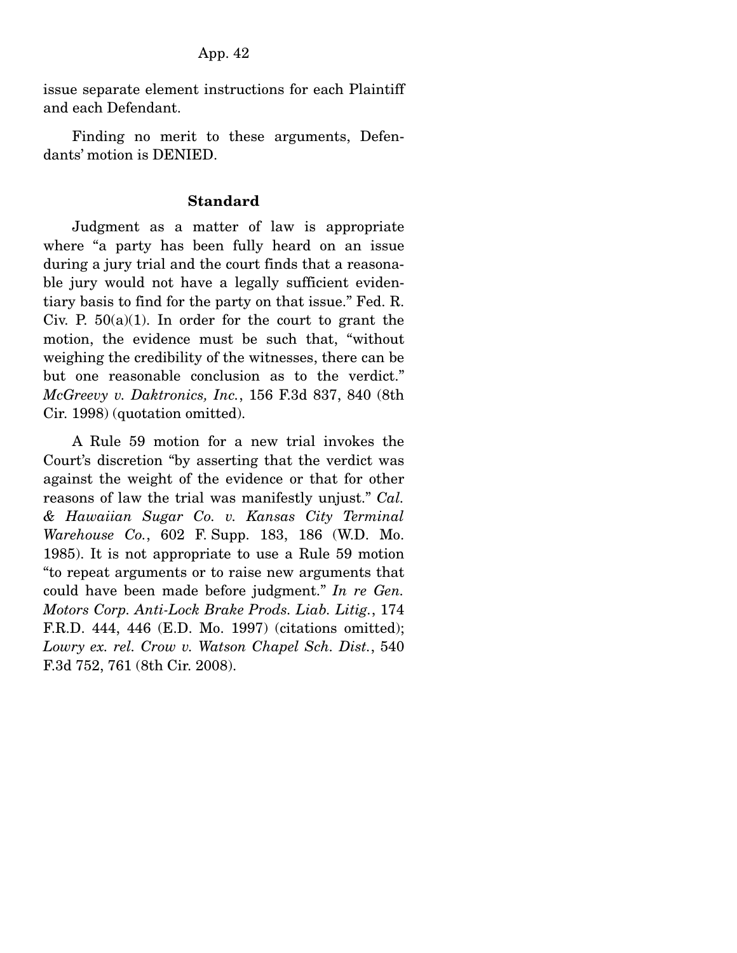issue separate element instructions for each Plaintiff and each Defendant.

 Finding no merit to these arguments, Defendants' motion is DENIED.

#### **Standard**

 Judgment as a matter of law is appropriate where "a party has been fully heard on an issue during a jury trial and the court finds that a reasonable jury would not have a legally sufficient evidentiary basis to find for the party on that issue." Fed. R. Civ. P.  $50(a)(1)$ . In order for the court to grant the motion, the evidence must be such that, "without weighing the credibility of the witnesses, there can be but one reasonable conclusion as to the verdict." *McGreevy v. Daktronics, Inc.*, 156 F.3d 837, 840 (8th Cir. 1998) (quotation omitted).

 A Rule 59 motion for a new trial invokes the Court's discretion "by asserting that the verdict was against the weight of the evidence or that for other reasons of law the trial was manifestly unjust." *Cal. & Hawaiian Sugar Co. v. Kansas City Terminal Warehouse Co.*, 602 F. Supp. 183, 186 (W.D. Mo. 1985). It is not appropriate to use a Rule 59 motion "to repeat arguments or to raise new arguments that could have been made before judgment." *In re Gen. Motors Corp. Anti-Lock Brake Prods. Liab. Litig.*, 174 F.R.D. 444, 446 (E.D. Mo. 1997) (citations omitted); *Lowry ex. rel. Crow v. Watson Chapel Sch. Dist.*, 540 F.3d 752, 761 (8th Cir. 2008).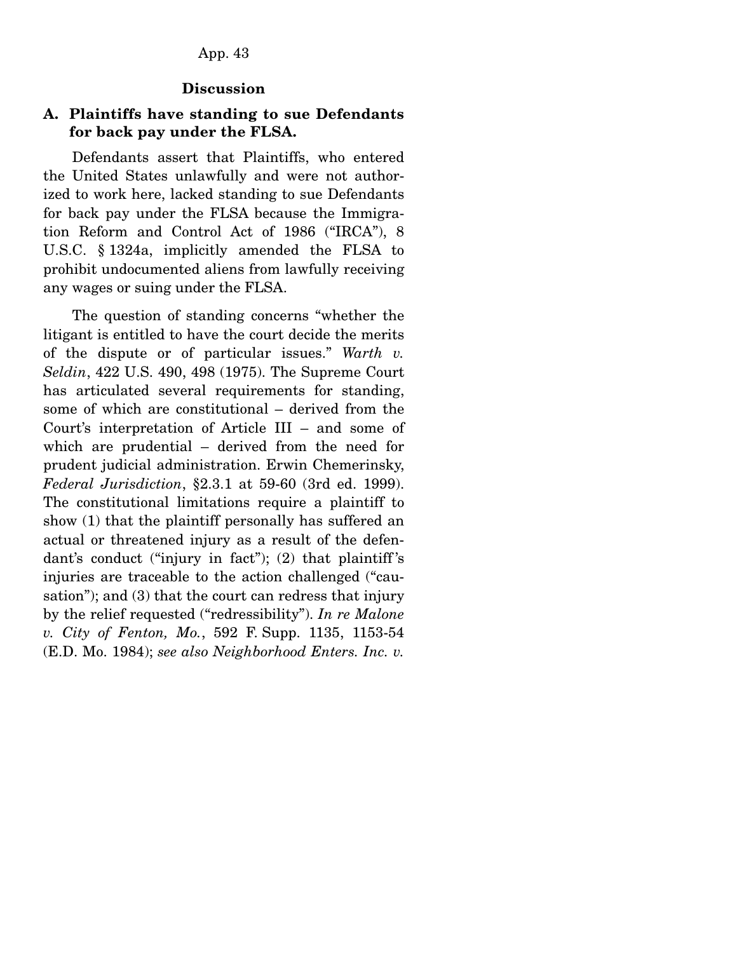#### **Discussion**

### **A. Plaintiffs have standing to sue Defendants for back pay under the FLSA.**

 Defendants assert that Plaintiffs, who entered the United States unlawfully and were not authorized to work here, lacked standing to sue Defendants for back pay under the FLSA because the Immigration Reform and Control Act of 1986 ("IRCA"), 8 U.S.C. § 1324a, implicitly amended the FLSA to prohibit undocumented aliens from lawfully receiving any wages or suing under the FLSA.

 The question of standing concerns "whether the litigant is entitled to have the court decide the merits of the dispute or of particular issues." *Warth v. Seldin*, 422 U.S. 490, 498 (1975). The Supreme Court has articulated several requirements for standing, some of which are constitutional – derived from the Court's interpretation of Article III – and some of which are prudential – derived from the need for prudent judicial administration. Erwin Chemerinsky, *Federal Jurisdiction*, §2.3.1 at 59-60 (3rd ed. 1999). The constitutional limitations require a plaintiff to show (1) that the plaintiff personally has suffered an actual or threatened injury as a result of the defendant's conduct ("injury in fact"); (2) that plaintiff 's injuries are traceable to the action challenged ("causation"); and (3) that the court can redress that injury by the relief requested ("redressibility"). *In re Malone v. City of Fenton, Mo.*, 592 F. Supp. 1135, 1153-54 (E.D. Mo. 1984); *see also Neighborhood Enters. Inc. v.*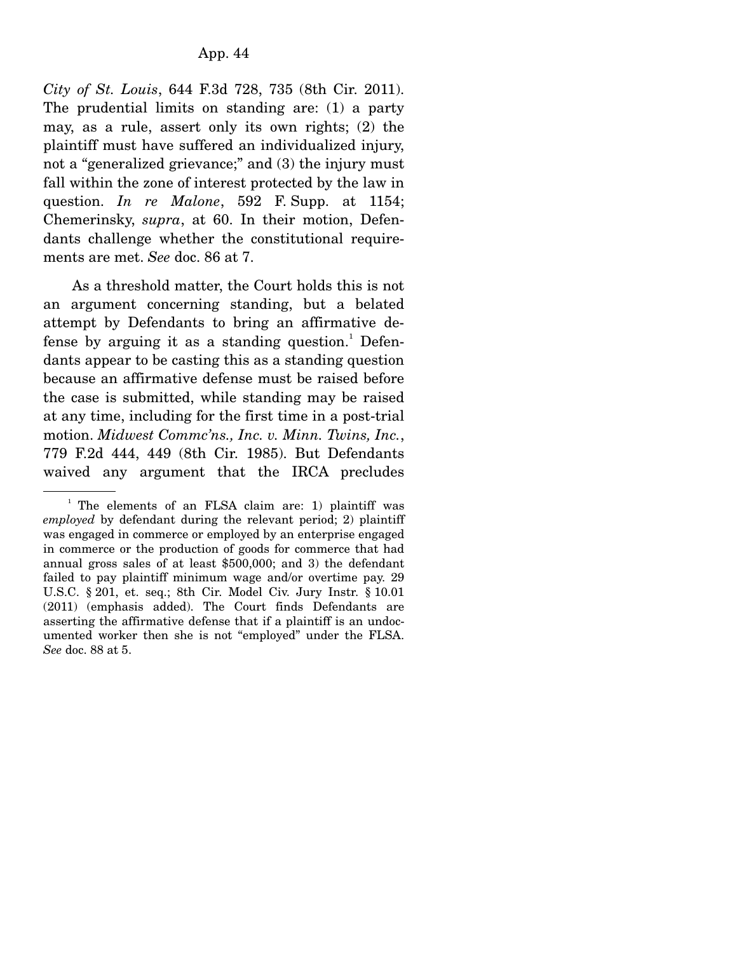*City of St. Louis*, 644 F.3d 728, 735 (8th Cir. 2011). The prudential limits on standing are: (1) a party may, as a rule, assert only its own rights; (2) the plaintiff must have suffered an individualized injury, not a "generalized grievance;" and (3) the injury must fall within the zone of interest protected by the law in question. *In re Malone*, 592 F. Supp. at 1154; Chemerinsky, *supra*, at 60. In their motion, Defendants challenge whether the constitutional requirements are met. *See* doc. 86 at 7.

 As a threshold matter, the Court holds this is not an argument concerning standing, but a belated attempt by Defendants to bring an affirmative defense by arguing it as a standing question.<sup>1</sup> Defendants appear to be casting this as a standing question because an affirmative defense must be raised before the case is submitted, while standing may be raised at any time, including for the first time in a post-trial motion. *Midwest Commc'ns., Inc. v. Minn. Twins, Inc.*, 779 F.2d 444, 449 (8th Cir. 1985). But Defendants waived any argument that the IRCA precludes

<sup>&</sup>lt;sup>1</sup> The elements of an FLSA claim are: 1) plaintiff was *employed* by defendant during the relevant period; 2) plaintiff was engaged in commerce or employed by an enterprise engaged in commerce or the production of goods for commerce that had annual gross sales of at least \$500,000; and 3) the defendant failed to pay plaintiff minimum wage and/or overtime pay. 29 U.S.C. § 201, et. seq.; 8th Cir. Model Civ. Jury Instr. § 10.01 (2011) (emphasis added). The Court finds Defendants are asserting the affirmative defense that if a plaintiff is an undocumented worker then she is not "employed" under the FLSA. *See* doc. 88 at 5.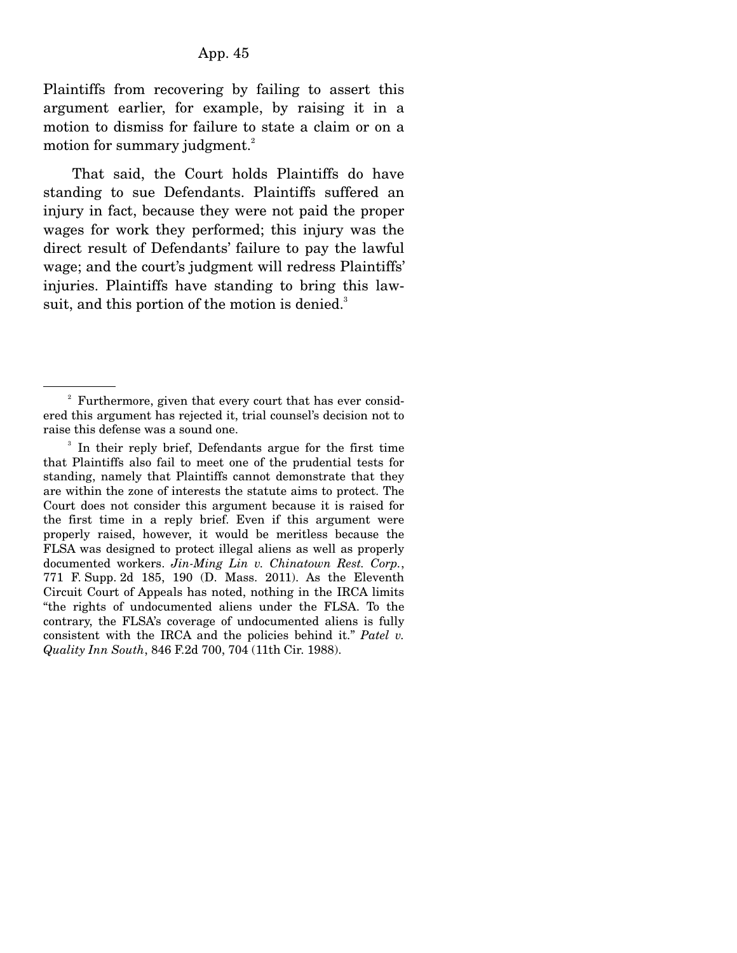Plaintiffs from recovering by failing to assert this argument earlier, for example, by raising it in a motion to dismiss for failure to state a claim or on a motion for summary judgment.<sup>2</sup>

 That said, the Court holds Plaintiffs do have standing to sue Defendants. Plaintiffs suffered an injury in fact, because they were not paid the proper wages for work they performed; this injury was the direct result of Defendants' failure to pay the lawful wage; and the court's judgment will redress Plaintiffs' injuries. Plaintiffs have standing to bring this lawsuit, and this portion of the motion is denied.<sup>3</sup>

<sup>&</sup>lt;sup>2</sup> Furthermore, given that every court that has ever considered this argument has rejected it, trial counsel's decision not to raise this defense was a sound one.

<sup>&</sup>lt;sup>3</sup> In their reply brief, Defendants argue for the first time that Plaintiffs also fail to meet one of the prudential tests for standing, namely that Plaintiffs cannot demonstrate that they are within the zone of interests the statute aims to protect. The Court does not consider this argument because it is raised for the first time in a reply brief. Even if this argument were properly raised, however, it would be meritless because the FLSA was designed to protect illegal aliens as well as properly documented workers. *Jin-Ming Lin v. Chinatown Rest. Corp.*, 771 F. Supp. 2d 185, 190 (D. Mass. 2011). As the Eleventh Circuit Court of Appeals has noted, nothing in the IRCA limits "the rights of undocumented aliens under the FLSA. To the contrary, the FLSA's coverage of undocumented aliens is fully consistent with the IRCA and the policies behind it." *Patel v. Quality Inn South*, 846 F.2d 700, 704 (11th Cir. 1988).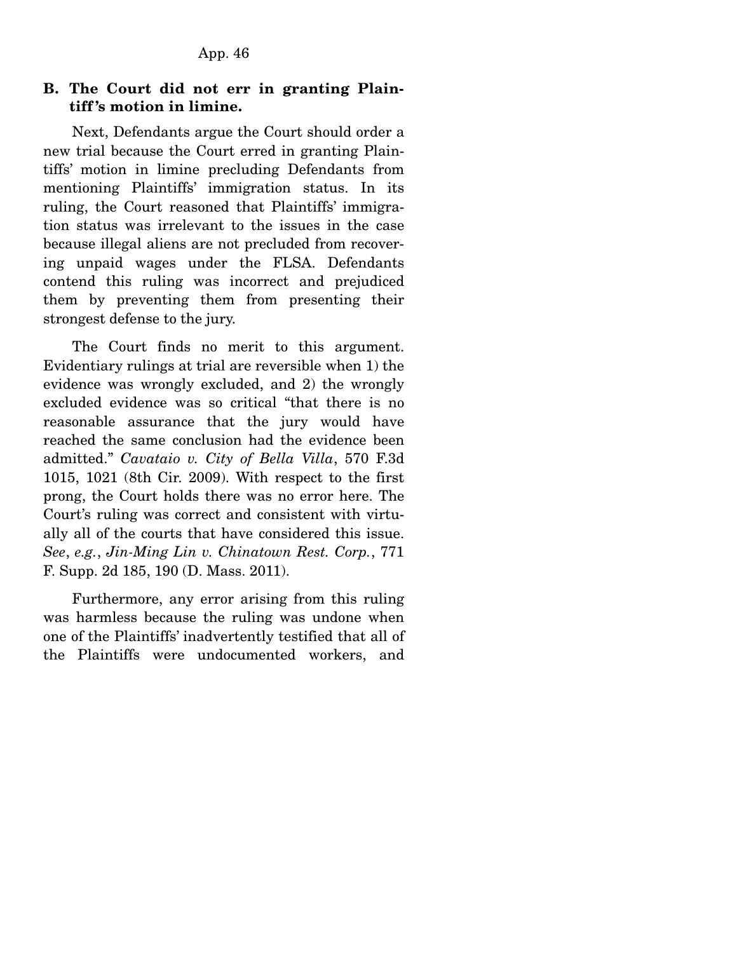### **B. The Court did not err in granting Plaintiff 's motion in limine.**

 Next, Defendants argue the Court should order a new trial because the Court erred in granting Plaintiffs' motion in limine precluding Defendants from mentioning Plaintiffs' immigration status. In its ruling, the Court reasoned that Plaintiffs' immigration status was irrelevant to the issues in the case because illegal aliens are not precluded from recovering unpaid wages under the FLSA. Defendants contend this ruling was incorrect and prejudiced them by preventing them from presenting their strongest defense to the jury.

 The Court finds no merit to this argument. Evidentiary rulings at trial are reversible when 1) the evidence was wrongly excluded, and 2) the wrongly excluded evidence was so critical "that there is no reasonable assurance that the jury would have reached the same conclusion had the evidence been admitted." *Cavataio v. City of Bella Villa*, 570 F.3d 1015, 1021 (8th Cir. 2009). With respect to the first prong, the Court holds there was no error here. The Court's ruling was correct and consistent with virtually all of the courts that have considered this issue. *See*, *e.g.*, *Jin-Ming Lin v. Chinatown Rest. Corp.*, 771 F. Supp. 2d 185, 190 (D. Mass. 2011).

 Furthermore, any error arising from this ruling was harmless because the ruling was undone when one of the Plaintiffs' inadvertently testified that all of the Plaintiffs were undocumented workers, and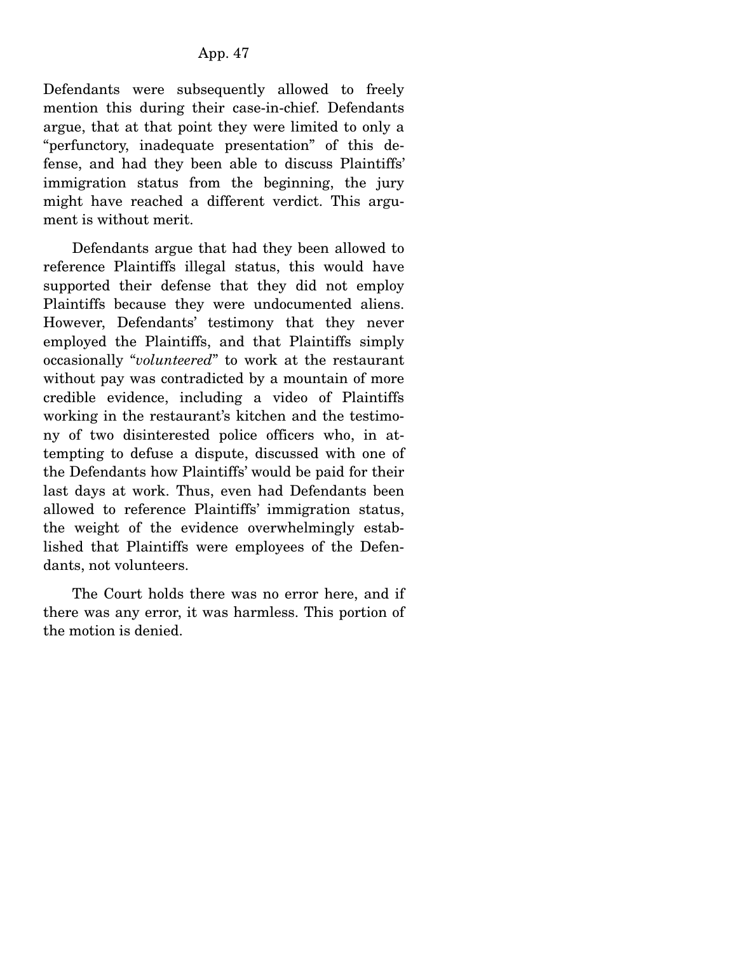Defendants were subsequently allowed to freely mention this during their case-in-chief. Defendants argue, that at that point they were limited to only a "perfunctory, inadequate presentation" of this defense, and had they been able to discuss Plaintiffs' immigration status from the beginning, the jury might have reached a different verdict. This argument is without merit.

 Defendants argue that had they been allowed to reference Plaintiffs illegal status, this would have supported their defense that they did not employ Plaintiffs because they were undocumented aliens. However, Defendants' testimony that they never employed the Plaintiffs, and that Plaintiffs simply occasionally "*volunteered*" to work at the restaurant without pay was contradicted by a mountain of more credible evidence, including a video of Plaintiffs working in the restaurant's kitchen and the testimony of two disinterested police officers who, in attempting to defuse a dispute, discussed with one of the Defendants how Plaintiffs' would be paid for their last days at work. Thus, even had Defendants been allowed to reference Plaintiffs' immigration status, the weight of the evidence overwhelmingly established that Plaintiffs were employees of the Defendants, not volunteers.

 The Court holds there was no error here, and if there was any error, it was harmless. This portion of the motion is denied.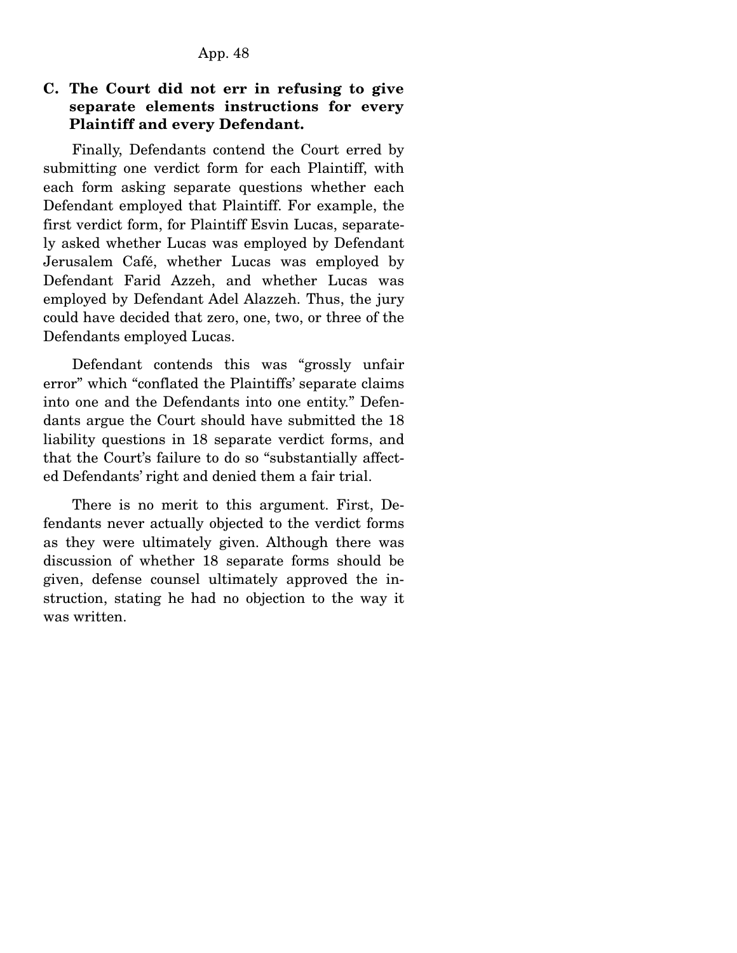### **C. The Court did not err in refusing to give separate elements instructions for every Plaintiff and every Defendant.**

 Finally, Defendants contend the Court erred by submitting one verdict form for each Plaintiff, with each form asking separate questions whether each Defendant employed that Plaintiff. For example, the first verdict form, for Plaintiff Esvin Lucas, separately asked whether Lucas was employed by Defendant Jerusalem Café, whether Lucas was employed by Defendant Farid Azzeh, and whether Lucas was employed by Defendant Adel Alazzeh. Thus, the jury could have decided that zero, one, two, or three of the Defendants employed Lucas.

 Defendant contends this was "grossly unfair error" which "conflated the Plaintiffs' separate claims into one and the Defendants into one entity." Defendants argue the Court should have submitted the 18 liability questions in 18 separate verdict forms, and that the Court's failure to do so "substantially affected Defendants' right and denied them a fair trial.

 There is no merit to this argument. First, Defendants never actually objected to the verdict forms as they were ultimately given. Although there was discussion of whether 18 separate forms should be given, defense counsel ultimately approved the instruction, stating he had no objection to the way it was written.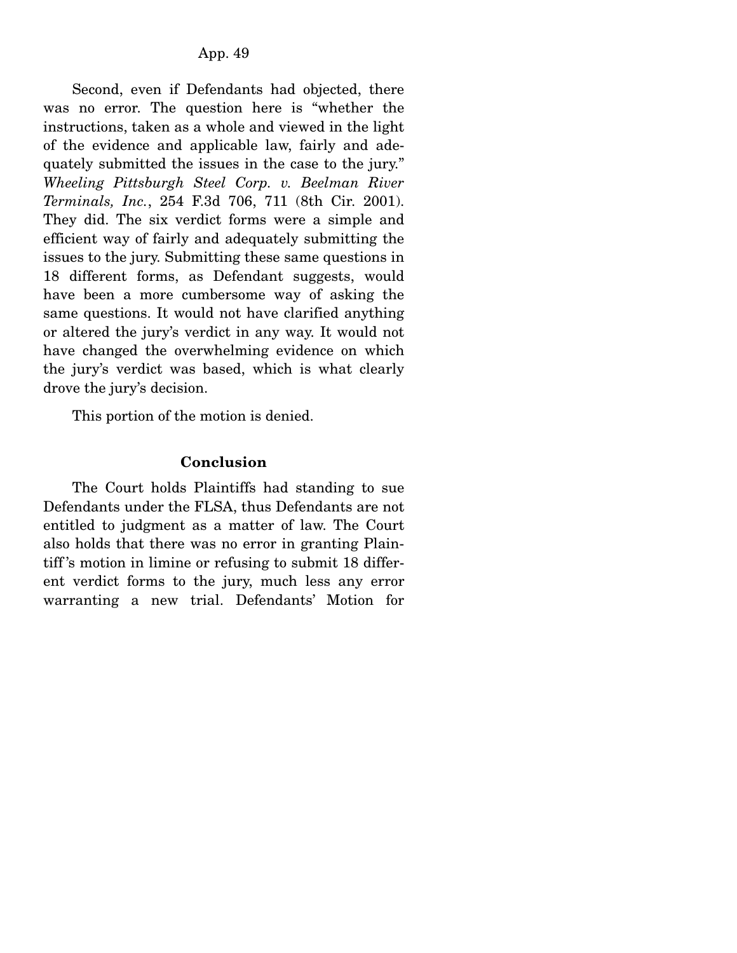Second, even if Defendants had objected, there was no error. The question here is "whether the instructions, taken as a whole and viewed in the light of the evidence and applicable law, fairly and adequately submitted the issues in the case to the jury." *Wheeling Pittsburgh Steel Corp. v. Beelman River Terminals, Inc.*, 254 F.3d 706, 711 (8th Cir. 2001). They did. The six verdict forms were a simple and efficient way of fairly and adequately submitting the issues to the jury. Submitting these same questions in 18 different forms, as Defendant suggests, would have been a more cumbersome way of asking the same questions. It would not have clarified anything or altered the jury's verdict in any way. It would not have changed the overwhelming evidence on which the jury's verdict was based, which is what clearly drove the jury's decision.

This portion of the motion is denied.

#### **Conclusion**

 The Court holds Plaintiffs had standing to sue Defendants under the FLSA, thus Defendants are not entitled to judgment as a matter of law. The Court also holds that there was no error in granting Plaintiff 's motion in limine or refusing to submit 18 different verdict forms to the jury, much less any error warranting a new trial. Defendants' Motion for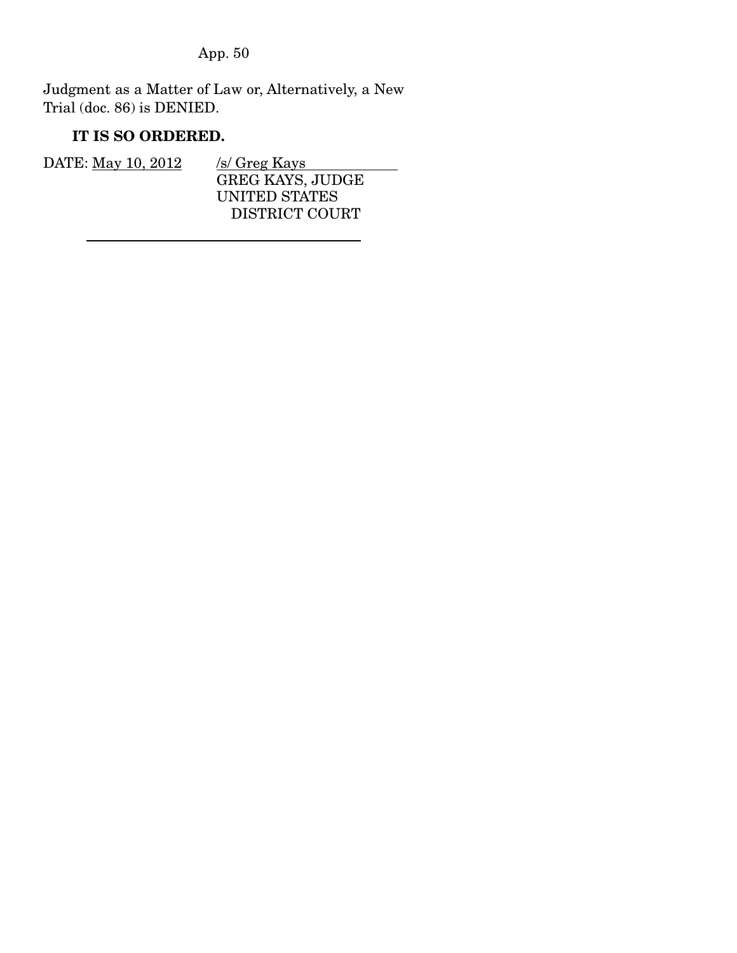Judgment as a Matter of Law or, Alternatively, a New Trial (doc. 86) is DENIED.

## **IT IS SO ORDERED.**

| DATE: May 10, 2012 | /s/ Greg Kays           |
|--------------------|-------------------------|
|                    | <b>GREG KAYS, JUDGE</b> |
|                    | UNITED STATES           |
|                    | DISTRICT COURT          |